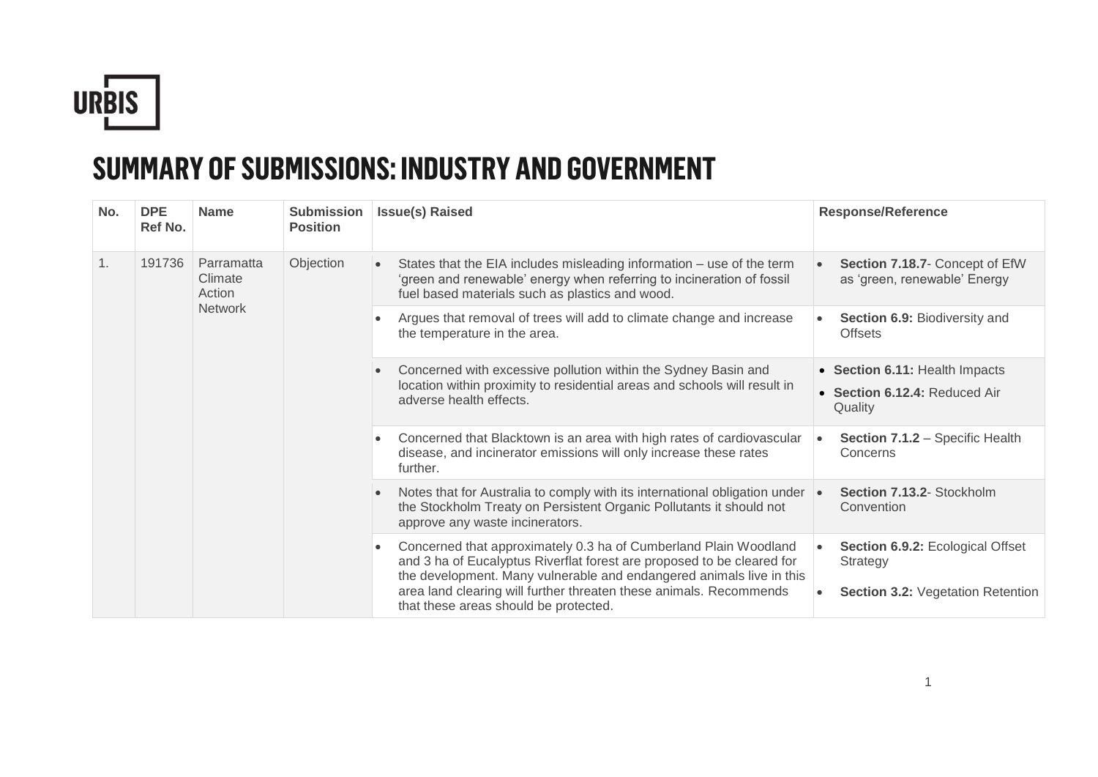

## **SUMMARY OF SUBMISSIONS: INDUSTRY AND GOVERNMENT**

| No. | <b>DPE</b><br>Ref No. | <b>Name</b>                     | <b>Submission</b><br><b>Position</b>                                                                            | <b>Issue(s) Raised</b>                                                                                                                                                                                                                                                                   | <b>Response/Reference</b>                                                                |
|-----|-----------------------|---------------------------------|-----------------------------------------------------------------------------------------------------------------|------------------------------------------------------------------------------------------------------------------------------------------------------------------------------------------------------------------------------------------------------------------------------------------|------------------------------------------------------------------------------------------|
| 1.  | 191736                | Parramatta<br>Climate<br>Action | Objection                                                                                                       | States that the EIA includes misleading information - use of the term<br>'green and renewable' energy when referring to incineration of fossil<br>fuel based materials such as plastics and wood.                                                                                        | Section 7.18.7- Concept of EfW<br>as 'green, renewable' Energy                           |
|     |                       | <b>Network</b>                  |                                                                                                                 | Argues that removal of trees will add to climate change and increase<br>the temperature in the area.                                                                                                                                                                                     | Section 6.9: Biodiversity and<br><b>Offsets</b>                                          |
|     |                       |                                 | adverse health effects.<br>further.<br>approve any waste incinerators.<br>that these areas should be protected. | Concerned with excessive pollution within the Sydney Basin and<br>location within proximity to residential areas and schools will result in                                                                                                                                              | • Section 6.11: Health Impacts<br>• Section 6.12.4: Reduced Air<br>Quality               |
|     |                       |                                 |                                                                                                                 | Concerned that Blacktown is an area with high rates of cardiovascular<br>disease, and incinerator emissions will only increase these rates                                                                                                                                               | Section 7.1.2 - Specific Health<br>Concerns                                              |
|     |                       |                                 |                                                                                                                 | Notes that for Australia to comply with its international obligation under<br>the Stockholm Treaty on Persistent Organic Pollutants it should not                                                                                                                                        | Section 7.13.2- Stockholm<br>Convention                                                  |
|     |                       |                                 |                                                                                                                 | Concerned that approximately 0.3 ha of Cumberland Plain Woodland<br>and 3 ha of Eucalyptus Riverflat forest are proposed to be cleared for<br>the development. Many vulnerable and endangered animals live in this<br>area land clearing will further threaten these animals. Recommends | Section 6.9.2: Ecological Offset<br>Strategy<br><b>Section 3.2: Vegetation Retention</b> |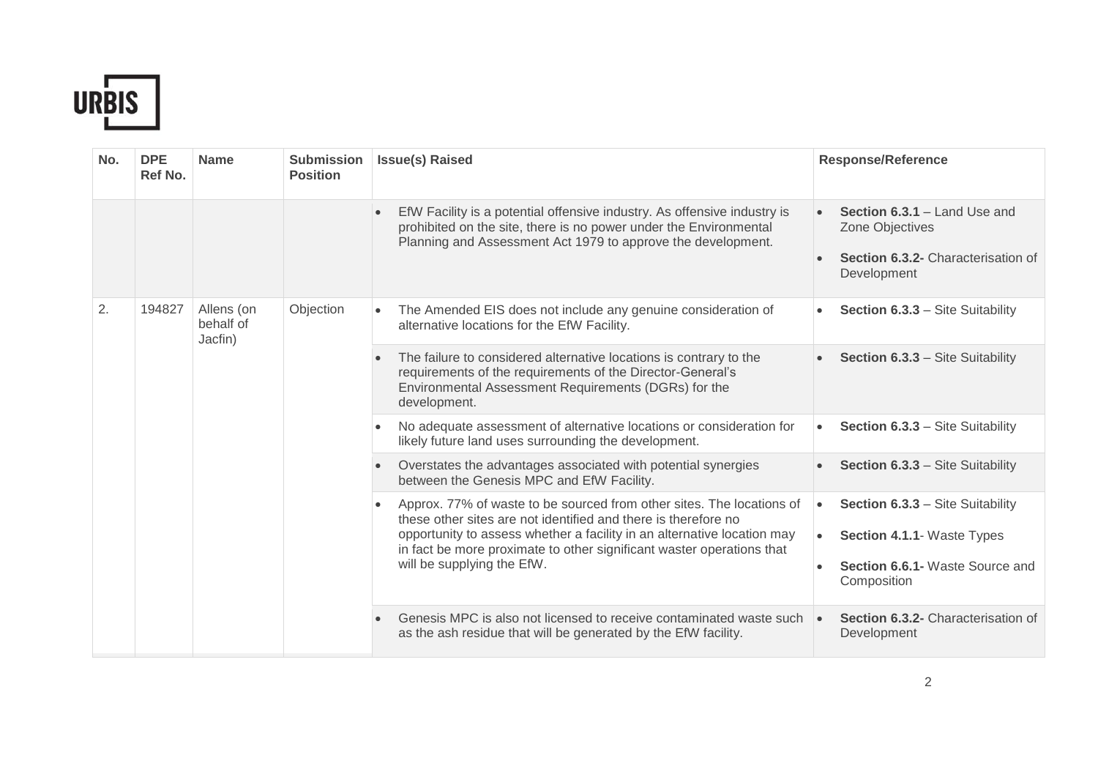

| No. | <b>DPE</b><br>Ref No. | <b>Name</b>                        | <b>Submission</b><br><b>Position</b> | <b>Issue(s) Raised</b>                                                                                                                                                                                                                                                                                                    | <b>Response/Reference</b>                                                                                                      |
|-----|-----------------------|------------------------------------|--------------------------------------|---------------------------------------------------------------------------------------------------------------------------------------------------------------------------------------------------------------------------------------------------------------------------------------------------------------------------|--------------------------------------------------------------------------------------------------------------------------------|
|     |                       |                                    |                                      | EfW Facility is a potential offensive industry. As offensive industry is<br>prohibited on the site, there is no power under the Environmental<br>Planning and Assessment Act 1979 to approve the development.                                                                                                             | Section 6.3.1 - Land Use and<br>Zone Objectives<br>Section 6.3.2- Characterisation of<br>Development                           |
| 2.  | 194827                | Allens (on<br>behalf of<br>Jacfin) | Objection                            | The Amended EIS does not include any genuine consideration of<br>alternative locations for the EfW Facility.                                                                                                                                                                                                              | Section 6.3.3 - Site Suitability                                                                                               |
|     |                       |                                    |                                      | The failure to considered alternative locations is contrary to the<br>requirements of the requirements of the Director-General's<br>Environmental Assessment Requirements (DGRs) for the<br>development.                                                                                                                  | Section 6.3.3 - Site Suitability                                                                                               |
|     |                       |                                    | $\bullet$                            | No adequate assessment of alternative locations or consideration for<br>likely future land uses surrounding the development.                                                                                                                                                                                              | Section 6.3.3 - Site Suitability                                                                                               |
|     |                       |                                    |                                      | Overstates the advantages associated with potential synergies<br>between the Genesis MPC and EfW Facility.                                                                                                                                                                                                                | Section 6.3.3 - Site Suitability                                                                                               |
|     |                       |                                    |                                      | Approx. 77% of waste to be sourced from other sites. The locations of<br>these other sites are not identified and there is therefore no<br>opportunity to assess whether a facility in an alternative location may<br>in fact be more proximate to other significant waster operations that<br>will be supplying the EfW. | Section 6.3.3 - Site Suitability<br>$\bullet$<br>Section 4.1.1- Waste Types<br>Section 6.6.1 - Waste Source and<br>Composition |
|     |                       |                                    |                                      | Genesis MPC is also not licensed to receive contaminated waste such<br>as the ash residue that will be generated by the EfW facility.                                                                                                                                                                                     | Section 6.3.2- Characterisation of<br>$\bullet$<br>Development                                                                 |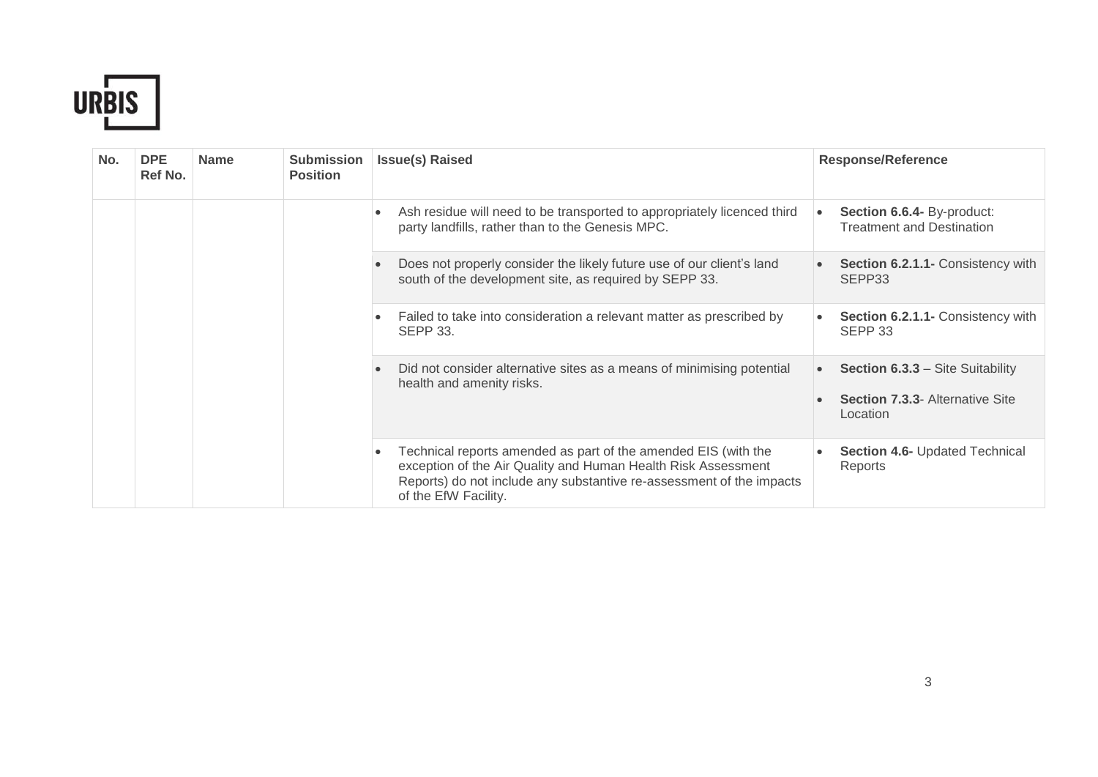

| No. | <b>DPE</b><br>Ref No. | <b>Name</b> | <b>Submission</b><br><b>Position</b> | <b>Issue(s) Raised</b>                                                                                                                                                                                                          | <b>Response/Reference</b>                                                                                  |
|-----|-----------------------|-------------|--------------------------------------|---------------------------------------------------------------------------------------------------------------------------------------------------------------------------------------------------------------------------------|------------------------------------------------------------------------------------------------------------|
|     |                       |             |                                      | Ash residue will need to be transported to appropriately licenced third<br>party landfills, rather than to the Genesis MPC.                                                                                                     | Section 6.6.4- By-product:<br><b>Treatment and Destination</b>                                             |
|     |                       |             |                                      | Does not properly consider the likely future use of our client's land<br>south of the development site, as required by SEPP 33.                                                                                                 | Section 6.2.1.1- Consistency with<br>SEPP33                                                                |
|     |                       |             |                                      | Failed to take into consideration a relevant matter as prescribed by<br><b>SEPP 33.</b>                                                                                                                                         | Section 6.2.1.1- Consistency with<br>SEPP <sub>33</sub>                                                    |
|     |                       |             |                                      | Did not consider alternative sites as a means of minimising potential<br>health and amenity risks.                                                                                                                              | <b>Section 6.3.3 - Site Suitability</b><br>$\bullet$<br><b>Section 7.3.3- Alternative Site</b><br>Location |
|     |                       |             |                                      | Technical reports amended as part of the amended EIS (with the<br>exception of the Air Quality and Human Health Risk Assessment<br>Reports) do not include any substantive re-assessment of the impacts<br>of the EfW Facility. | Section 4.6- Updated Technical<br>Reports                                                                  |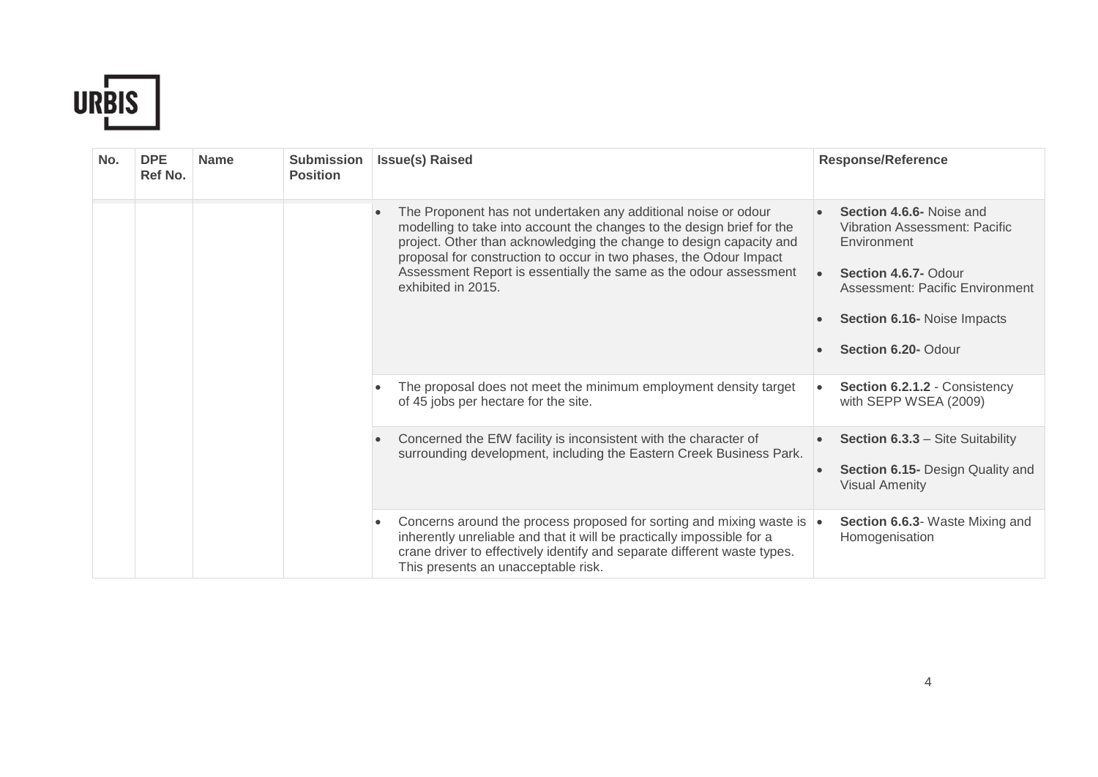

| No. | <b>DPE</b><br>Ref No. | <b>Name</b> | <b>Submission</b><br><b>Position</b> |           | <b>Issue(s) Raised</b>                                                                                                                                                                                                                                                                                                                                                           |           | <b>Response/Reference</b>                                                                                                                                                                        |
|-----|-----------------------|-------------|--------------------------------------|-----------|----------------------------------------------------------------------------------------------------------------------------------------------------------------------------------------------------------------------------------------------------------------------------------------------------------------------------------------------------------------------------------|-----------|--------------------------------------------------------------------------------------------------------------------------------------------------------------------------------------------------|
|     |                       |             |                                      | $\bullet$ | The Proponent has not undertaken any additional noise or odour<br>modelling to take into account the changes to the design brief for the<br>project. Other than acknowledging the change to design capacity and<br>proposal for construction to occur in two phases, the Odour Impact<br>Assessment Report is essentially the same as the odour assessment<br>exhibited in 2015. |           | Section 4.6.6- Noise and<br><b>Vibration Assessment: Pacific</b><br>Environment<br>Section 4.6.7- Odour<br>Assessment: Pacific Environment<br>Section 6.16- Noise Impacts<br>Section 6.20- Odour |
|     |                       |             |                                      |           | The proposal does not meet the minimum employment density target<br>of 45 jobs per hectare for the site.                                                                                                                                                                                                                                                                         | $\bullet$ | Section 6.2.1.2 - Consistency<br>with SEPP WSEA (2009)                                                                                                                                           |
|     |                       |             |                                      | $\bullet$ | Concerned the EfW facility is inconsistent with the character of<br>surrounding development, including the Eastern Creek Business Park.                                                                                                                                                                                                                                          |           | <b>Section 6.3.3 - Site Suitability</b><br>Section 6.15- Design Quality and<br><b>Visual Amenity</b>                                                                                             |
|     |                       |             |                                      | $\bullet$ | Concerns around the process proposed for sorting and mixing waste is  .<br>inherently unreliable and that it will be practically impossible for a<br>crane driver to effectively identify and separate different waste types.<br>This presents an unacceptable risk.                                                                                                             |           | Section 6.6.3- Waste Mixing and<br>Homogenisation                                                                                                                                                |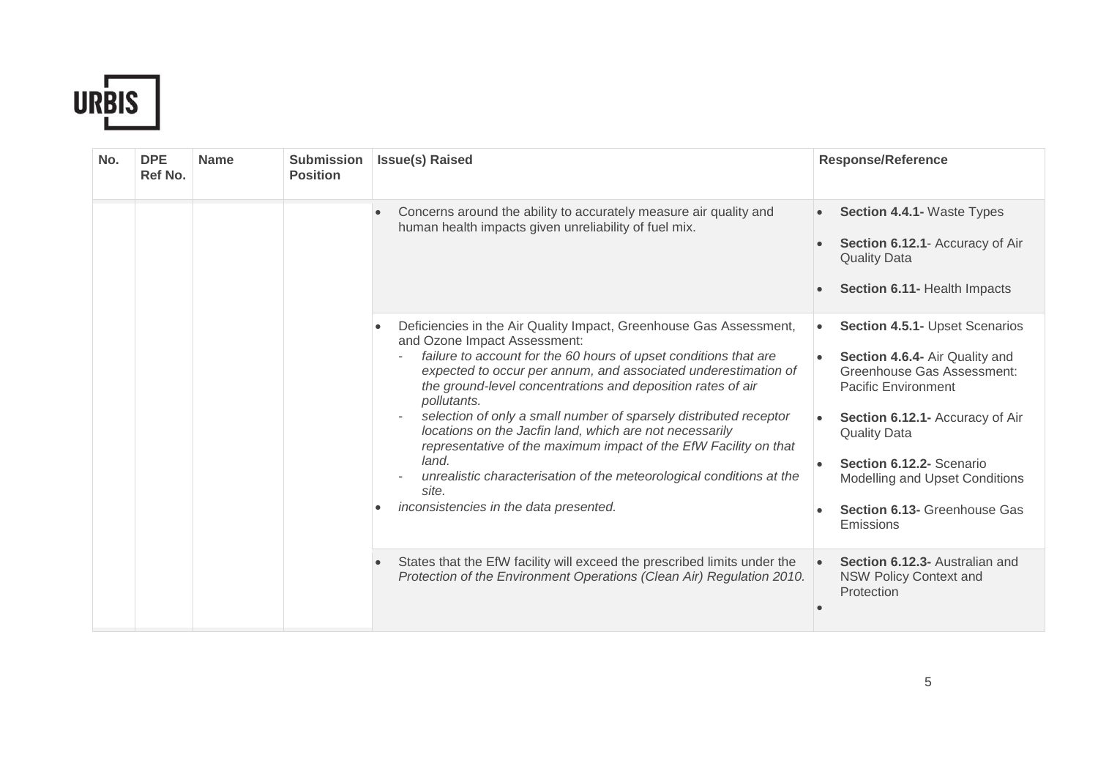

| No. | <b>DPE</b><br>Ref No. | <b>Name</b> | <b>Submission</b><br><b>Position</b> | <b>Issue(s) Raised</b>                                                                                                                                                                                                                                                                                                                                                                                                                                                                                                                                                                                                                                                                | <b>Response/Reference</b>                                                                                                                                                                                                                                                                                             |
|-----|-----------------------|-------------|--------------------------------------|---------------------------------------------------------------------------------------------------------------------------------------------------------------------------------------------------------------------------------------------------------------------------------------------------------------------------------------------------------------------------------------------------------------------------------------------------------------------------------------------------------------------------------------------------------------------------------------------------------------------------------------------------------------------------------------|-----------------------------------------------------------------------------------------------------------------------------------------------------------------------------------------------------------------------------------------------------------------------------------------------------------------------|
|     |                       |             |                                      | Concerns around the ability to accurately measure air quality and<br>human health impacts given unreliability of fuel mix.                                                                                                                                                                                                                                                                                                                                                                                                                                                                                                                                                            | <b>Section 4.4.1- Waste Types</b><br>Section 6.12.1- Accuracy of Air<br><b>Quality Data</b><br>Section 6.11- Health Impacts                                                                                                                                                                                           |
|     |                       |             |                                      | Deficiencies in the Air Quality Impact, Greenhouse Gas Assessment,<br>$\bullet$<br>and Ozone Impact Assessment:<br>failure to account for the 60 hours of upset conditions that are<br>expected to occur per annum, and associated underestimation of<br>the ground-level concentrations and deposition rates of air<br>pollutants.<br>selection of only a small number of sparsely distributed receptor<br>$\sim$<br>locations on the Jacfin land, which are not necessarily<br>representative of the maximum impact of the EfW Facility on that<br>land.<br>unrealistic characterisation of the meteorological conditions at the<br>site.<br>inconsistencies in the data presented. | Section 4.5.1- Upset Scenarios<br>$\bullet$<br>Section 4.6.4- Air Quality and<br><b>Greenhouse Gas Assessment:</b><br><b>Pacific Environment</b><br>Section 6.12.1- Accuracy of Air<br><b>Quality Data</b><br>Section 6.12.2- Scenario<br>Modelling and Upset Conditions<br>Section 6.13- Greenhouse Gas<br>Emissions |
|     |                       |             |                                      | States that the EfW facility will exceed the prescribed limits under the<br>Protection of the Environment Operations (Clean Air) Regulation 2010.                                                                                                                                                                                                                                                                                                                                                                                                                                                                                                                                     | Section 6.12.3- Australian and<br><b>NSW Policy Context and</b><br>Protection                                                                                                                                                                                                                                         |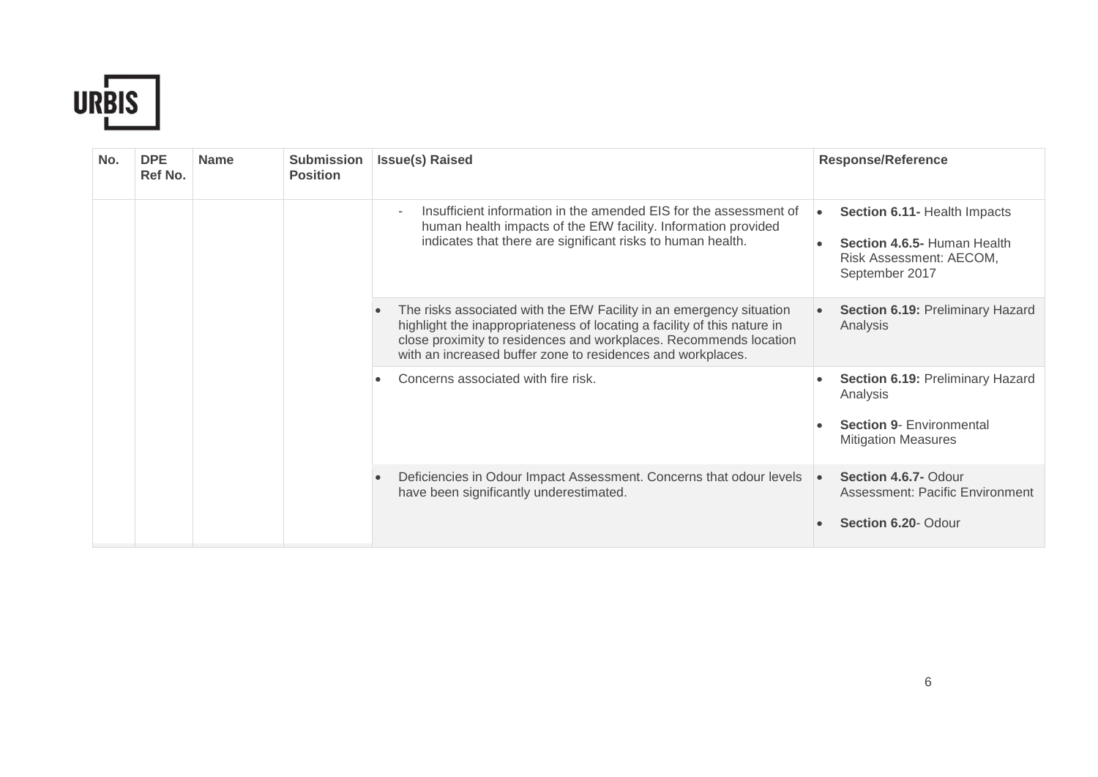

| No. | <b>DPE</b><br>Ref No. | <b>Name</b> | <b>Submission</b><br><b>Position</b> | <b>Issue(s) Raised</b>                                                                                                                                                                                                                                                               | <b>Response/Reference</b>                                                                                             |
|-----|-----------------------|-------------|--------------------------------------|--------------------------------------------------------------------------------------------------------------------------------------------------------------------------------------------------------------------------------------------------------------------------------------|-----------------------------------------------------------------------------------------------------------------------|
|     |                       |             |                                      | Insufficient information in the amended EIS for the assessment of<br>human health impacts of the EfW facility. Information provided<br>indicates that there are significant risks to human health.                                                                                   | Section 6.11- Health Impacts<br>$\bullet$<br>Section 4.6.5- Human Health<br>Risk Assessment: AECOM,<br>September 2017 |
|     |                       |             |                                      | The risks associated with the EfW Facility in an emergency situation<br>highlight the inappropriateness of locating a facility of this nature in<br>close proximity to residences and workplaces. Recommends location<br>with an increased buffer zone to residences and workplaces. | Section 6.19: Preliminary Hazard<br>Analysis                                                                          |
|     |                       |             |                                      | Concerns associated with fire risk.                                                                                                                                                                                                                                                  | Section 6.19: Preliminary Hazard<br>Analysis<br><b>Section 9- Environmental</b><br><b>Mitigation Measures</b>         |
|     |                       |             |                                      | Deficiencies in Odour Impact Assessment. Concerns that odour levels<br>have been significantly underestimated.                                                                                                                                                                       | Section 4.6.7- Odour<br>$\bullet$<br>Assessment: Pacific Environment<br>Section 6.20- Odour                           |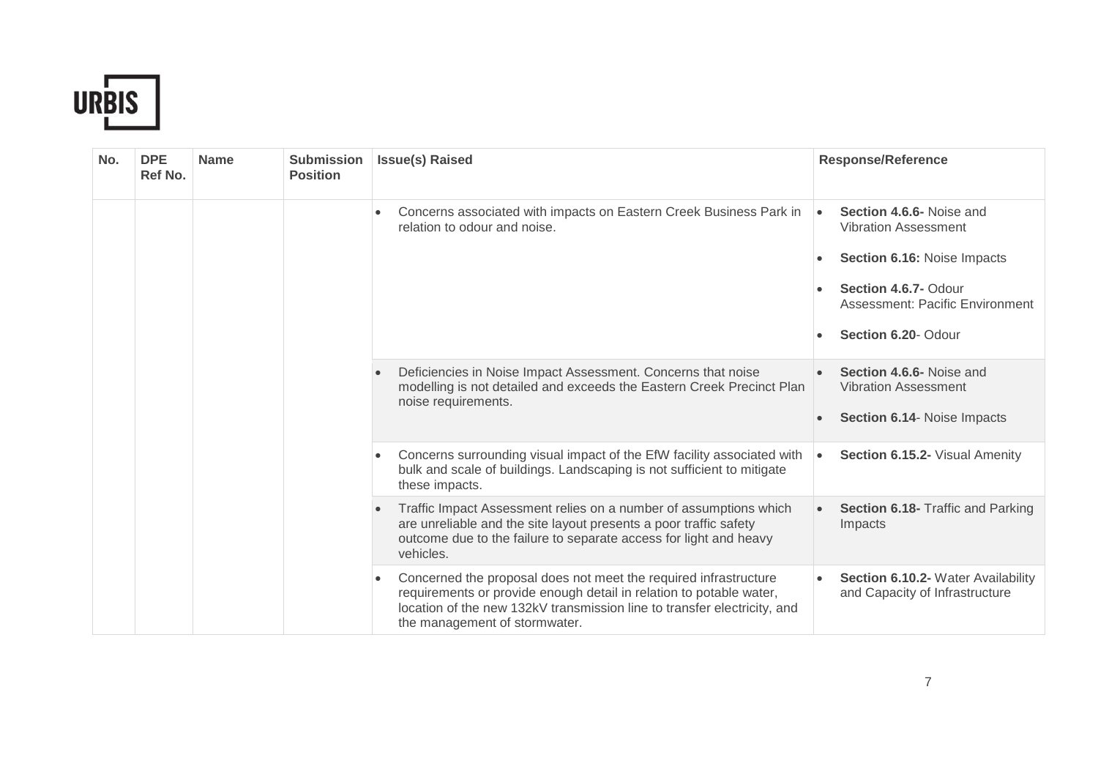

| No. | <b>DPE</b><br>Ref No. | <b>Name</b> | <b>Submission</b><br><b>Position</b> | <b>Issue(s) Raised</b>                                                                                                                                                                                                                               | <b>Response/Reference</b>                                                                                                                                                                                       |
|-----|-----------------------|-------------|--------------------------------------|------------------------------------------------------------------------------------------------------------------------------------------------------------------------------------------------------------------------------------------------------|-----------------------------------------------------------------------------------------------------------------------------------------------------------------------------------------------------------------|
|     |                       |             |                                      | Concerns associated with impacts on Eastern Creek Business Park in<br>relation to odour and noise.                                                                                                                                                   | Section 4.6.6- Noise and<br>$\bullet$<br><b>Vibration Assessment</b><br>Section 6.16: Noise Impacts<br>$\bullet$<br>Section 4.6.7- Odour<br>Assessment: Pacific Environment<br>Section 6.20- Odour<br>$\bullet$ |
|     |                       |             |                                      | Deficiencies in Noise Impact Assessment. Concerns that noise<br>modelling is not detailed and exceeds the Eastern Creek Precinct Plan<br>noise requirements.                                                                                         | Section 4.6.6- Noise and<br><b>Vibration Assessment</b><br>Section 6.14- Noise Impacts                                                                                                                          |
|     |                       |             |                                      | Concerns surrounding visual impact of the EfW facility associated with<br>bulk and scale of buildings. Landscaping is not sufficient to mitigate<br>these impacts.                                                                                   | Section 6.15.2- Visual Amenity<br>$\bullet$                                                                                                                                                                     |
|     |                       |             |                                      | Traffic Impact Assessment relies on a number of assumptions which<br>are unreliable and the site layout presents a poor traffic safety<br>outcome due to the failure to separate access for light and heavy<br>vehicles.                             | Section 6.18- Traffic and Parking<br>Impacts                                                                                                                                                                    |
|     |                       |             |                                      | Concerned the proposal does not meet the required infrastructure<br>requirements or provide enough detail in relation to potable water,<br>location of the new 132kV transmission line to transfer electricity, and<br>the management of stormwater. | Section 6.10.2- Water Availability<br>and Capacity of Infrastructure                                                                                                                                            |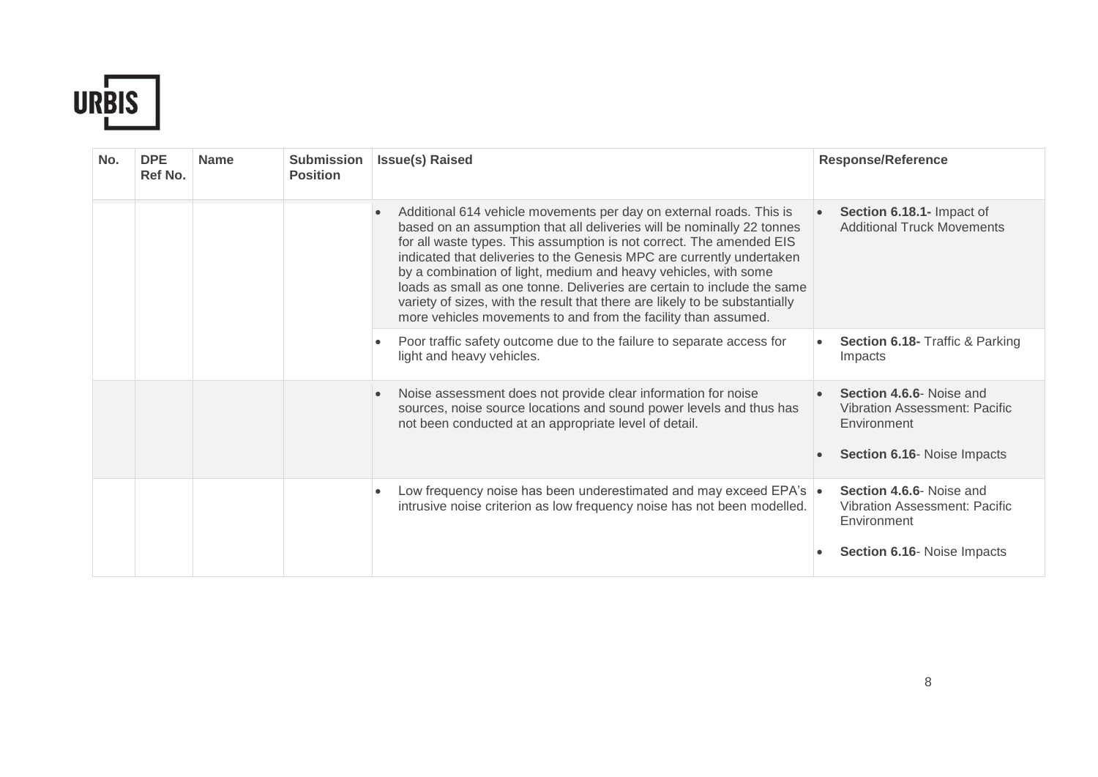

| No. | <b>DPE</b><br>Ref No. | <b>Name</b> | <b>Submission</b><br><b>Position</b> | <b>Issue(s) Raised</b>                                                                                                                                                                                                                                                                                                                                                                                                                                                                                                                                                                        | <b>Response/Reference</b>                                                                                             |
|-----|-----------------------|-------------|--------------------------------------|-----------------------------------------------------------------------------------------------------------------------------------------------------------------------------------------------------------------------------------------------------------------------------------------------------------------------------------------------------------------------------------------------------------------------------------------------------------------------------------------------------------------------------------------------------------------------------------------------|-----------------------------------------------------------------------------------------------------------------------|
|     |                       |             |                                      | Additional 614 vehicle movements per day on external roads. This is<br>based on an assumption that all deliveries will be nominally 22 tonnes<br>for all waste types. This assumption is not correct. The amended EIS<br>indicated that deliveries to the Genesis MPC are currently undertaken<br>by a combination of light, medium and heavy vehicles, with some<br>loads as small as one tonne. Deliveries are certain to include the same<br>variety of sizes, with the result that there are likely to be substantially<br>more vehicles movements to and from the facility than assumed. | Section 6.18.1- Impact of<br><b>Additional Truck Movements</b>                                                        |
|     |                       |             |                                      | Poor traffic safety outcome due to the failure to separate access for<br>light and heavy vehicles.                                                                                                                                                                                                                                                                                                                                                                                                                                                                                            | Section 6.18- Traffic & Parking<br>Impacts                                                                            |
|     |                       |             |                                      | Noise assessment does not provide clear information for noise<br>sources, noise source locations and sound power levels and thus has<br>not been conducted at an appropriate level of detail.                                                                                                                                                                                                                                                                                                                                                                                                 | Section 4.6.6- Noise and<br><b>Vibration Assessment: Pacific</b><br>Environment<br><b>Section 6.16- Noise Impacts</b> |
|     |                       |             |                                      | Low frequency noise has been underestimated and may exceed EPA's $\bullet$<br>intrusive noise criterion as low frequency noise has not been modelled.                                                                                                                                                                                                                                                                                                                                                                                                                                         | Section 4.6.6- Noise and<br>Vibration Assessment: Pacific<br>Environment<br>Section 6.16- Noise Impacts               |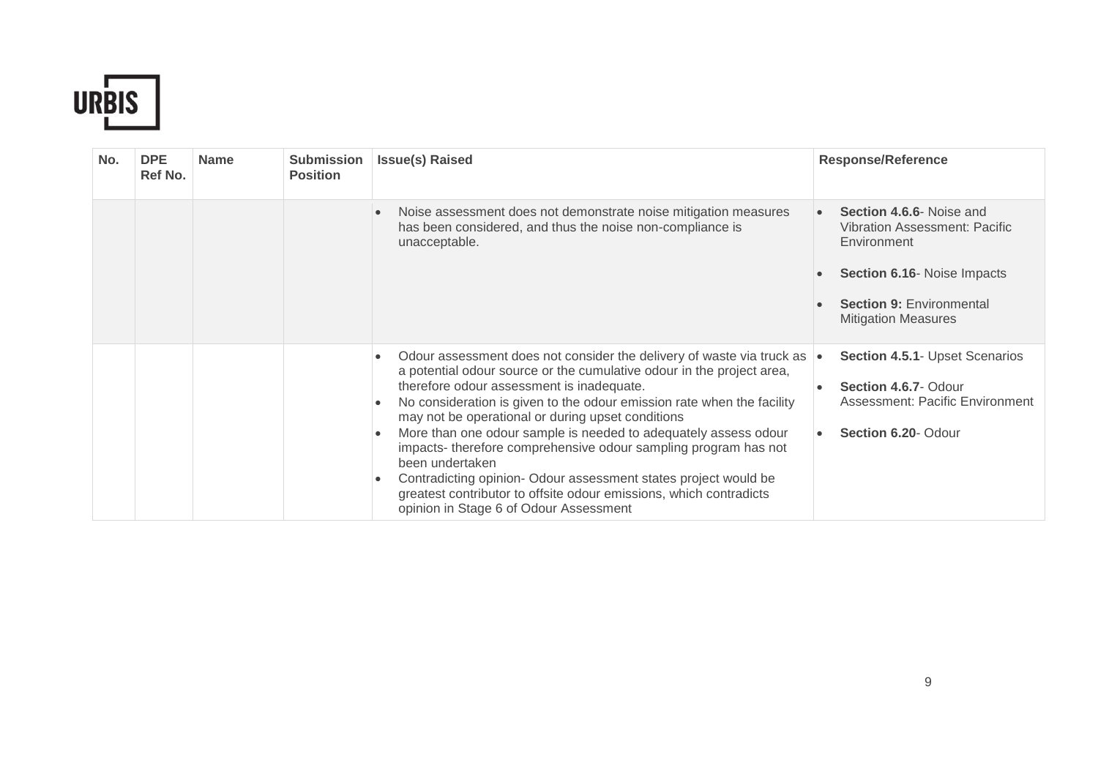

| No. | <b>DPE</b><br>Ref No. | <b>Name</b> | <b>Submission</b><br><b>Position</b> | <b>Issue(s) Raised</b>                                                                                                                                                                                                                                                                                                                                                                                                                                                                                                                                                                                                                                                                                       | <b>Response/Reference</b>                                                                                                                                                       |
|-----|-----------------------|-------------|--------------------------------------|--------------------------------------------------------------------------------------------------------------------------------------------------------------------------------------------------------------------------------------------------------------------------------------------------------------------------------------------------------------------------------------------------------------------------------------------------------------------------------------------------------------------------------------------------------------------------------------------------------------------------------------------------------------------------------------------------------------|---------------------------------------------------------------------------------------------------------------------------------------------------------------------------------|
|     |                       |             |                                      | Noise assessment does not demonstrate noise mitigation measures<br>$\bullet$<br>has been considered, and thus the noise non-compliance is<br>unacceptable.                                                                                                                                                                                                                                                                                                                                                                                                                                                                                                                                                   | Section 4.6.6- Noise and<br>Vibration Assessment: Pacific<br>Environment<br><b>Section 6.16- Noise Impacts</b><br><b>Section 9: Environmental</b><br><b>Mitigation Measures</b> |
|     |                       |             |                                      | Odour assessment does not consider the delivery of waste via truck as $\cdot$<br>a potential odour source or the cumulative odour in the project area,<br>therefore odour assessment is inadequate.<br>No consideration is given to the odour emission rate when the facility<br>$\bullet$<br>may not be operational or during upset conditions<br>More than one odour sample is needed to adequately assess odour<br>$\bullet$<br>impacts-therefore comprehensive odour sampling program has not<br>been undertaken<br>Contradicting opinion- Odour assessment states project would be<br>٠<br>greatest contributor to offsite odour emissions, which contradicts<br>opinion in Stage 6 of Odour Assessment | Section 4.5.1- Upset Scenarios<br>Section 4.6.7- Odour<br>Assessment: Pacific Environment<br>Section 6.20- Odour                                                                |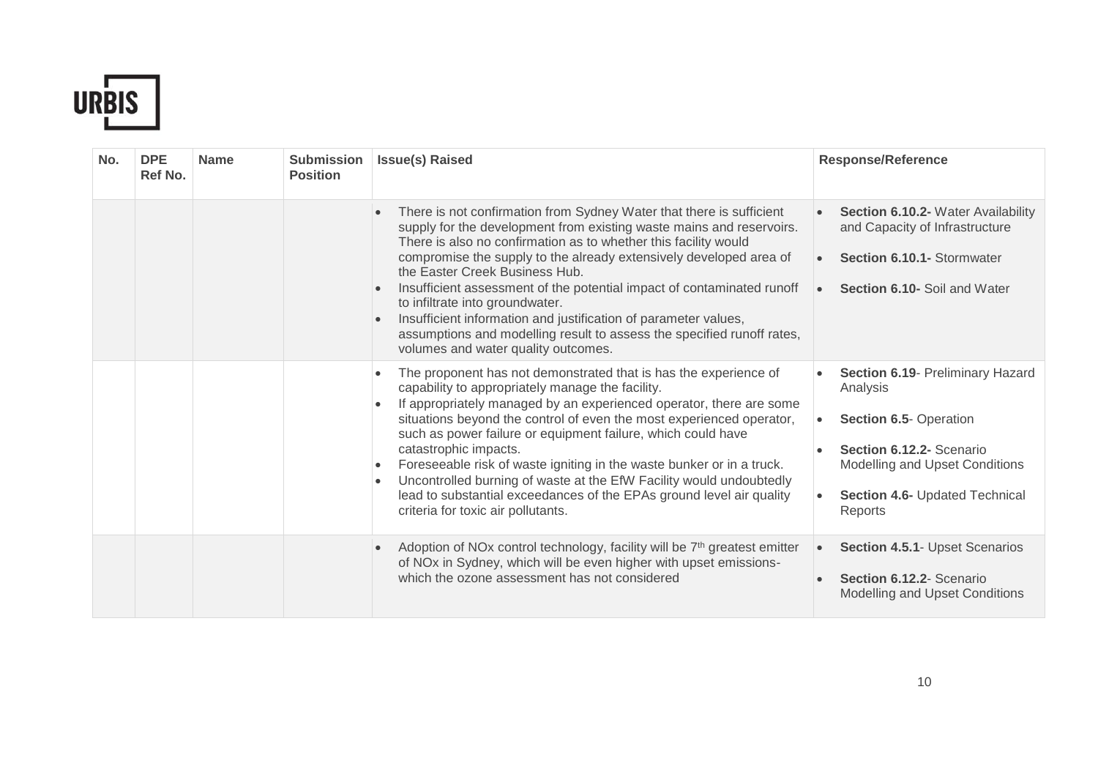

| No. | <b>DPE</b><br>Ref No. | <b>Name</b> | <b>Submission</b><br><b>Position</b> | <b>Issue(s) Raised</b>                                                                                                                                                                                                                                                                                                                                                                                                                                                                                                                                                                                                                                            | <b>Response/Reference</b>                                                                                                                                                         |
|-----|-----------------------|-------------|--------------------------------------|-------------------------------------------------------------------------------------------------------------------------------------------------------------------------------------------------------------------------------------------------------------------------------------------------------------------------------------------------------------------------------------------------------------------------------------------------------------------------------------------------------------------------------------------------------------------------------------------------------------------------------------------------------------------|-----------------------------------------------------------------------------------------------------------------------------------------------------------------------------------|
|     |                       |             |                                      | There is not confirmation from Sydney Water that there is sufficient<br>$\bullet$<br>supply for the development from existing waste mains and reservoirs.<br>There is also no confirmation as to whether this facility would<br>compromise the supply to the already extensively developed area of<br>the Easter Creek Business Hub.<br>Insufficient assessment of the potential impact of contaminated runoff<br>$\bullet$<br>to infiltrate into groundwater.<br>Insufficient information and justification of parameter values,<br>$\bullet$<br>assumptions and modelling result to assess the specified runoff rates,<br>volumes and water quality outcomes.   | Section 6.10.2- Water Availability<br>and Capacity of Infrastructure<br>Section 6.10.1- Stormwater<br>Section 6.10- Soil and Water<br>$\bullet$                                   |
|     |                       |             |                                      | The proponent has not demonstrated that is has the experience of<br>$\bullet$<br>capability to appropriately manage the facility.<br>If appropriately managed by an experienced operator, there are some<br>situations beyond the control of even the most experienced operator,<br>such as power failure or equipment failure, which could have<br>catastrophic impacts.<br>Foreseeable risk of waste igniting in the waste bunker or in a truck.<br>$\bullet$<br>Uncontrolled burning of waste at the EfW Facility would undoubtedly<br>$\bullet$<br>lead to substantial exceedances of the EPAs ground level air quality<br>criteria for toxic air pollutants. | Section 6.19- Preliminary Hazard<br>Analysis<br>Section 6.5- Operation<br>Section 6.12.2- Scenario<br>Modelling and Upset Conditions<br>Section 4.6- Updated Technical<br>Reports |
|     |                       |             |                                      | Adoption of NOx control technology, facility will be 7 <sup>th</sup> greatest emitter<br>$\bullet$<br>of NO <sub>x</sub> in Sydney, which will be even higher with upset emissions-<br>which the ozone assessment has not considered                                                                                                                                                                                                                                                                                                                                                                                                                              | Section 4.5.1- Upset Scenarios<br>$\bullet$<br>Section 6.12.2- Scenario<br>Modelling and Upset Conditions                                                                         |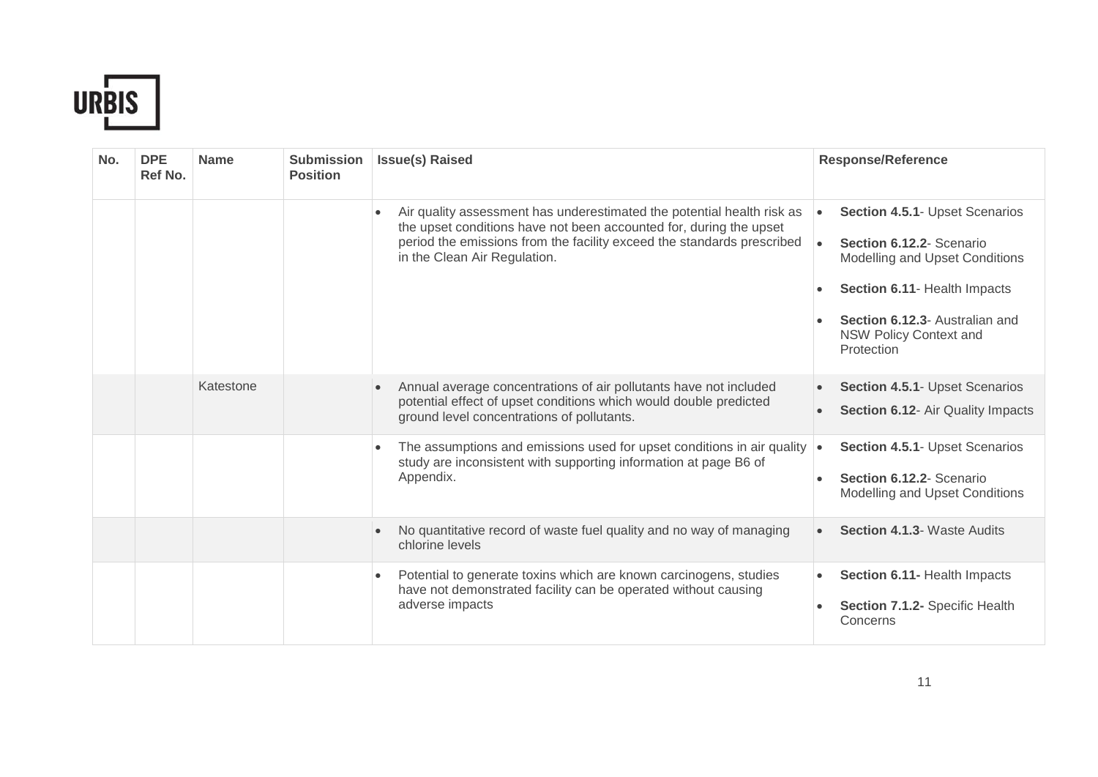

| No. | <b>DPE</b><br>Ref No. | <b>Name</b> | <b>Submission</b><br><b>Position</b> | <b>Issue(s) Raised</b>                                                                                                                                                                                                                                 | <b>Response/Reference</b>                                                                                                                                                                                                  |
|-----|-----------------------|-------------|--------------------------------------|--------------------------------------------------------------------------------------------------------------------------------------------------------------------------------------------------------------------------------------------------------|----------------------------------------------------------------------------------------------------------------------------------------------------------------------------------------------------------------------------|
|     |                       |             |                                      | Air quality assessment has underestimated the potential health risk as<br>the upset conditions have not been accounted for, during the upset<br>period the emissions from the facility exceed the standards prescribed<br>in the Clean Air Regulation. | Section 4.5.1- Upset Scenarios<br>Section 6.12.2- Scenario<br>$\bullet$<br>Modelling and Upset Conditions<br>Section 6.11- Health Impacts<br>Section 6.12.3- Australian and<br><b>NSW Policy Context and</b><br>Protection |
|     |                       | Katestone   |                                      | Annual average concentrations of air pollutants have not included<br>$\bullet$<br>potential effect of upset conditions which would double predicted<br>ground level concentrations of pollutants.                                                      | Section 4.5.1- Upset Scenarios<br>Section 6.12- Air Quality Impacts                                                                                                                                                        |
|     |                       |             |                                      | The assumptions and emissions used for upset conditions in air quality<br>$\bullet$<br>study are inconsistent with supporting information at page B6 of<br>Appendix.                                                                                   | Section 4.5.1- Upset Scenarios<br>$\bullet$<br>Section 6.12.2- Scenario<br>Modelling and Upset Conditions                                                                                                                  |
|     |                       |             |                                      | No quantitative record of waste fuel quality and no way of managing<br>chlorine levels                                                                                                                                                                 | Section 4.1.3- Waste Audits                                                                                                                                                                                                |
|     |                       |             |                                      | Potential to generate toxins which are known carcinogens, studies<br>$\bullet$<br>have not demonstrated facility can be operated without causing<br>adverse impacts                                                                                    | Section 6.11- Health Impacts<br>$\bullet$<br>Section 7.1.2- Specific Health<br>Concerns                                                                                                                                    |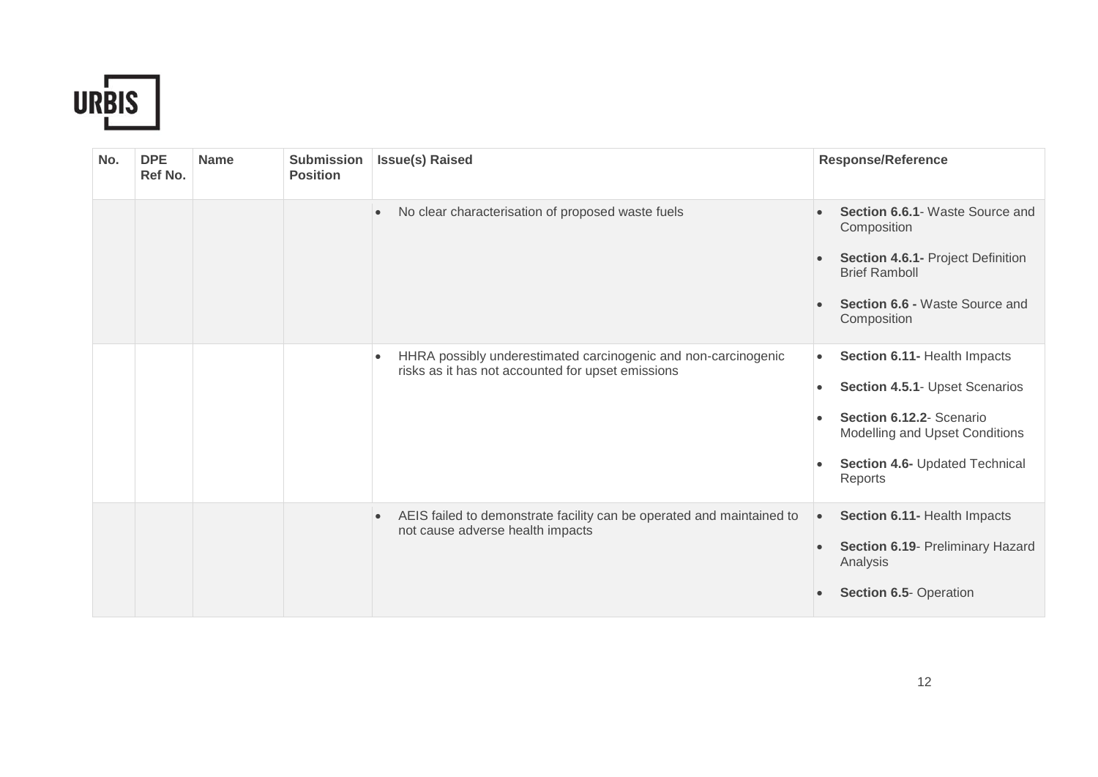

| No. | <b>DPE</b><br>Ref No. | <b>Name</b> | <b>Submission</b><br><b>Position</b> | <b>Issue(s) Raised</b>                                                                                                           | <b>Response/Reference</b>                                                                                                                                                                           |
|-----|-----------------------|-------------|--------------------------------------|----------------------------------------------------------------------------------------------------------------------------------|-----------------------------------------------------------------------------------------------------------------------------------------------------------------------------------------------------|
|     |                       |             |                                      | No clear characterisation of proposed waste fuels<br>$\bullet$                                                                   | Section 6.6.1- Waste Source and<br>Composition<br><b>Section 4.6.1- Project Definition</b><br><b>Brief Ramboll</b><br><b>Section 6.6 - Waste Source and</b><br>Composition                          |
|     |                       |             |                                      | HHRA possibly underestimated carcinogenic and non-carcinogenic<br>$\bullet$<br>risks as it has not accounted for upset emissions | Section 6.11- Health Impacts<br>$\bullet$<br>Section 4.5.1- Upset Scenarios<br>$\bullet$<br>Section 6.12.2- Scenario<br>Modelling and Upset Conditions<br>Section 4.6- Updated Technical<br>Reports |
|     |                       |             |                                      | AEIS failed to demonstrate facility can be operated and maintained to<br>$\bullet$<br>not cause adverse health impacts           | Section 6.11- Health Impacts<br>$\bullet$<br>Section 6.19- Preliminary Hazard<br>$\bullet$<br>Analysis<br><b>Section 6.5- Operation</b>                                                             |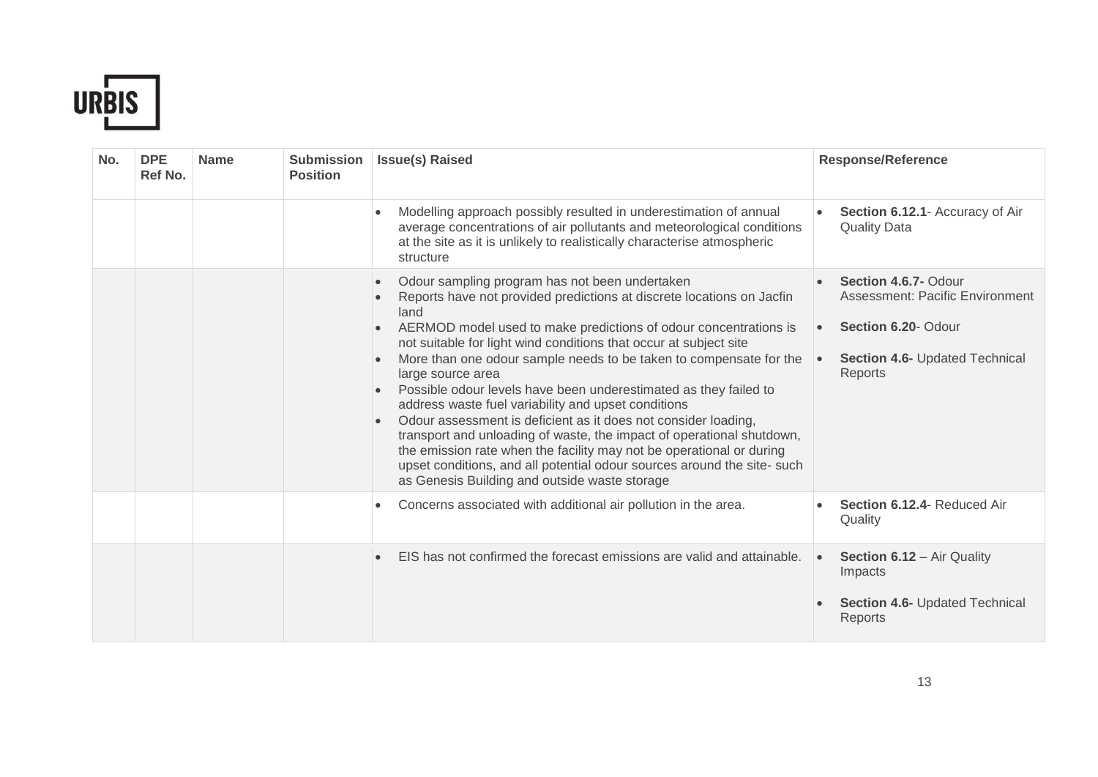

| No. | <b>DPE</b><br>Ref No. | <b>Name</b> | <b>Submission</b><br><b>Position</b> | <b>Issue(s) Raised</b>                                                                                                                                                                                                                                                                                                                                                                                                                                                                                                                                                                                                                                                                                                                                                                                                                                                                            | <b>Response/Reference</b>                                                                                                                       |
|-----|-----------------------|-------------|--------------------------------------|---------------------------------------------------------------------------------------------------------------------------------------------------------------------------------------------------------------------------------------------------------------------------------------------------------------------------------------------------------------------------------------------------------------------------------------------------------------------------------------------------------------------------------------------------------------------------------------------------------------------------------------------------------------------------------------------------------------------------------------------------------------------------------------------------------------------------------------------------------------------------------------------------|-------------------------------------------------------------------------------------------------------------------------------------------------|
|     |                       |             |                                      | Modelling approach possibly resulted in underestimation of annual<br>average concentrations of air pollutants and meteorological conditions<br>at the site as it is unlikely to realistically characterise atmospheric<br>structure                                                                                                                                                                                                                                                                                                                                                                                                                                                                                                                                                                                                                                                               | Section 6.12.1- Accuracy of Air<br><b>Quality Data</b>                                                                                          |
|     |                       |             |                                      | Odour sampling program has not been undertaken<br>$\bullet$<br>Reports have not provided predictions at discrete locations on Jacfin<br>land<br>AERMOD model used to make predictions of odour concentrations is<br>$\bullet$<br>not suitable for light wind conditions that occur at subject site<br>More than one odour sample needs to be taken to compensate for the<br>$\bullet$<br>large source area<br>Possible odour levels have been underestimated as they failed to<br>address waste fuel variability and upset conditions<br>Odour assessment is deficient as it does not consider loading,<br>$\bullet$<br>transport and unloading of waste, the impact of operational shutdown,<br>the emission rate when the facility may not be operational or during<br>upset conditions, and all potential odour sources around the site- such<br>as Genesis Building and outside waste storage | Section 4.6.7- Odour<br>Assessment: Pacific Environment<br>Section 6.20- Odour<br><b>Section 4.6- Updated Technical</b><br>$\bullet$<br>Reports |
|     |                       |             |                                      | Concerns associated with additional air pollution in the area.<br>$\bullet$                                                                                                                                                                                                                                                                                                                                                                                                                                                                                                                                                                                                                                                                                                                                                                                                                       | Section 6.12.4- Reduced Air<br>Quality                                                                                                          |
|     |                       |             |                                      | EIS has not confirmed the forecast emissions are valid and attainable.                                                                                                                                                                                                                                                                                                                                                                                                                                                                                                                                                                                                                                                                                                                                                                                                                            | Section 6.12 - Air Quality<br>$\bullet$<br>Impacts<br>Section 4.6- Updated Technical<br>Reports                                                 |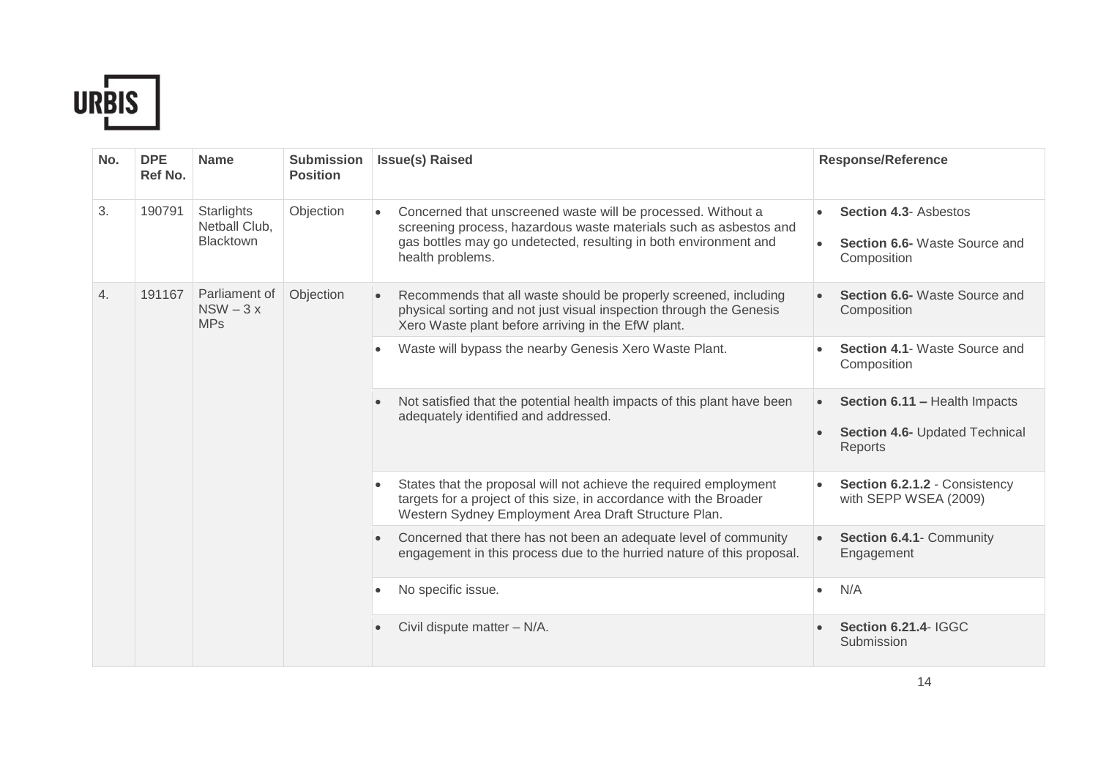

| No. | <b>DPE</b><br>Ref No. | <b>Name</b>                                     | <b>Submission</b><br><b>Position</b>                                                                            | <b>Issue(s) Raised</b>                                                                                                                                                                                                                 | <b>Response/Reference</b>                                                                                                                                                                       |                                                                     |
|-----|-----------------------|-------------------------------------------------|-----------------------------------------------------------------------------------------------------------------|----------------------------------------------------------------------------------------------------------------------------------------------------------------------------------------------------------------------------------------|-------------------------------------------------------------------------------------------------------------------------------------------------------------------------------------------------|---------------------------------------------------------------------|
| 3.  | 190791                | Starlights<br>Netball Club,<br><b>Blacktown</b> | Objection                                                                                                       | Concerned that unscreened waste will be processed. Without a<br>$\bullet$<br>screening process, hazardous waste materials such as asbestos and<br>gas bottles may go undetected, resulting in both environment and<br>health problems. | <b>Section 4.3- Asbestos</b><br>Section 6.6- Waste Source and<br>Composition                                                                                                                    |                                                                     |
| 4.  | 191167                | Parliament of<br>$NSW - 3x$<br><b>MPs</b>       | Objection                                                                                                       | Recommends that all waste should be properly screened, including<br>$\bullet$<br>physical sorting and not just visual inspection through the Genesis<br>Xero Waste plant before arriving in the EfW plant.                             | Section 6.6- Waste Source and<br>Composition                                                                                                                                                    |                                                                     |
|     |                       | $\bullet$<br>$\bullet$<br>$\bullet$             |                                                                                                                 | Waste will bypass the nearby Genesis Xero Waste Plant.                                                                                                                                                                                 | Section 4.1- Waste Source and<br>Composition                                                                                                                                                    |                                                                     |
|     |                       |                                                 | Not satisfied that the potential health impacts of this plant have been<br>adequately identified and addressed. | Section 6.11 - Health Impacts<br>$\bullet$<br>Section 4.6- Updated Technical<br>Reports                                                                                                                                                |                                                                                                                                                                                                 |                                                                     |
|     |                       |                                                 |                                                                                                                 |                                                                                                                                                                                                                                        | States that the proposal will not achieve the required employment<br>targets for a project of this size, in accordance with the Broader<br>Western Sydney Employment Area Draft Structure Plan. | Section 6.2.1.2 - Consistency<br>$\bullet$<br>with SEPP WSEA (2009) |
|     |                       |                                                 |                                                                                                                 | Concerned that there has not been an adequate level of community<br>$\bullet$<br>engagement in this process due to the hurried nature of this proposal.                                                                                | Section 6.4.1- Community<br>Engagement                                                                                                                                                          |                                                                     |
|     |                       |                                                 |                                                                                                                 | No specific issue.                                                                                                                                                                                                                     | N/A<br>$\bullet$                                                                                                                                                                                |                                                                     |
|     |                       |                                                 |                                                                                                                 |                                                                                                                                                                                                                                        | Civil dispute matter - N/A.                                                                                                                                                                     | <b>Section 6.21.4- IGGC</b><br>Submission                           |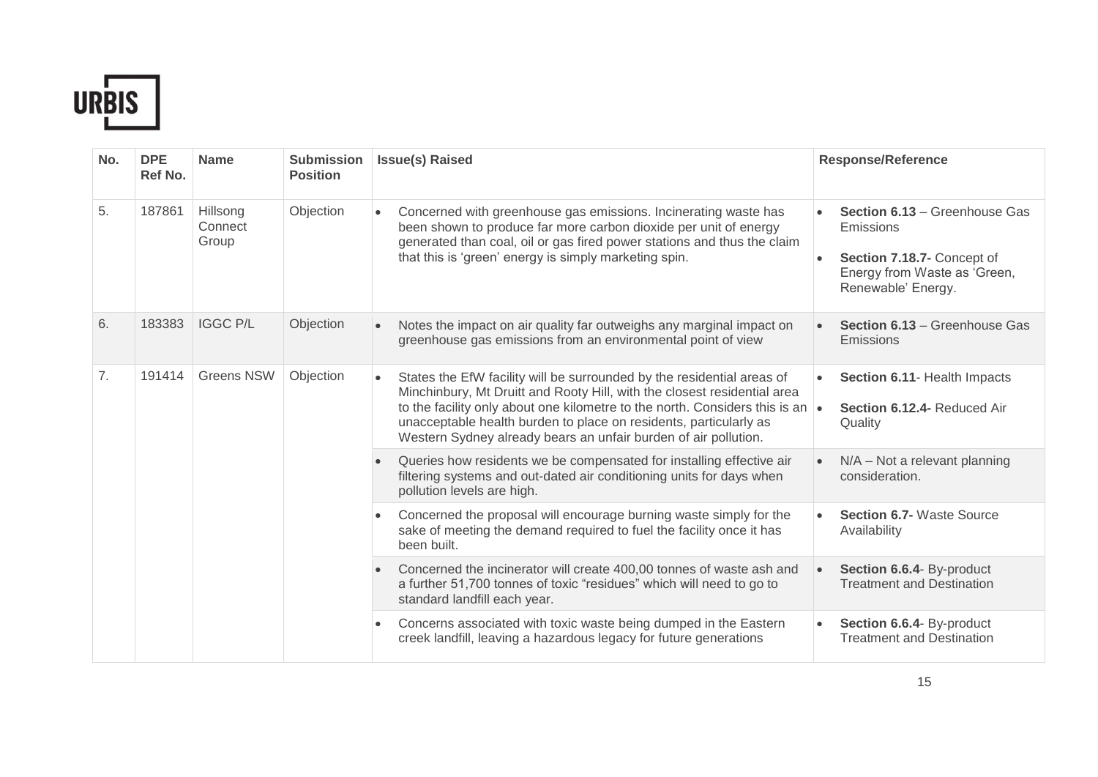

| No. | <b>DPE</b><br>Ref No. | <b>Name</b>                  | <b>Submission</b><br><b>Position</b>                                | <b>Issue(s) Raised</b>                                                                                                                                                                                                                                                               | <b>Response/Reference</b>                                                                                                                          |                                                                                                                                                                                                                                                                                                                                                                           |                                                                                                                                            |
|-----|-----------------------|------------------------------|---------------------------------------------------------------------|--------------------------------------------------------------------------------------------------------------------------------------------------------------------------------------------------------------------------------------------------------------------------------------|----------------------------------------------------------------------------------------------------------------------------------------------------|---------------------------------------------------------------------------------------------------------------------------------------------------------------------------------------------------------------------------------------------------------------------------------------------------------------------------------------------------------------------------|--------------------------------------------------------------------------------------------------------------------------------------------|
| 5.  | 187861                | Hillsong<br>Connect<br>Group | Objection                                                           | Concerned with greenhouse gas emissions. Incinerating waste has<br>$\bullet$<br>been shown to produce far more carbon dioxide per unit of energy<br>generated than coal, oil or gas fired power stations and thus the claim<br>that this is 'green' energy is simply marketing spin. | Section 6.13 - Greenhouse Gas<br>Emissions<br>Section 7.18.7- Concept of<br>Energy from Waste as 'Green,<br>Renewable' Energy.                     |                                                                                                                                                                                                                                                                                                                                                                           |                                                                                                                                            |
| 6.  | 183383                | <b>IGGC P/L</b>              | Objection                                                           | Notes the impact on air quality far outweighs any marginal impact on<br>greenhouse gas emissions from an environmental point of view                                                                                                                                                 | <b>Section 6.13 - Greenhouse Gas</b><br>Emissions                                                                                                  |                                                                                                                                                                                                                                                                                                                                                                           |                                                                                                                                            |
| 7.  | 191414                | <b>Greens NSW</b>            | $\bullet$<br>pollution levels are high.<br>$\bullet$<br>been built. |                                                                                                                                                                                                                                                                                      | Objection                                                                                                                                          | States the EfW facility will be surrounded by the residential areas of<br>Minchinbury, Mt Druitt and Rooty Hill, with the closest residential area<br>to the facility only about one kilometre to the north. Considers this is an<br>unacceptable health burden to place on residents, particularly as<br>Western Sydney already bears an unfair burden of air pollution. | Section 6.11- Health Impacts<br>Section 6.12.4- Reduced Air<br>Quality                                                                     |
|     |                       |                              |                                                                     | Queries how residents we be compensated for installing effective air<br>filtering systems and out-dated air conditioning units for days when                                                                                                                                         | $N/A$ – Not a relevant planning<br>consideration.                                                                                                  |                                                                                                                                                                                                                                                                                                                                                                           |                                                                                                                                            |
|     |                       |                              |                                                                     |                                                                                                                                                                                                                                                                                      |                                                                                                                                                    |                                                                                                                                                                                                                                                                                                                                                                           | Concerned the proposal will encourage burning waste simply for the<br>sake of meeting the demand required to fuel the facility once it has |
|     |                       |                              |                                                                     | Concerned the incinerator will create 400,00 tonnes of waste ash and<br>$\bullet$<br>a further 51,700 tonnes of toxic "residues" which will need to go to<br>standard landfill each year.                                                                                            | Section 6.6.4- By-product<br><b>Treatment and Destination</b>                                                                                      |                                                                                                                                                                                                                                                                                                                                                                           |                                                                                                                                            |
|     |                       |                              |                                                                     |                                                                                                                                                                                                                                                                                      | Concerns associated with toxic waste being dumped in the Eastern<br>$\bullet$<br>creek landfill, leaving a hazardous legacy for future generations | Section 6.6.4- By-product<br><b>Treatment and Destination</b>                                                                                                                                                                                                                                                                                                             |                                                                                                                                            |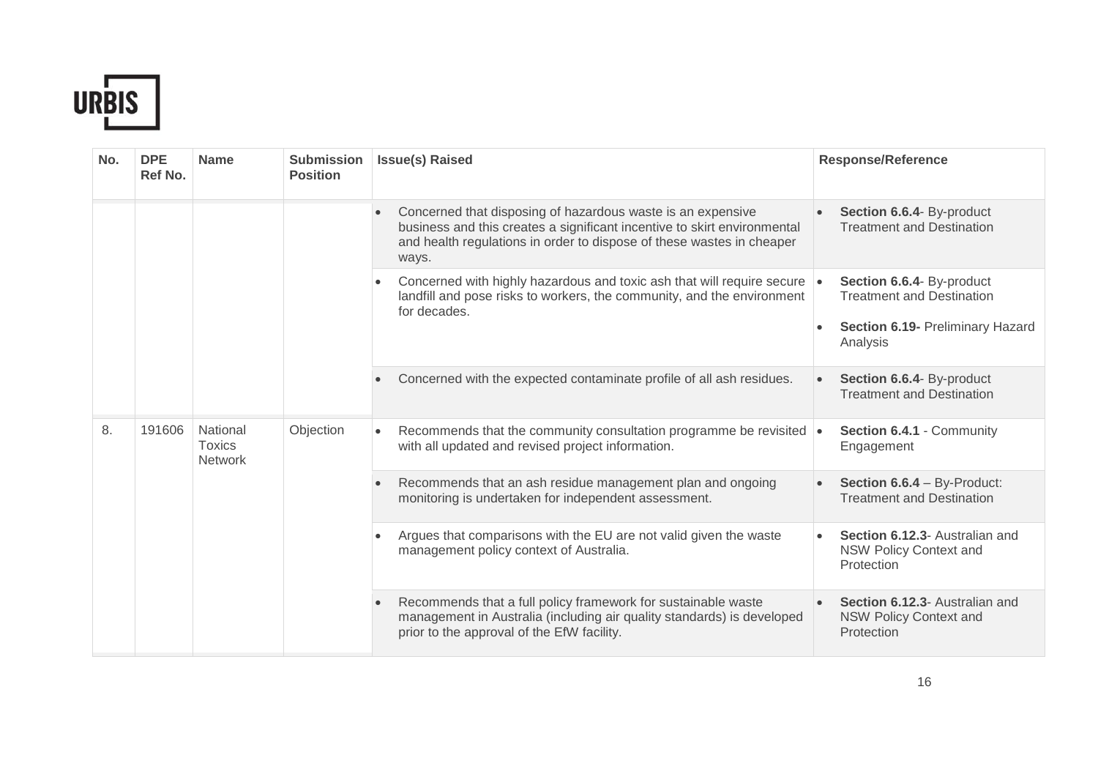

| No. | <b>DPE</b><br>Ref No. | <b>Name</b>                                 | <b>Submission</b><br><b>Position</b> | <b>Issue(s) Raised</b>                                                                                                                                                                                                                 | <b>Response/Reference</b>                                                                                     |
|-----|-----------------------|---------------------------------------------|--------------------------------------|----------------------------------------------------------------------------------------------------------------------------------------------------------------------------------------------------------------------------------------|---------------------------------------------------------------------------------------------------------------|
|     |                       |                                             |                                      | Concerned that disposing of hazardous waste is an expensive<br>$\bullet$<br>business and this creates a significant incentive to skirt environmental<br>and health regulations in order to dispose of these wastes in cheaper<br>ways. | Section 6.6.4- By-product<br><b>Treatment and Destination</b>                                                 |
|     |                       |                                             |                                      | Concerned with highly hazardous and toxic ash that will require secure<br>landfill and pose risks to workers, the community, and the environment<br>for decades.                                                                       | Section 6.6.4- By-product<br><b>Treatment and Destination</b><br>Section 6.19- Preliminary Hazard<br>Analysis |
|     |                       |                                             |                                      | Concerned with the expected contaminate profile of all ash residues.                                                                                                                                                                   | Section 6.6.4- By-product<br><b>Treatment and Destination</b>                                                 |
| 8.  | 191606                | National<br><b>Toxics</b><br><b>Network</b> | Objection                            | Recommends that the community consultation programme be revisited $\cdot$<br>$\bullet$<br>with all updated and revised project information.                                                                                            | Section 6.4.1 - Community<br>Engagement                                                                       |
|     |                       |                                             |                                      | Recommends that an ash residue management plan and ongoing<br>monitoring is undertaken for independent assessment.                                                                                                                     | Section 6.6.4 - By-Product:<br><b>Treatment and Destination</b>                                               |
|     |                       |                                             |                                      | Argues that comparisons with the EU are not valid given the waste<br>$\bullet$<br>management policy context of Australia.                                                                                                              | Section 6.12.3- Australian and<br><b>NSW Policy Context and</b><br>Protection                                 |
|     |                       |                                             |                                      | Recommends that a full policy framework for sustainable waste<br>management in Australia (including air quality standards) is developed<br>prior to the approval of the EfW facility.                                                  | Section 6.12.3- Australian and<br><b>NSW Policy Context and</b><br>Protection                                 |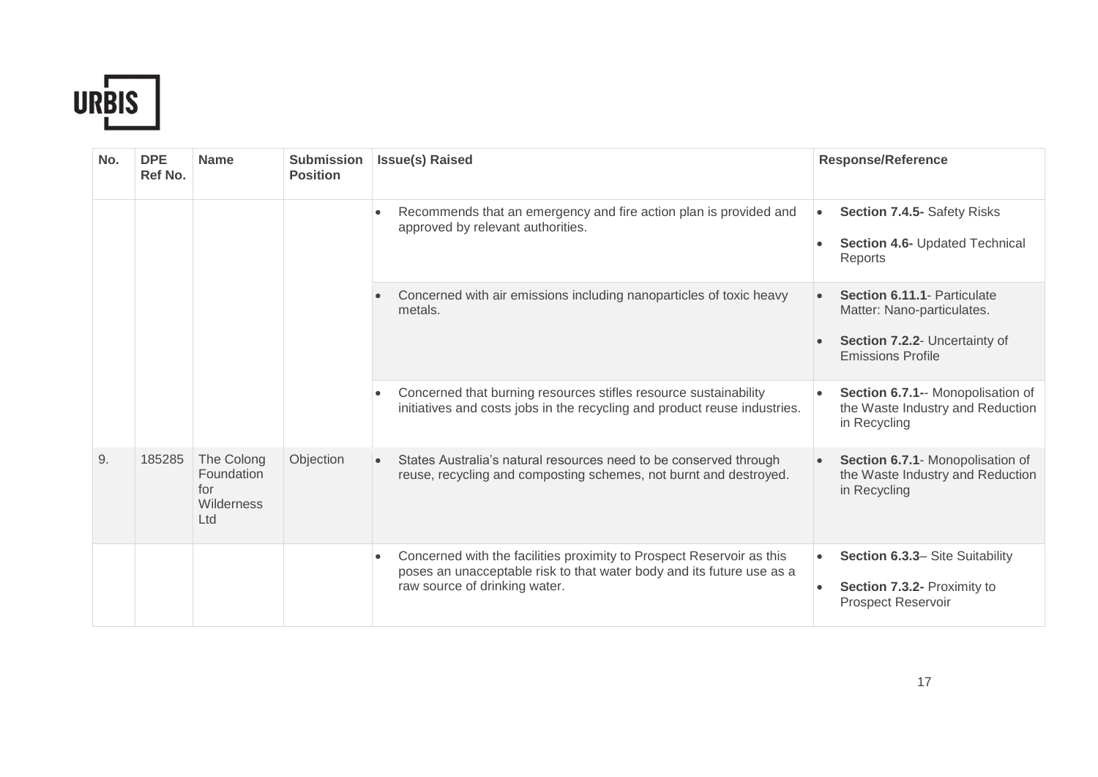

| No. | <b>DPE</b><br>Ref No. | <b>Name</b>                                          | <b>Submission</b><br><b>Position</b> | <b>Issue(s) Raised</b>                                                                                                                                     | <b>Response/Reference</b>                                                                                                                                                                    |                                                                                             |
|-----|-----------------------|------------------------------------------------------|--------------------------------------|------------------------------------------------------------------------------------------------------------------------------------------------------------|----------------------------------------------------------------------------------------------------------------------------------------------------------------------------------------------|---------------------------------------------------------------------------------------------|
|     |                       |                                                      |                                      | Recommends that an emergency and fire action plan is provided and<br>approved by relevant authorities.                                                     | Section 7.4.5- Safety Risks<br>$\bullet$<br>Section 4.6- Updated Technical<br>Reports                                                                                                        |                                                                                             |
|     |                       |                                                      |                                      | Concerned with air emissions including nanoparticles of toxic heavy<br>metals.                                                                             | <b>Section 6.11.1- Particulate</b><br>Matter: Nano-particulates.<br>Section 7.2.2- Uncertainty of<br><b>Emissions Profile</b>                                                                |                                                                                             |
|     |                       |                                                      |                                      | Concerned that burning resources stifles resource sustainability<br>$\bullet$<br>initiatives and costs jobs in the recycling and product reuse industries. | Section 6.7.1-- Monopolisation of<br>the Waste Industry and Reduction<br>in Recycling                                                                                                        |                                                                                             |
| 9.  | 185285                | The Colong<br>Foundation<br>for<br>Wilderness<br>Ltd | Objection                            | States Australia's natural resources need to be conserved through<br>$\bullet$<br>reuse, recycling and composting schemes, not burnt and destroyed.        | Section 6.7.1- Monopolisation of<br>the Waste Industry and Reduction<br>in Recycling                                                                                                         |                                                                                             |
|     |                       |                                                      |                                      |                                                                                                                                                            | Concerned with the facilities proximity to Prospect Reservoir as this<br>$\bullet$<br>poses an unacceptable risk to that water body and its future use as a<br>raw source of drinking water. | Section 6.3.3- Site Suitability<br>Section 7.3.2- Proximity to<br><b>Prospect Reservoir</b> |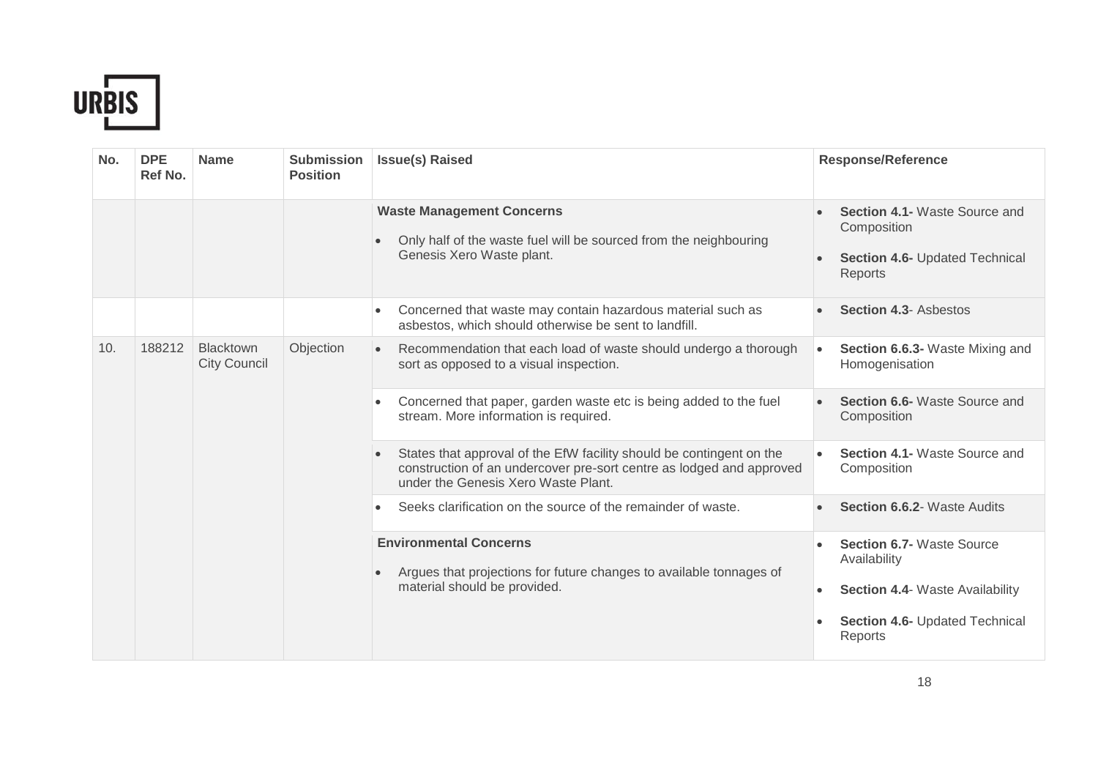

| No. | <b>DPE</b><br>Ref No. | <b>Name</b>                             | <b>Submission</b><br><b>Position</b> | <b>Issue(s) Raised</b>                                                                                                                                                                           | <b>Response/Reference</b>                                                                                                               |  |  |  |  |                                                                           |
|-----|-----------------------|-----------------------------------------|--------------------------------------|--------------------------------------------------------------------------------------------------------------------------------------------------------------------------------------------------|-----------------------------------------------------------------------------------------------------------------------------------------|--|--|--|--|---------------------------------------------------------------------------|
|     |                       |                                         |                                      | <b>Waste Management Concerns</b><br>Only half of the waste fuel will be sourced from the neighbouring<br>$\bullet$<br>Genesis Xero Waste plant.                                                  | <b>Section 4.1- Waste Source and</b><br>Composition<br>Section 4.6- Updated Technical<br>Reports                                        |  |  |  |  |                                                                           |
|     |                       |                                         |                                      | Concerned that waste may contain hazardous material such as<br>$\bullet$<br>asbestos, which should otherwise be sent to landfill.                                                                | <b>Section 4.3- Asbestos</b>                                                                                                            |  |  |  |  |                                                                           |
| 10. | 188212                | <b>Blacktown</b><br><b>City Council</b> | Objection                            | Recommendation that each load of waste should undergo a thorough<br>$\bullet$<br>sort as opposed to a visual inspection.                                                                         | Section 6.6.3- Waste Mixing and<br>Homogenisation                                                                                       |  |  |  |  |                                                                           |
|     |                       |                                         |                                      | Concerned that paper, garden waste etc is being added to the fuel<br>$\bullet$<br>stream. More information is required.                                                                          | <b>Section 6.6-</b> Waste Source and<br>Composition                                                                                     |  |  |  |  |                                                                           |
|     |                       |                                         |                                      | States that approval of the EfW facility should be contingent on the<br>$\bullet$<br>construction of an undercover pre-sort centre as lodged and approved<br>under the Genesis Xero Waste Plant. | Section 4.1- Waste Source and<br>Composition                                                                                            |  |  |  |  |                                                                           |
|     |                       |                                         |                                      |                                                                                                                                                                                                  |                                                                                                                                         |  |  |  |  | Seeks clarification on the source of the remainder of waste.<br>$\bullet$ |
|     |                       |                                         |                                      | <b>Environmental Concerns</b><br>Argues that projections for future changes to available tonnages of<br>$\bullet$<br>material should be provided.                                                | <b>Section 6.7- Waste Source</b><br>Availability<br><b>Section 4.4- Waste Availability</b><br>Section 4.6- Updated Technical<br>Reports |  |  |  |  |                                                                           |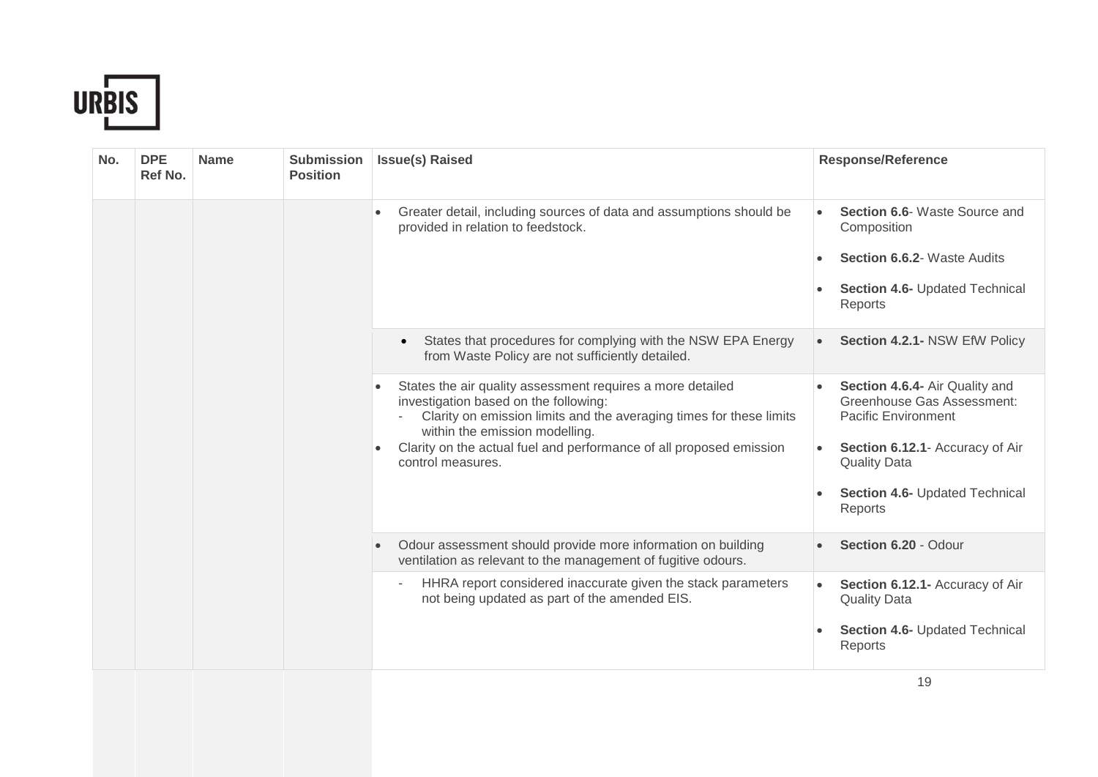

| No. | <b>DPE</b><br>Ref No. | <b>Name</b> | <b>Submission</b><br><b>Position</b> | <b>Issue(s) Raised</b>                                                                                                                                                                                                                                                                                                             | <b>Response/Reference</b>                                                                                                                                                                         |
|-----|-----------------------|-------------|--------------------------------------|------------------------------------------------------------------------------------------------------------------------------------------------------------------------------------------------------------------------------------------------------------------------------------------------------------------------------------|---------------------------------------------------------------------------------------------------------------------------------------------------------------------------------------------------|
|     |                       |             |                                      | Greater detail, including sources of data and assumptions should be<br>$\bullet$<br>provided in relation to feedstock.                                                                                                                                                                                                             | Section 6.6- Waste Source and<br>Composition<br><b>Section 6.6.2- Waste Audits</b><br>Section 4.6- Updated Technical<br>Reports                                                                   |
|     |                       |             |                                      | States that procedures for complying with the NSW EPA Energy<br>$\bullet$<br>from Waste Policy are not sufficiently detailed.                                                                                                                                                                                                      | Section 4.2.1- NSW EfW Policy                                                                                                                                                                     |
|     |                       |             |                                      | States the air quality assessment requires a more detailed<br>$\bullet$<br>investigation based on the following:<br>Clarity on emission limits and the averaging times for these limits<br>within the emission modelling.<br>Clarity on the actual fuel and performance of all proposed emission<br>$\bullet$<br>control measures. | Section 4.6.4- Air Quality and<br>Greenhouse Gas Assessment:<br><b>Pacific Environment</b><br>Section 6.12.1- Accuracy of Air<br><b>Quality Data</b><br>Section 4.6- Updated Technical<br>Reports |
|     |                       |             |                                      | Odour assessment should provide more information on building<br>ventilation as relevant to the management of fugitive odours.                                                                                                                                                                                                      | Section 6.20 - Odour                                                                                                                                                                              |
|     |                       |             |                                      | HHRA report considered inaccurate given the stack parameters<br>not being updated as part of the amended EIS.                                                                                                                                                                                                                      | Section 6.12.1- Accuracy of Air<br><b>Quality Data</b><br>Section 4.6- Updated Technical<br>Reports                                                                                               |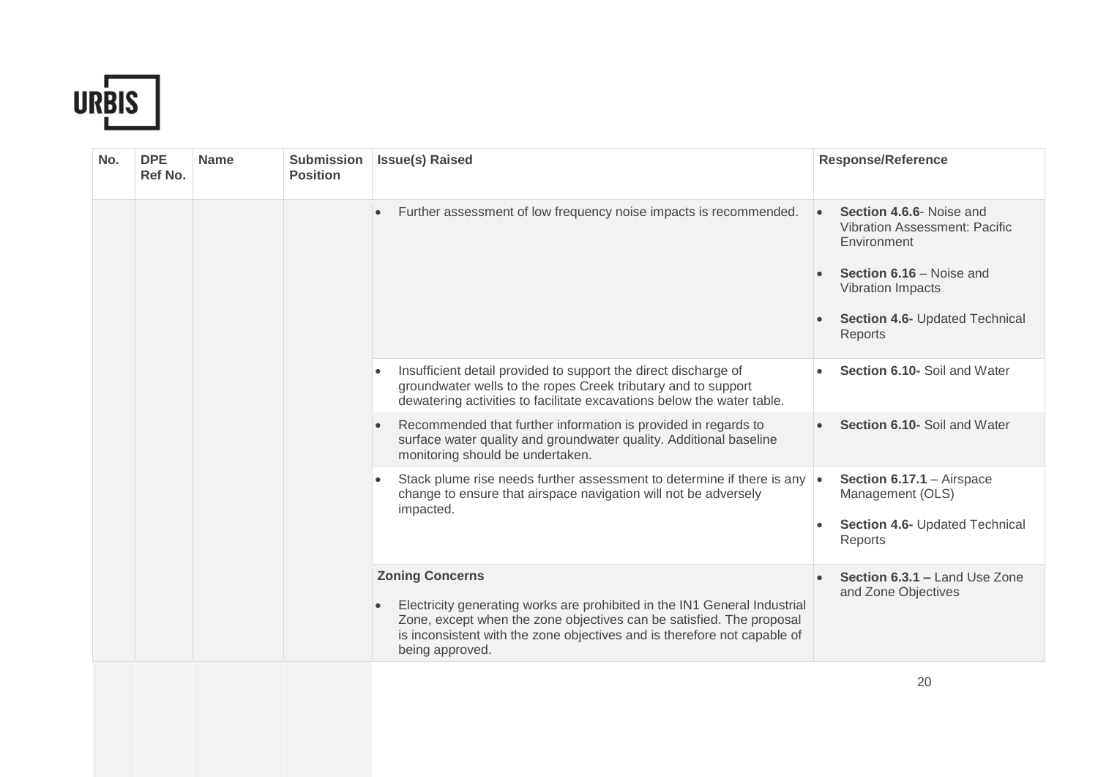

| No. | <b>DPE</b><br>Ref No. | <b>Name</b> | <b>Submission</b><br><b>Position</b>                                                                                                                                                                                                                                       | <b>Issue(s) Raised</b>                                                                                                                                                                                                  | <b>Response/Reference</b>                                                                                                                                                     |
|-----|-----------------------|-------------|----------------------------------------------------------------------------------------------------------------------------------------------------------------------------------------------------------------------------------------------------------------------------|-------------------------------------------------------------------------------------------------------------------------------------------------------------------------------------------------------------------------|-------------------------------------------------------------------------------------------------------------------------------------------------------------------------------|
|     |                       |             |                                                                                                                                                                                                                                                                            | Further assessment of low frequency noise impacts is recommended.<br>$\bullet$                                                                                                                                          | Section 4.6.6- Noise and<br><b>Vibration Assessment: Pacific</b><br>Environment<br>Section 6.16 – Noise and<br>Vibration Impacts<br>Section 4.6- Updated Technical<br>Reports |
|     |                       |             |                                                                                                                                                                                                                                                                            | Insufficient detail provided to support the direct discharge of<br>$\bullet$<br>groundwater wells to the ropes Creek tributary and to support<br>dewatering activities to facilitate excavations below the water table. | Section 6.10- Soil and Water                                                                                                                                                  |
|     |                       |             |                                                                                                                                                                                                                                                                            | Recommended that further information is provided in regards to<br>$\bullet$<br>surface water quality and groundwater quality. Additional baseline<br>monitoring should be undertaken.                                   | Section 6.10- Soil and Water                                                                                                                                                  |
|     |                       |             |                                                                                                                                                                                                                                                                            | Stack plume rise needs further assessment to determine if there is any $\cdot$<br>$\bullet$<br>change to ensure that airspace navigation will not be adversely<br>impacted.                                             | Section 6.17.1 - Airspace<br>Management (OLS)<br>Section 4.6- Updated Technical<br>Reports                                                                                    |
|     |                       |             | <b>Zoning Concerns</b><br>Electricity generating works are prohibited in the IN1 General Industrial<br>Zone, except when the zone objectives can be satisfied. The proposal<br>is inconsistent with the zone objectives and is therefore not capable of<br>being approved. | Section 6.3.1 - Land Use Zone<br>and Zone Objectives                                                                                                                                                                    |                                                                                                                                                                               |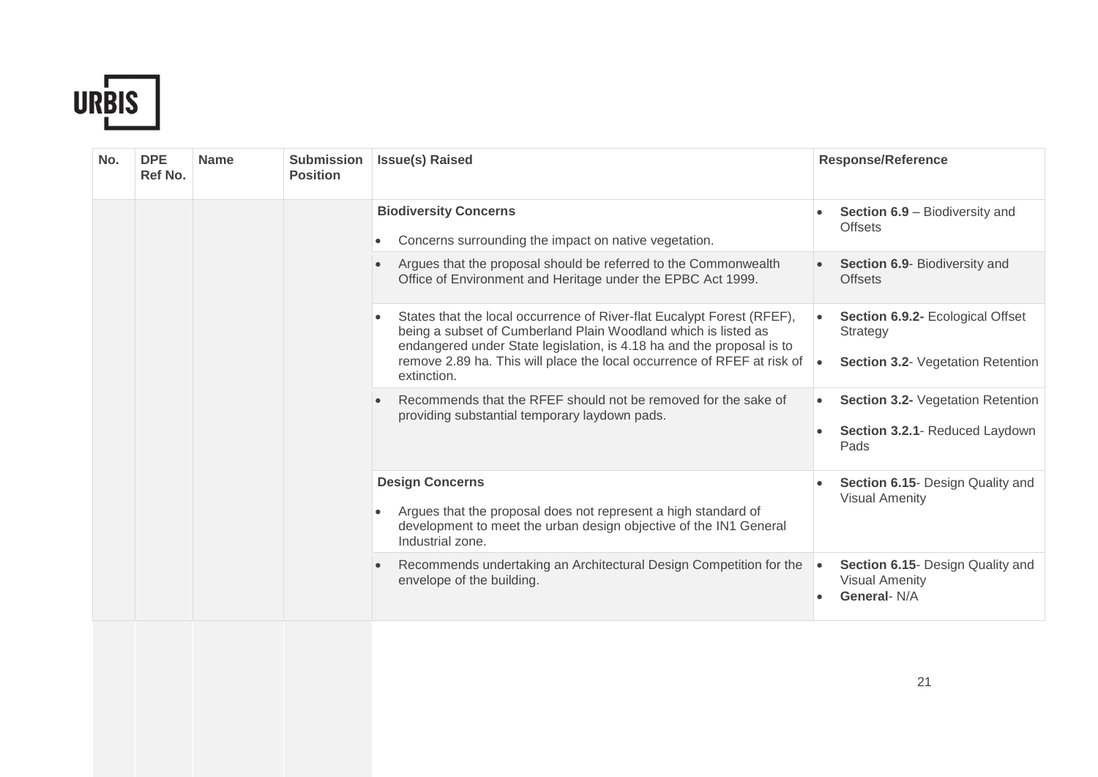

| No. | <b>DPE</b><br>Ref No. | <b>Name</b> | <b>Submission</b><br><b>Position</b> | <b>Issue(s) Raised</b>                                                                                                                                                                                                         | <b>Response/Reference</b>                                                              |
|-----|-----------------------|-------------|--------------------------------------|--------------------------------------------------------------------------------------------------------------------------------------------------------------------------------------------------------------------------------|----------------------------------------------------------------------------------------|
|     |                       |             |                                      | <b>Biodiversity Concerns</b><br>Concerns surrounding the impact on native vegetation.                                                                                                                                          | <b>Section 6.9 - Biodiversity and</b><br><b>Offsets</b>                                |
|     |                       |             |                                      | Argues that the proposal should be referred to the Commonwealth<br>$\bullet$<br>Office of Environment and Heritage under the EPBC Act 1999.                                                                                    | Section 6.9- Biodiversity and<br><b>Offsets</b>                                        |
|     |                       |             |                                      | States that the local occurrence of River-flat Eucalypt Forest (RFEF),<br>$\bullet$<br>being a subset of Cumberland Plain Woodland which is listed as<br>endangered under State legislation, is 4.18 ha and the proposal is to | Section 6.9.2- Ecological Offset<br>Strategy                                           |
|     |                       |             |                                      | remove 2.89 ha. This will place the local occurrence of RFEF at risk of<br>extinction.                                                                                                                                         | <b>Section 3.2- Vegetation Retention</b><br>$\bullet$                                  |
|     |                       |             |                                      | Recommends that the RFEF should not be removed for the sake of<br>providing substantial temporary laydown pads.                                                                                                                | Section 3.2- Vegetation Retention<br>$\bullet$                                         |
|     |                       |             |                                      |                                                                                                                                                                                                                                | Section 3.2.1- Reduced Laydown<br>Pads                                                 |
|     |                       |             |                                      | <b>Design Concerns</b>                                                                                                                                                                                                         | Section 6.15- Design Quality and<br><b>Visual Amenity</b>                              |
|     |                       |             |                                      | Argues that the proposal does not represent a high standard of<br>development to meet the urban design objective of the IN1 General<br>Industrial zone.                                                                        |                                                                                        |
|     |                       |             |                                      | Recommends undertaking an Architectural Design Competition for the<br>envelope of the building.                                                                                                                                | Section 6.15- Design Quality and<br>$\bullet$<br><b>Visual Amenity</b><br>General- N/A |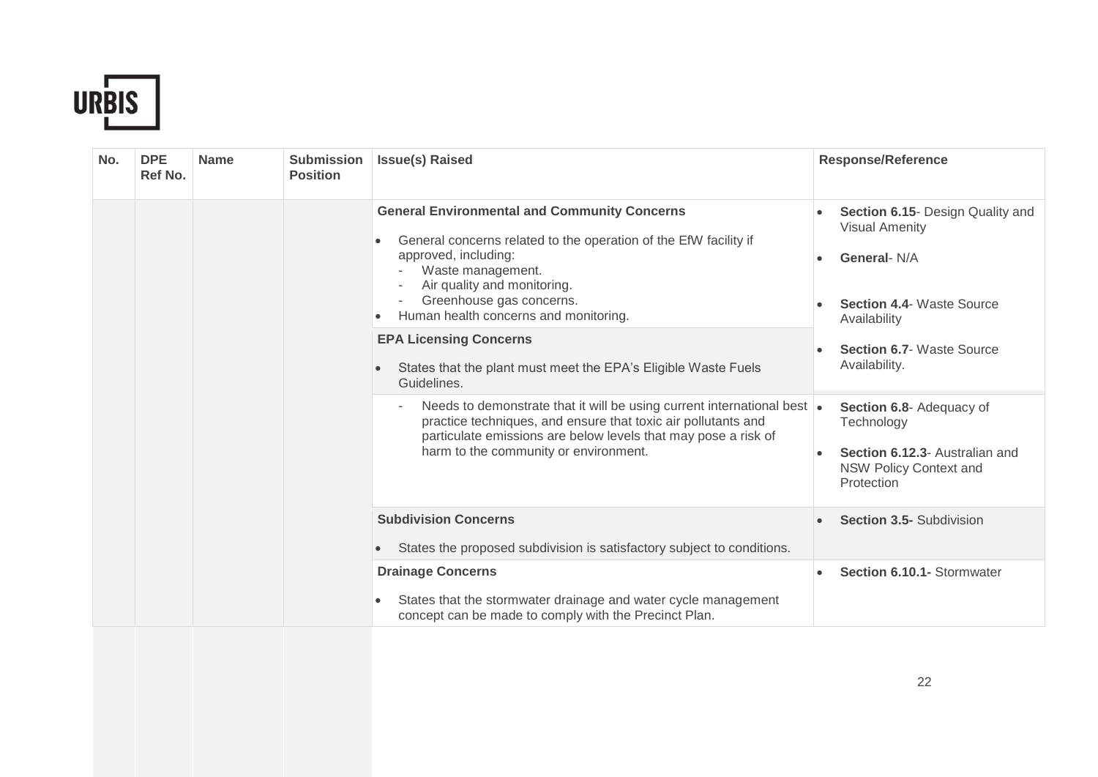

| No. | <b>DPE</b><br>Ref No. | <b>Name</b> | <b>Submission</b><br><b>Position</b> | <b>Issue(s) Raised</b>                                                                                                                                                                                                                                                        | <b>Response/Reference</b>                                                                                                     |
|-----|-----------------------|-------------|--------------------------------------|-------------------------------------------------------------------------------------------------------------------------------------------------------------------------------------------------------------------------------------------------------------------------------|-------------------------------------------------------------------------------------------------------------------------------|
|     |                       |             |                                      | <b>General Environmental and Community Concerns</b><br>General concerns related to the operation of the EfW facility if<br>٠<br>approved, including:<br>Waste management.<br>Air quality and monitoring.<br>Greenhouse gas concerns.<br>Human health concerns and monitoring. | Section 6.15- Design Quality and<br><b>Visual Amenity</b><br>General- N/A<br><b>Section 4.4- Waste Source</b><br>Availability |
|     |                       |             |                                      | <b>EPA Licensing Concerns</b><br>States that the plant must meet the EPA's Eligible Waste Fuels<br>Guidelines.                                                                                                                                                                | <b>Section 6.7- Waste Source</b><br>Availability.                                                                             |
|     |                       |             |                                      | Needs to demonstrate that it will be using current international best .<br>٠<br>practice techniques, and ensure that toxic air pollutants and<br>particulate emissions are below levels that may pose a risk of<br>harm to the community or environment.                      | Section 6.8- Adequacy of<br>Technology<br>Section 6.12.3- Australian and<br><b>NSW Policy Context and</b><br>Protection       |
|     |                       |             |                                      | <b>Subdivision Concerns</b><br>States the proposed subdivision is satisfactory subject to conditions.                                                                                                                                                                         | <b>Section 3.5- Subdivision</b>                                                                                               |
|     |                       |             |                                      | <b>Drainage Concerns</b><br>States that the stormwater drainage and water cycle management<br>$\bullet$<br>concept can be made to comply with the Precinct Plan.                                                                                                              | Section 6.10.1- Stormwater                                                                                                    |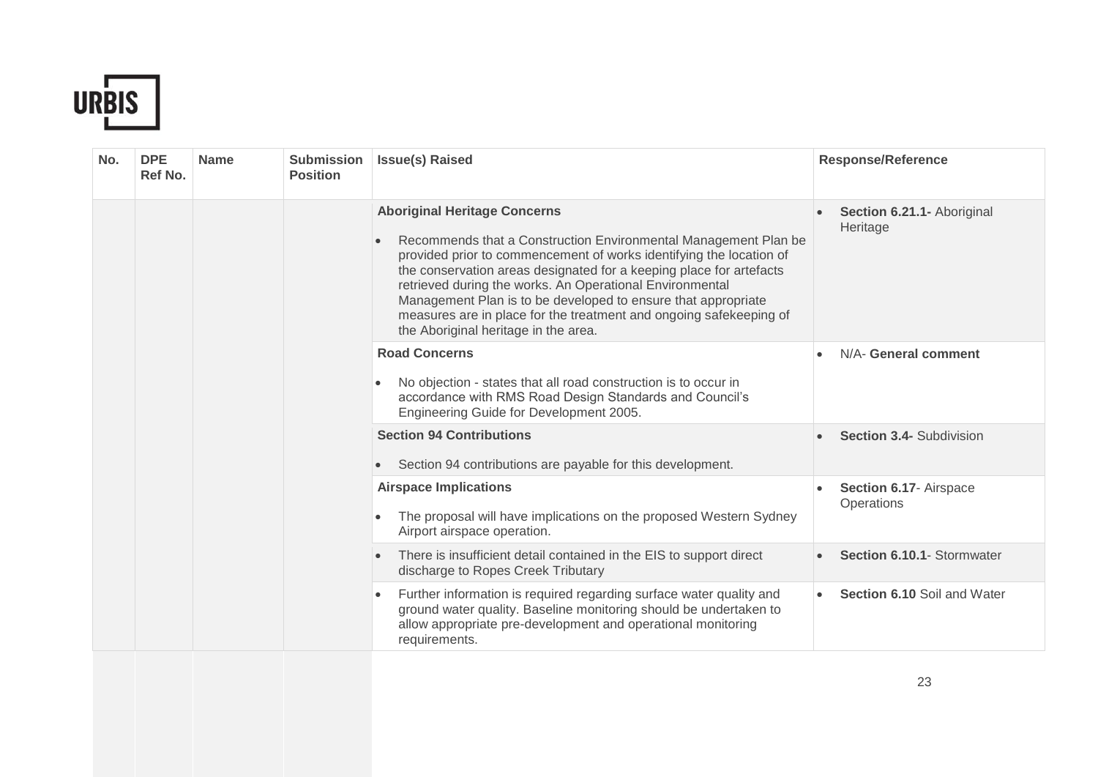

| No. | <b>DPE</b><br>Ref No. | <b>Name</b> | <b>Submission</b><br><b>Position</b> | <b>Issue(s) Raised</b>                                                                                                                                                                                                                                                                                                                                                                                                                                                                          | <b>Response/Reference</b>              |
|-----|-----------------------|-------------|--------------------------------------|-------------------------------------------------------------------------------------------------------------------------------------------------------------------------------------------------------------------------------------------------------------------------------------------------------------------------------------------------------------------------------------------------------------------------------------------------------------------------------------------------|----------------------------------------|
|     |                       |             |                                      | <b>Aboriginal Heritage Concerns</b><br>Recommends that a Construction Environmental Management Plan be<br>provided prior to commencement of works identifying the location of<br>the conservation areas designated for a keeping place for artefacts<br>retrieved during the works. An Operational Environmental<br>Management Plan is to be developed to ensure that appropriate<br>measures are in place for the treatment and ongoing safekeeping of<br>the Aboriginal heritage in the area. | Section 6.21.1- Aboriginal<br>Heritage |
|     |                       |             |                                      | <b>Road Concerns</b><br>No objection - states that all road construction is to occur in<br>accordance with RMS Road Design Standards and Council's<br>Engineering Guide for Development 2005.                                                                                                                                                                                                                                                                                                   | N/A- General comment                   |
|     |                       |             |                                      | <b>Section 94 Contributions</b><br>Section 94 contributions are payable for this development.                                                                                                                                                                                                                                                                                                                                                                                                   | Section 3.4- Subdivision               |
|     |                       |             |                                      | <b>Airspace Implications</b><br>The proposal will have implications on the proposed Western Sydney<br>Airport airspace operation.                                                                                                                                                                                                                                                                                                                                                               | Section 6.17- Airspace<br>Operations   |
|     |                       |             |                                      | There is insufficient detail contained in the EIS to support direct<br>$\bullet$<br>discharge to Ropes Creek Tributary                                                                                                                                                                                                                                                                                                                                                                          | Section 6.10.1- Stormwater             |
|     |                       |             |                                      | Further information is required regarding surface water quality and<br>$\bullet$<br>ground water quality. Baseline monitoring should be undertaken to<br>allow appropriate pre-development and operational monitoring<br>requirements.                                                                                                                                                                                                                                                          | Section 6.10 Soil and Water            |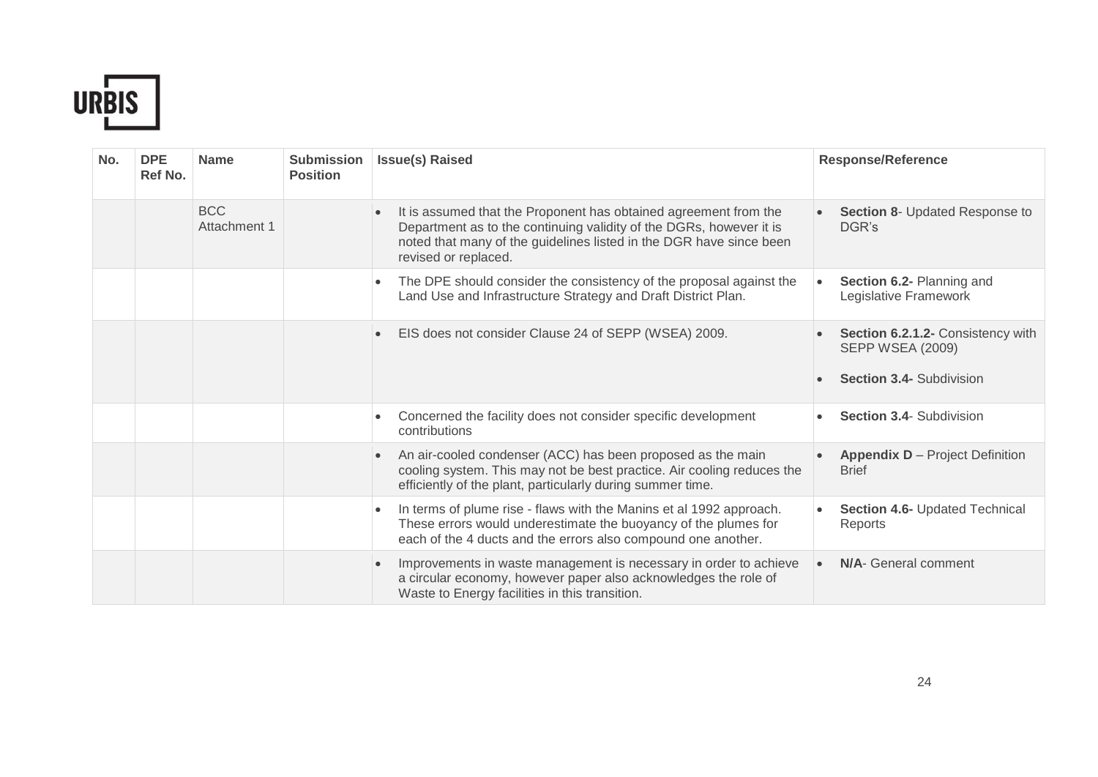

| No. | <b>DPE</b><br>Ref No. | <b>Name</b>                | <b>Submission</b><br><b>Position</b> | <b>Issue(s) Raised</b>                                                                                                                                                                                                                              | <b>Response/Reference</b>                                                                       |
|-----|-----------------------|----------------------------|--------------------------------------|-----------------------------------------------------------------------------------------------------------------------------------------------------------------------------------------------------------------------------------------------------|-------------------------------------------------------------------------------------------------|
|     |                       | <b>BCC</b><br>Attachment 1 |                                      | It is assumed that the Proponent has obtained agreement from the<br>$\bullet$<br>Department as to the continuing validity of the DGRs, however it is<br>noted that many of the guidelines listed in the DGR have since been<br>revised or replaced. | Section 8- Updated Response to<br>DGR's                                                         |
|     |                       |                            |                                      | The DPE should consider the consistency of the proposal against the<br>$\bullet$<br>Land Use and Infrastructure Strategy and Draft District Plan.                                                                                                   | Section 6.2- Planning and<br>Legislative Framework                                              |
|     |                       |                            |                                      | EIS does not consider Clause 24 of SEPP (WSEA) 2009.<br>$\bullet$                                                                                                                                                                                   | Section 6.2.1.2- Consistency with<br><b>SEPP WSEA (2009)</b><br><b>Section 3.4- Subdivision</b> |
|     |                       |                            |                                      |                                                                                                                                                                                                                                                     | <b>Section 3.4- Subdivision</b>                                                                 |
|     |                       |                            |                                      | Concerned the facility does not consider specific development<br>contributions                                                                                                                                                                      |                                                                                                 |
|     |                       |                            |                                      | An air-cooled condenser (ACC) has been proposed as the main<br>$\bullet$<br>cooling system. This may not be best practice. Air cooling reduces the<br>efficiently of the plant, particularly during summer time.                                    | <b>Appendix D</b> – Project Definition<br><b>Brief</b>                                          |
|     |                       |                            |                                      | In terms of plume rise - flaws with the Manins et al 1992 approach.<br>$\bullet$<br>These errors would underestimate the buoyancy of the plumes for<br>each of the 4 ducts and the errors also compound one another.                                | Section 4.6- Updated Technical<br>Reports                                                       |
|     |                       |                            |                                      | Improvements in waste management is necessary in order to achieve<br>$\bullet$<br>a circular economy, however paper also acknowledges the role of<br>Waste to Energy facilities in this transition.                                                 | <b>N/A-</b> General comment                                                                     |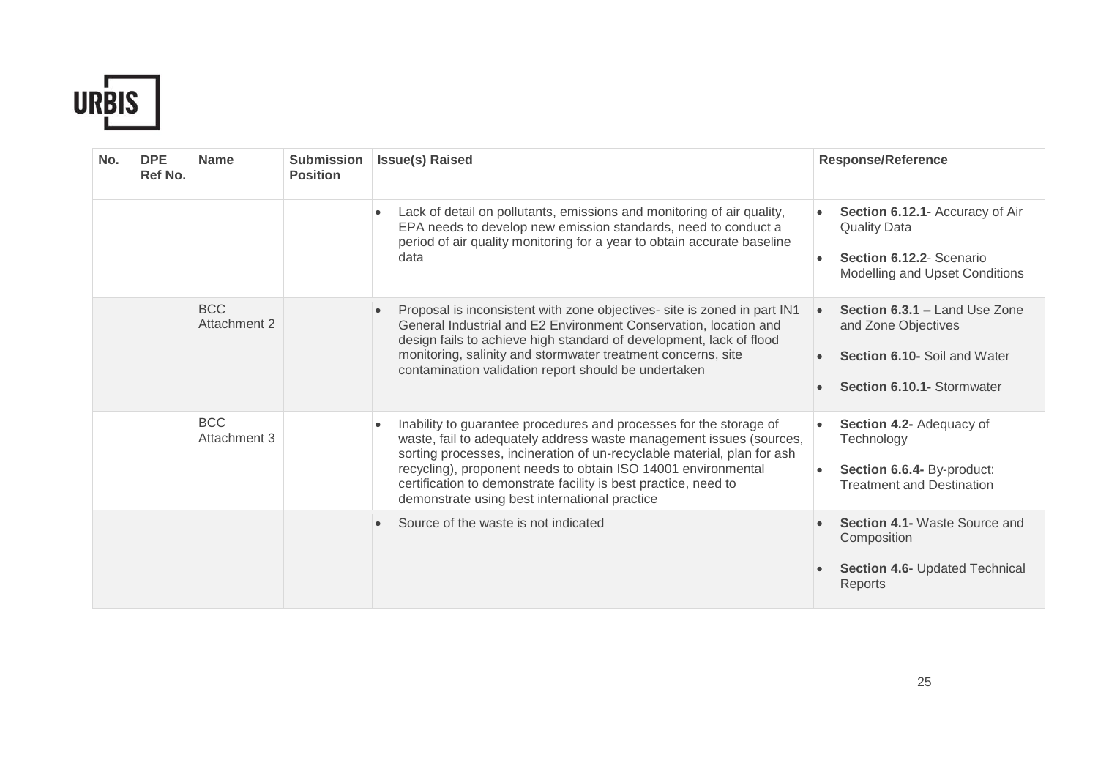

| No. | <b>DPE</b><br>Ref No. | <b>Name</b>                | <b>Submission</b><br><b>Position</b> | <b>Issue(s) Raised</b>                                                                                                                                                                                                                                                                                                                                                                                                 | <b>Response/Reference</b>                                                                                                              |
|-----|-----------------------|----------------------------|--------------------------------------|------------------------------------------------------------------------------------------------------------------------------------------------------------------------------------------------------------------------------------------------------------------------------------------------------------------------------------------------------------------------------------------------------------------------|----------------------------------------------------------------------------------------------------------------------------------------|
|     |                       |                            |                                      | Lack of detail on pollutants, emissions and monitoring of air quality,<br>$\bullet$<br>EPA needs to develop new emission standards, need to conduct a<br>period of air quality monitoring for a year to obtain accurate baseline<br>data                                                                                                                                                                               | Section 6.12.1- Accuracy of Air<br><b>Quality Data</b><br>Section 6.12.2- Scenario<br>Modelling and Upset Conditions                   |
|     |                       | <b>BCC</b><br>Attachment 2 |                                      | Proposal is inconsistent with zone objectives- site is zoned in part IN1<br>$\bullet$<br>General Industrial and E2 Environment Conservation, location and<br>design fails to achieve high standard of development, lack of flood<br>monitoring, salinity and stormwater treatment concerns, site<br>contamination validation report should be undertaken                                                               | Section 6.3.1 - Land Use Zone<br>$\bullet$<br>and Zone Objectives<br>Section 6.10- Soil and Water<br><b>Section 6.10.1- Stormwater</b> |
|     |                       | <b>BCC</b><br>Attachment 3 |                                      | Inability to guarantee procedures and processes for the storage of<br>$\bullet$<br>waste, fail to adequately address waste management issues (sources,<br>sorting processes, incineration of un-recyclable material, plan for ash<br>recycling), proponent needs to obtain ISO 14001 environmental<br>certification to demonstrate facility is best practice, need to<br>demonstrate using best international practice | Section 4.2- Adequacy of<br>Technology<br>Section 6.6.4- By-product:<br><b>Treatment and Destination</b>                               |
|     |                       |                            |                                      | Source of the waste is not indicated                                                                                                                                                                                                                                                                                                                                                                                   | Section 4.1- Waste Source and<br>Composition<br><b>Section 4.6- Updated Technical</b><br>Reports                                       |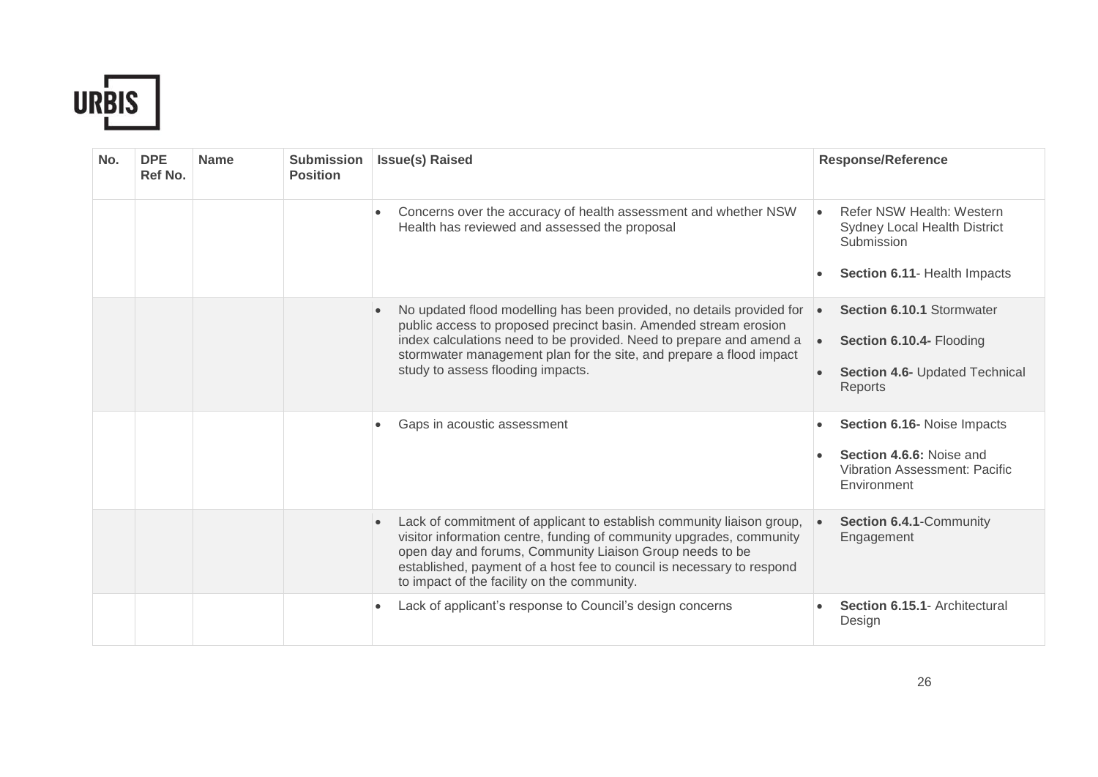

| No. | <b>DPE</b><br>Ref No. | <b>Name</b> | <b>Submission</b><br><b>Position</b> | <b>Issue(s) Raised</b>                                                                                                                                                                                                                                                                                                                         | <b>Response/Reference</b>                                                                                       |
|-----|-----------------------|-------------|--------------------------------------|------------------------------------------------------------------------------------------------------------------------------------------------------------------------------------------------------------------------------------------------------------------------------------------------------------------------------------------------|-----------------------------------------------------------------------------------------------------------------|
|     |                       |             |                                      | Concerns over the accuracy of health assessment and whether NSW<br>Health has reviewed and assessed the proposal                                                                                                                                                                                                                               | Refer NSW Health: Western<br><b>Sydney Local Health District</b><br>Submission<br>Section 6.11- Health Impacts  |
|     |                       |             |                                      | No updated flood modelling has been provided, no details provided for<br>$\bullet$<br>public access to proposed precinct basin. Amended stream erosion<br>index calculations need to be provided. Need to prepare and amend a<br>stormwater management plan for the site, and prepare a flood impact<br>study to assess flooding impacts.      | Section 6.10.1 Stormwater<br>$\bullet$<br>Section 6.10.4- Flooding<br>Section 4.6- Updated Technical<br>Reports |
|     |                       |             |                                      | Gaps in acoustic assessment                                                                                                                                                                                                                                                                                                                    | Section 6.16- Noise Impacts<br>Section 4.6.6: Noise and<br><b>Vibration Assessment: Pacific</b><br>Environment  |
|     |                       |             |                                      | Lack of commitment of applicant to establish community liaison group,<br>$\bullet$<br>visitor information centre, funding of community upgrades, community<br>open day and forums, Community Liaison Group needs to be<br>established, payment of a host fee to council is necessary to respond<br>to impact of the facility on the community. | Section 6.4.1-Community<br>Engagement                                                                           |
|     |                       |             |                                      | Lack of applicant's response to Council's design concerns<br>٠                                                                                                                                                                                                                                                                                 | Section 6.15.1 - Architectural<br>Design                                                                        |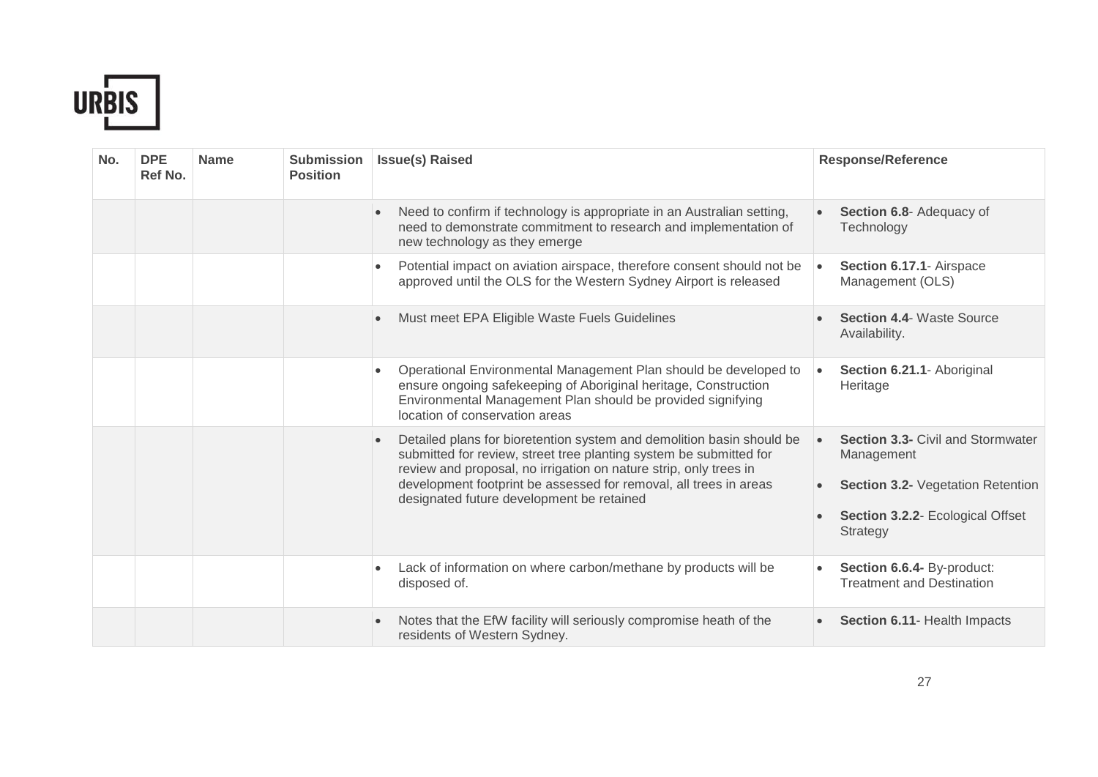

| No. | <b>DPE</b><br>Ref No. | <b>Name</b> | <b>Submission</b><br><b>Position</b> | <b>Issue(s) Raised</b>                                                                                                                                                                                                                                                                                                                          | <b>Response/Reference</b>                                                                                                                                       |
|-----|-----------------------|-------------|--------------------------------------|-------------------------------------------------------------------------------------------------------------------------------------------------------------------------------------------------------------------------------------------------------------------------------------------------------------------------------------------------|-----------------------------------------------------------------------------------------------------------------------------------------------------------------|
|     |                       |             |                                      | Need to confirm if technology is appropriate in an Australian setting,<br>$\bullet$<br>need to demonstrate commitment to research and implementation of<br>new technology as they emerge                                                                                                                                                        | Section 6.8- Adequacy of<br>Technology                                                                                                                          |
|     |                       |             |                                      | Potential impact on aviation airspace, therefore consent should not be<br>$\bullet$<br>approved until the OLS for the Western Sydney Airport is released                                                                                                                                                                                        | Section 6.17.1- Airspace<br>$\bullet$<br>Management (OLS)                                                                                                       |
|     |                       |             |                                      | Must meet EPA Eligible Waste Fuels Guidelines<br>$\bullet$                                                                                                                                                                                                                                                                                      | <b>Section 4.4- Waste Source</b><br>Availability.                                                                                                               |
|     |                       |             |                                      | Operational Environmental Management Plan should be developed to<br>$\bullet$<br>ensure ongoing safekeeping of Aboriginal heritage, Construction<br>Environmental Management Plan should be provided signifying<br>location of conservation areas                                                                                               | Section 6.21.1- Aboriginal<br>Heritage                                                                                                                          |
|     |                       |             |                                      | Detailed plans for bioretention system and demolition basin should be<br>$\bullet$<br>submitted for review, street tree planting system be submitted for<br>review and proposal, no irrigation on nature strip, only trees in<br>development footprint be assessed for removal, all trees in areas<br>designated future development be retained | <b>Section 3.3- Civil and Stormwater</b><br>$\bullet$<br>Management<br>Section 3.2- Vegetation Retention<br>Section 3.2.2- Ecological Offset<br><b>Strategy</b> |
|     |                       |             |                                      | Lack of information on where carbon/methane by products will be<br>$\bullet$<br>disposed of.                                                                                                                                                                                                                                                    | Section 6.6.4- By-product:<br><b>Treatment and Destination</b>                                                                                                  |
|     |                       |             |                                      | Notes that the EfW facility will seriously compromise heath of the<br>$\bullet$<br>residents of Western Sydney.                                                                                                                                                                                                                                 | Section 6.11- Health Impacts                                                                                                                                    |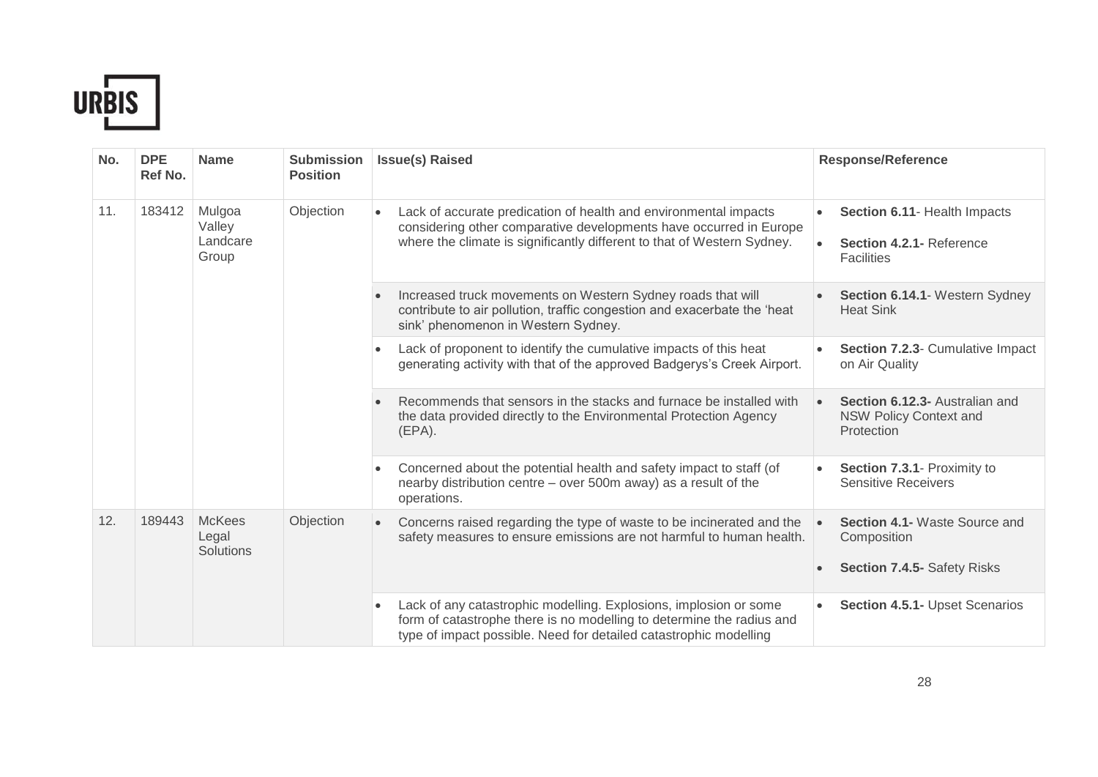

| No. | <b>DPE</b><br>Ref No. | <b>Name</b>                           | <b>Submission</b><br><b>Position</b>                                                                                                                  | <b>Issue(s) Raised</b>                                                                                                                                                                                            | <b>Response/Reference</b>                                                                                                                                                                                                    |                                |
|-----|-----------------------|---------------------------------------|-------------------------------------------------------------------------------------------------------------------------------------------------------|-------------------------------------------------------------------------------------------------------------------------------------------------------------------------------------------------------------------|------------------------------------------------------------------------------------------------------------------------------------------------------------------------------------------------------------------------------|--------------------------------|
| 11. | 183412                | Mulgoa<br>Valley<br>Landcare<br>Group | Objection                                                                                                                                             | Lack of accurate predication of health and environmental impacts<br>considering other comparative developments have occurred in Europe<br>where the climate is significantly different to that of Western Sydney. | Section 6.11- Health Impacts<br>Section 4.2.1- Reference<br><b>Facilities</b>                                                                                                                                                |                                |
|     |                       |                                       |                                                                                                                                                       | Increased truck movements on Western Sydney roads that will<br>contribute to air pollution, traffic congestion and exacerbate the 'heat<br>sink' phenomenon in Western Sydney.                                    | Section 6.14.1- Western Sydney<br><b>Heat Sink</b>                                                                                                                                                                           |                                |
|     |                       |                                       |                                                                                                                                                       | Lack of proponent to identify the cumulative impacts of this heat<br>$\bullet$<br>generating activity with that of the approved Badgerys's Creek Airport.                                                         | Section 7.2.3- Cumulative Impact<br>on Air Quality                                                                                                                                                                           |                                |
|     |                       |                                       |                                                                                                                                                       | Recommends that sensors in the stacks and furnace be installed with<br>$\bullet$<br>the data provided directly to the Environmental Protection Agency<br>$(EPA)$ .                                                | Section 6.12.3- Australian and<br><b>NSW Policy Context and</b><br>Protection                                                                                                                                                |                                |
|     |                       | $\bullet$                             | Concerned about the potential health and safety impact to staff (of<br>nearby distribution centre - over 500m away) as a result of the<br>operations. | Section 7.3.1- Proximity to<br><b>Sensitive Receivers</b>                                                                                                                                                         |                                                                                                                                                                                                                              |                                |
| 12. | 189443                | <b>McKees</b><br>Legal<br>Solutions   | Objection                                                                                                                                             | Concerns raised regarding the type of waste to be incinerated and the<br>$\bullet$<br>safety measures to ensure emissions are not harmful to human health.                                                        | Section 4.1- Waste Source and<br>Composition<br>Section 7.4.5- Safety Risks                                                                                                                                                  |                                |
|     |                       |                                       |                                                                                                                                                       |                                                                                                                                                                                                                   | Lack of any catastrophic modelling. Explosions, implosion or some<br>$\bullet$<br>form of catastrophe there is no modelling to determine the radius and<br>type of impact possible. Need for detailed catastrophic modelling | Section 4.5.1- Upset Scenarios |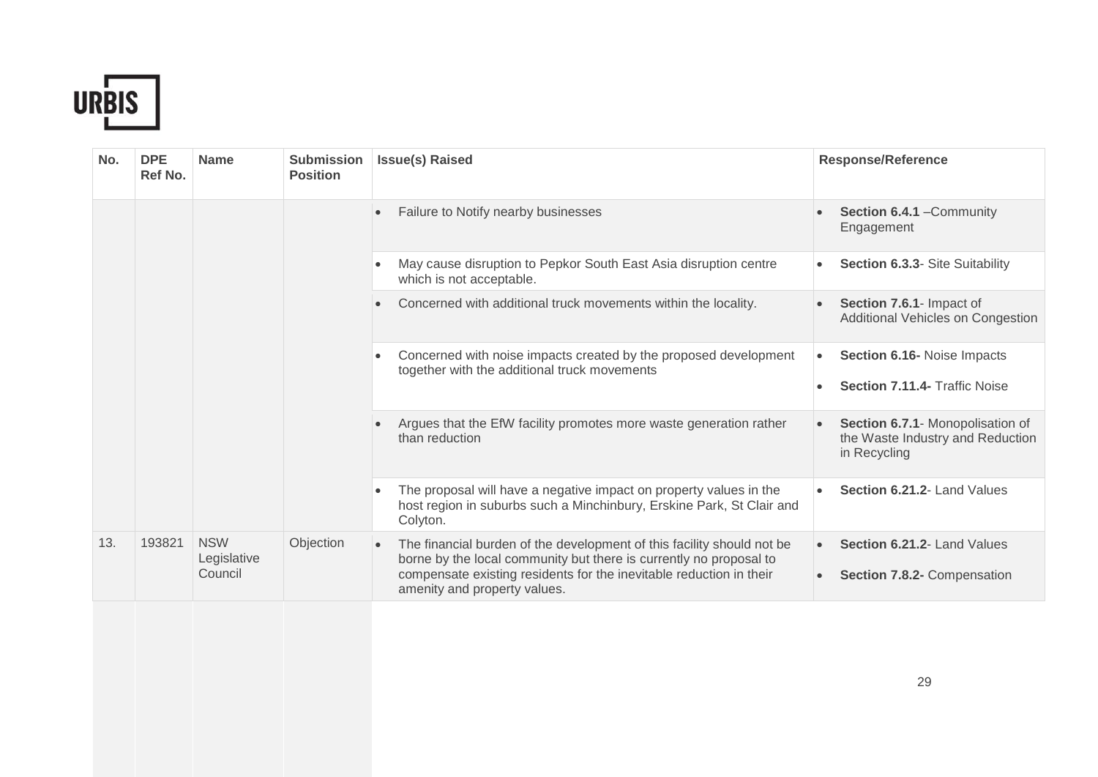

| No. | <b>DPE</b><br>Ref No. | <b>Name</b>                          | <b>Submission</b><br><b>Position</b> | <b>Issue(s) Raised</b>                                                                                                                                                                                                                              | <b>Response/Reference</b>                                                            |
|-----|-----------------------|--------------------------------------|--------------------------------------|-----------------------------------------------------------------------------------------------------------------------------------------------------------------------------------------------------------------------------------------------------|--------------------------------------------------------------------------------------|
|     |                       |                                      |                                      | Failure to Notify nearby businesses                                                                                                                                                                                                                 | Section 6.4.1 - Community<br>Engagement                                              |
|     |                       |                                      |                                      | May cause disruption to Pepkor South East Asia disruption centre<br>which is not acceptable.                                                                                                                                                        | Section 6.3.3- Site Suitability                                                      |
|     |                       |                                      |                                      | Concerned with additional truck movements within the locality.                                                                                                                                                                                      | Section 7.6.1- Impact of<br>Additional Vehicles on Congestion                        |
|     |                       |                                      |                                      | Concerned with noise impacts created by the proposed development<br>together with the additional truck movements                                                                                                                                    | Section 6.16- Noise Impacts<br>$\bullet$<br><b>Section 7.11.4- Traffic Noise</b>     |
|     |                       |                                      |                                      | Argues that the EfW facility promotes more waste generation rather<br>than reduction                                                                                                                                                                | Section 6.7.1- Monopolisation of<br>the Waste Industry and Reduction<br>in Recycling |
|     |                       |                                      |                                      | The proposal will have a negative impact on property values in the<br>host region in suburbs such a Minchinbury, Erskine Park, St Clair and<br>Colyton.                                                                                             | Section 6.21.2- Land Values                                                          |
| 13. | 193821                | <b>NSW</b><br>Legislative<br>Council | Objection                            | The financial burden of the development of this facility should not be<br>borne by the local community but there is currently no proposal to<br>compensate existing residents for the inevitable reduction in their<br>amenity and property values. | Section 6.21.2- Land Values<br>$\bullet$<br>Section 7.8.2- Compensation              |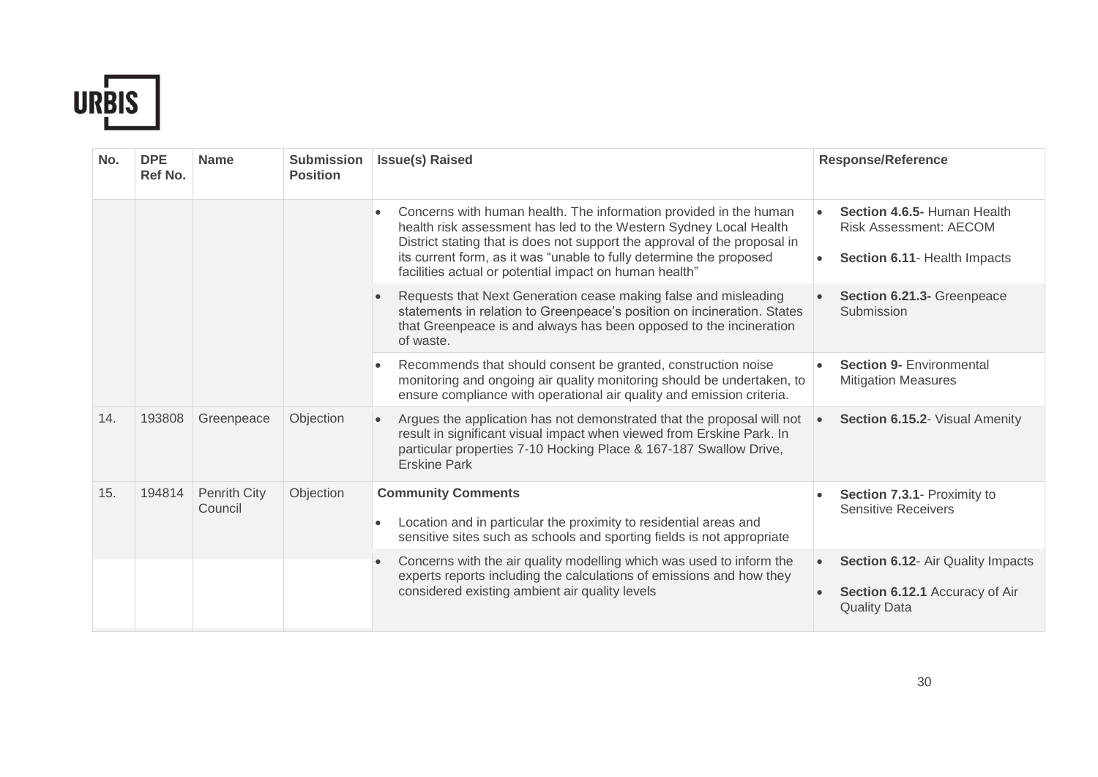

| No. | <b>DPE</b><br>Ref No. | <b>Name</b>                    | <b>Submission</b><br><b>Position</b> | <b>Issue(s) Raised</b>                                                                                                                                                                                                                                                                                                                                            | <b>Response/Reference</b>                                                                               |
|-----|-----------------------|--------------------------------|--------------------------------------|-------------------------------------------------------------------------------------------------------------------------------------------------------------------------------------------------------------------------------------------------------------------------------------------------------------------------------------------------------------------|---------------------------------------------------------------------------------------------------------|
|     |                       |                                |                                      | Concerns with human health. The information provided in the human<br>$\bullet$<br>health risk assessment has led to the Western Sydney Local Health<br>District stating that is does not support the approval of the proposal in<br>its current form, as it was "unable to fully determine the proposed<br>facilities actual or potential impact on human health" | Section 4.6.5- Human Health<br><b>Risk Assessment: AECOM</b><br>Section 6.11- Health Impacts            |
|     |                       |                                |                                      | Requests that Next Generation cease making false and misleading<br>statements in relation to Greenpeace's position on incineration. States<br>that Greenpeace is and always has been opposed to the incineration<br>of waste.                                                                                                                                     | Section 6.21.3- Greenpeace<br>Submission                                                                |
|     |                       |                                |                                      | Recommends that should consent be granted, construction noise<br>$\bullet$<br>monitoring and ongoing air quality monitoring should be undertaken, to<br>ensure compliance with operational air quality and emission criteria.                                                                                                                                     | <b>Section 9- Environmental</b><br><b>Mitigation Measures</b>                                           |
| 14. | 193808                | Greenpeace                     | Objection                            | Argues the application has not demonstrated that the proposal will not<br>$\bullet$<br>result in significant visual impact when viewed from Erskine Park. In<br>particular properties 7-10 Hocking Place & 167-187 Swallow Drive,<br><b>Erskine Park</b>                                                                                                          | Section 6.15.2- Visual Amenity<br>$\bullet$                                                             |
| 15. | 194814                | <b>Penrith City</b><br>Council | Objection                            | <b>Community Comments</b><br>Location and in particular the proximity to residential areas and<br>$\bullet$<br>sensitive sites such as schools and sporting fields is not appropriate                                                                                                                                                                             | Section 7.3.1- Proximity to<br><b>Sensitive Receivers</b>                                               |
|     |                       |                                |                                      | Concerns with the air quality modelling which was used to inform the<br>experts reports including the calculations of emissions and how they<br>considered existing ambient air quality levels                                                                                                                                                                    | Section 6.12- Air Quality Impacts<br>$\bullet$<br>Section 6.12.1 Accuracy of Air<br><b>Quality Data</b> |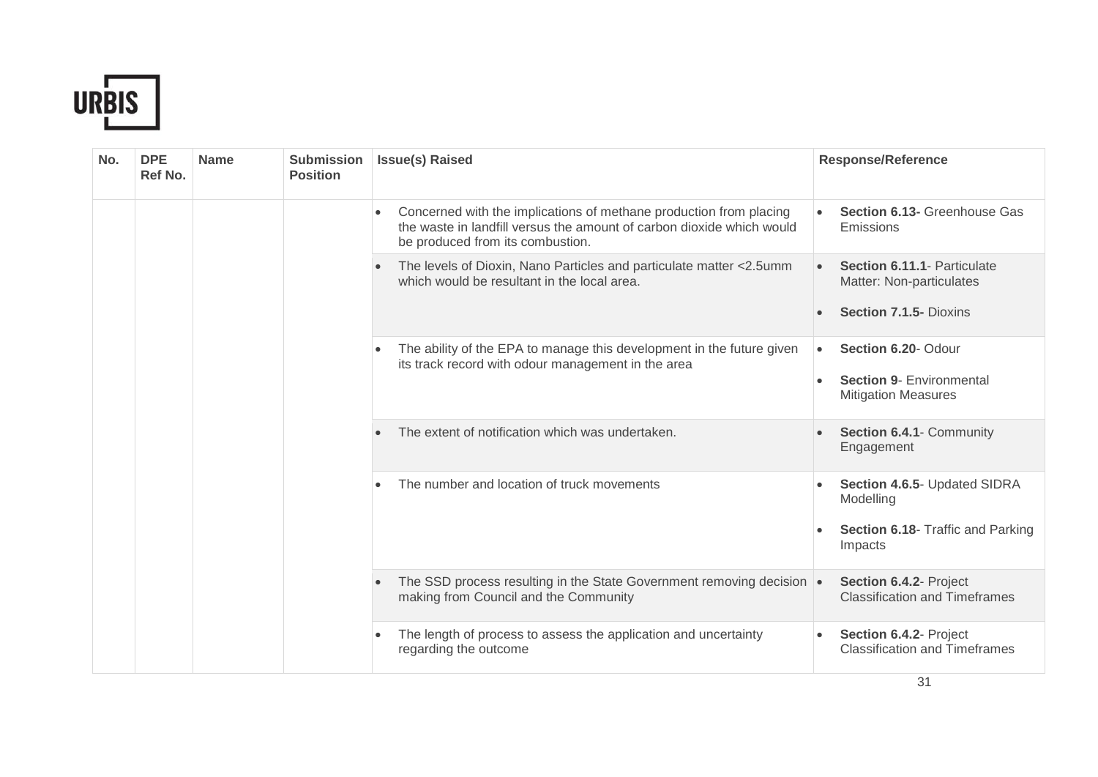

| No. | <b>DPE</b><br>Ref No. | <b>Name</b> | <b>Submission</b><br><b>Position</b> | <b>Issue(s) Raised</b>                                                                                                                                                                       | <b>Response/Reference</b>                                            |
|-----|-----------------------|-------------|--------------------------------------|----------------------------------------------------------------------------------------------------------------------------------------------------------------------------------------------|----------------------------------------------------------------------|
|     |                       |             |                                      | Concerned with the implications of methane production from placing<br>$\bullet$<br>the waste in landfill versus the amount of carbon dioxide which would<br>be produced from its combustion. | <b>Section 6.13- Greenhouse Gas</b><br>Emissions                     |
|     |                       |             |                                      | The levels of Dioxin, Nano Particles and particulate matter <2.5umm<br>which would be resultant in the local area.                                                                           | Section 6.11.1- Particulate<br>$\bullet$<br>Matter: Non-particulates |
|     |                       |             |                                      |                                                                                                                                                                                              | Section 7.1.5- Dioxins                                               |
|     |                       |             |                                      | The ability of the EPA to manage this development in the future given<br>its track record with odour management in the area                                                                  | Section 6.20- Odour<br>$\bullet$                                     |
|     |                       |             |                                      |                                                                                                                                                                                              | <b>Section 9- Environmental</b><br><b>Mitigation Measures</b>        |
|     |                       |             |                                      | The extent of notification which was undertaken.                                                                                                                                             | Section 6.4.1- Community<br>Engagement                               |
|     |                       |             |                                      | The number and location of truck movements                                                                                                                                                   | Section 4.6.5- Updated SIDRA<br>Modelling                            |
|     |                       |             |                                      |                                                                                                                                                                                              | Section 6.18- Traffic and Parking<br>Impacts                         |
|     |                       |             |                                      | The SSD process resulting in the State Government removing decision .<br>making from Council and the Community                                                                               | Section 6.4.2- Project<br><b>Classification and Timeframes</b>       |
|     |                       |             |                                      | The length of process to assess the application and uncertainty<br>٠<br>regarding the outcome                                                                                                | Section 6.4.2- Project<br><b>Classification and Timeframes</b>       |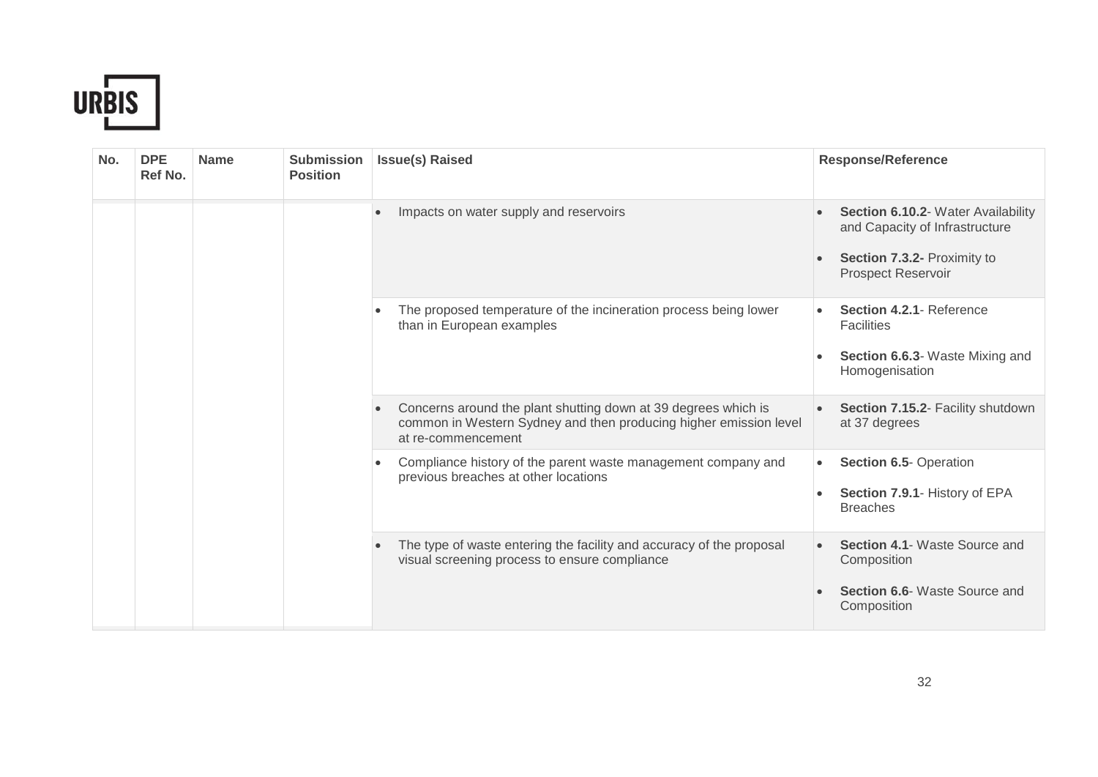

| No. | <b>DPE</b><br>Ref No. | <b>Name</b> | <b>Submission</b><br><b>Position</b> | <b>Issue(s) Raised</b>                                                                                                                                    | <b>Response/Reference</b>                                                                                                        |
|-----|-----------------------|-------------|--------------------------------------|-----------------------------------------------------------------------------------------------------------------------------------------------------------|----------------------------------------------------------------------------------------------------------------------------------|
|     |                       |             |                                      | Impacts on water supply and reservoirs                                                                                                                    | Section 6.10.2- Water Availability<br>and Capacity of Infrastructure<br>Section 7.3.2- Proximity to<br><b>Prospect Reservoir</b> |
|     |                       |             |                                      | The proposed temperature of the incineration process being lower<br>than in European examples                                                             | Section 4.2.1- Reference<br><b>Facilities</b><br>Section 6.6.3- Waste Mixing and<br>Homogenisation                               |
|     |                       |             |                                      | Concerns around the plant shutting down at 39 degrees which is<br>common in Western Sydney and then producing higher emission level<br>at re-commencement | Section 7.15.2- Facility shutdown<br>at 37 degrees                                                                               |
|     |                       |             |                                      | Compliance history of the parent waste management company and<br>$\bullet$<br>previous breaches at other locations                                        | Section 6.5- Operation<br>$\bullet$<br>Section 7.9.1- History of EPA<br><b>Breaches</b>                                          |
|     |                       |             |                                      | The type of waste entering the facility and accuracy of the proposal<br>visual screening process to ensure compliance                                     | Section 4.1- Waste Source and<br>Composition<br>Section 6.6- Waste Source and<br>Composition                                     |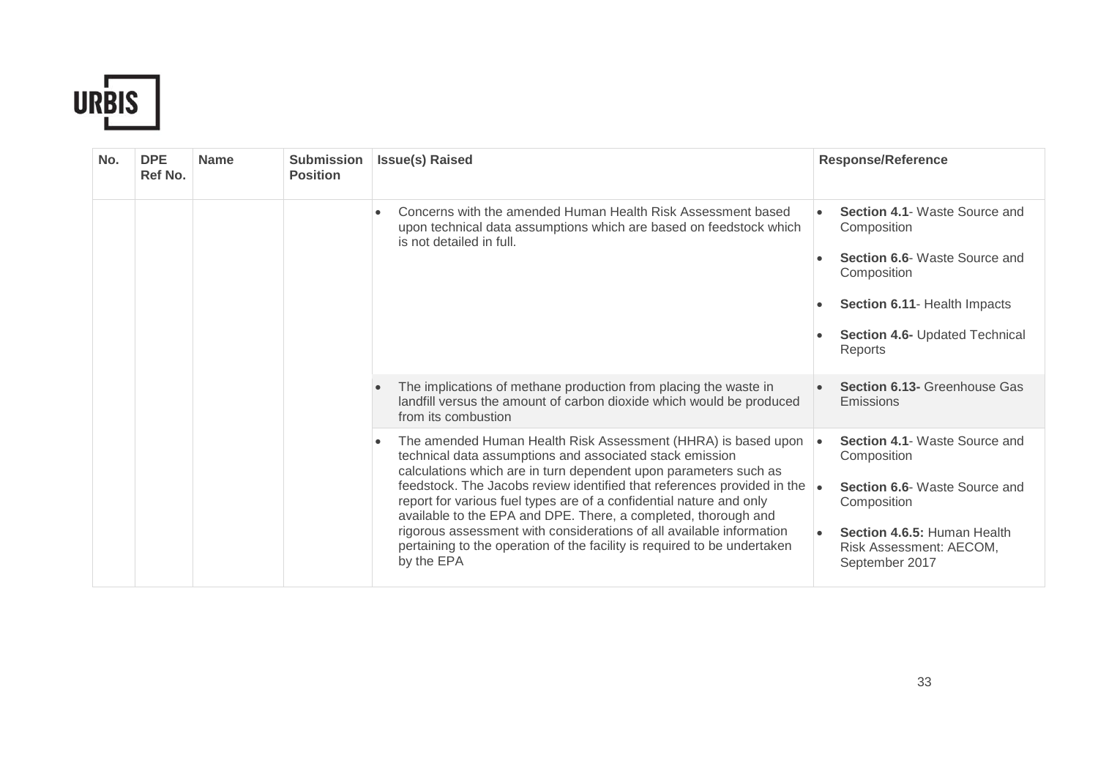

| No. | <b>DPE</b><br>Ref No. | <b>Name</b> | <b>Submission</b><br><b>Position</b> | <b>Issue(s) Raised</b>                                                                                                                                                                                                                                                                                                                                                                                                                                                                                                                                                                           | <b>Response/Reference</b>                                                                                                                                                                                 |
|-----|-----------------------|-------------|--------------------------------------|--------------------------------------------------------------------------------------------------------------------------------------------------------------------------------------------------------------------------------------------------------------------------------------------------------------------------------------------------------------------------------------------------------------------------------------------------------------------------------------------------------------------------------------------------------------------------------------------------|-----------------------------------------------------------------------------------------------------------------------------------------------------------------------------------------------------------|
|     |                       |             |                                      | Concerns with the amended Human Health Risk Assessment based<br>$\bullet$<br>upon technical data assumptions which are based on feedstock which<br>is not detailed in full.                                                                                                                                                                                                                                                                                                                                                                                                                      | <b>Section 4.1- Waste Source and</b><br>Composition<br><b>Section 6.6-</b> Waste Source and<br>Composition<br>Section 6.11- Health Impacts<br><b>Section 4.6- Updated Technical</b><br>Reports            |
|     |                       |             |                                      | The implications of methane production from placing the waste in<br>landfill versus the amount of carbon dioxide which would be produced<br>from its combustion                                                                                                                                                                                                                                                                                                                                                                                                                                  | <b>Section 6.13- Greenhouse Gas</b><br>Emissions                                                                                                                                                          |
|     |                       |             |                                      | The amended Human Health Risk Assessment (HHRA) is based upon<br>$\bullet$<br>technical data assumptions and associated stack emission<br>calculations which are in turn dependent upon parameters such as<br>feedstock. The Jacobs review identified that references provided in the<br>report for various fuel types are of a confidential nature and only<br>available to the EPA and DPE. There, a completed, thorough and<br>rigorous assessment with considerations of all available information<br>pertaining to the operation of the facility is required to be undertaken<br>by the EPA | <b>Section 4.1- Waste Source and</b><br>$\bullet$<br>Composition<br><b>Section 6.6-</b> Waste Source and<br>∣∙<br>Composition<br>Section 4.6.5: Human Health<br>Risk Assessment: AECOM,<br>September 2017 |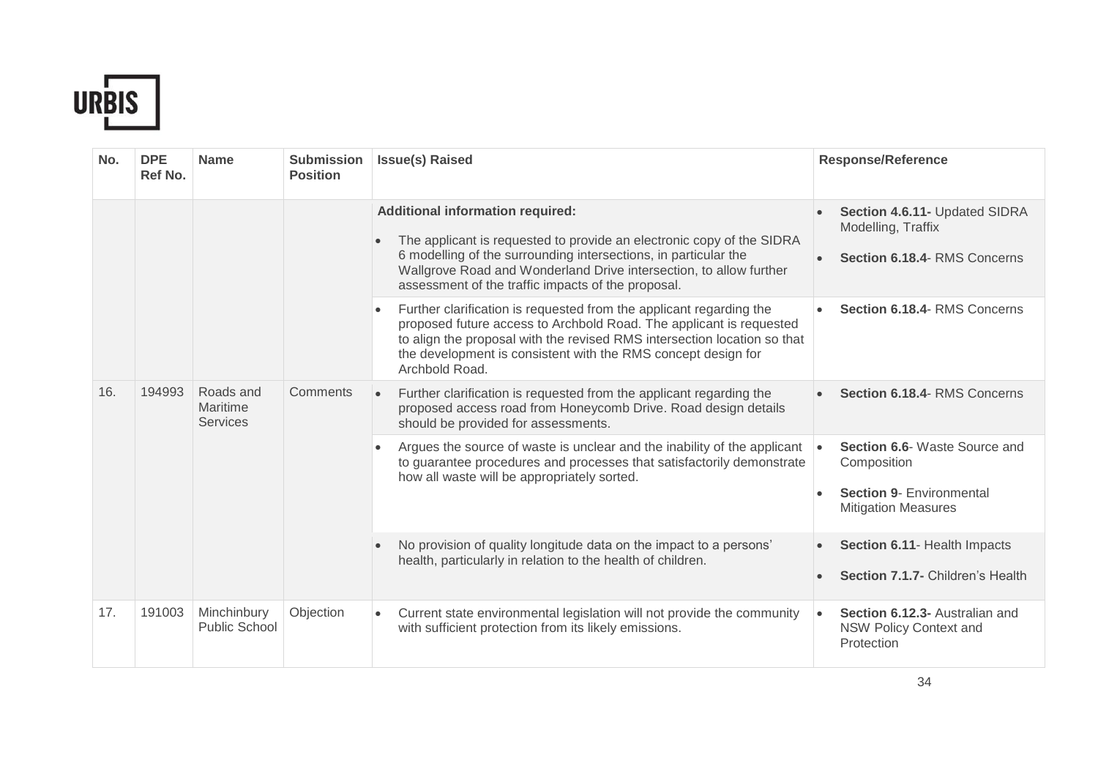

| No. | <b>DPE</b><br>Ref No. | <b>Name</b>                              | <b>Submission</b><br><b>Position</b> | <b>Issue(s) Raised</b>                                                                                                                                                                                                                                                                                                 | <b>Response/Reference</b>                                                           |                                                                                                                                                                              |                                                                                                               |
|-----|-----------------------|------------------------------------------|--------------------------------------|------------------------------------------------------------------------------------------------------------------------------------------------------------------------------------------------------------------------------------------------------------------------------------------------------------------------|-------------------------------------------------------------------------------------|------------------------------------------------------------------------------------------------------------------------------------------------------------------------------|---------------------------------------------------------------------------------------------------------------|
|     |                       |                                          |                                      | <b>Additional information required:</b><br>The applicant is requested to provide an electronic copy of the SIDRA<br>6 modelling of the surrounding intersections, in particular the<br>Wallgrove Road and Wonderland Drive intersection, to allow further<br>assessment of the traffic impacts of the proposal.        | Section 4.6.11- Updated SIDRA<br>Modelling, Traffix<br>Section 6.18.4- RMS Concerns |                                                                                                                                                                              |                                                                                                               |
|     |                       |                                          |                                      | Further clarification is requested from the applicant regarding the<br>$\bullet$<br>proposed future access to Archbold Road. The applicant is requested<br>to align the proposal with the revised RMS intersection location so that<br>the development is consistent with the RMS concept design for<br>Archbold Road. | Section 6.18.4- RMS Concerns                                                        |                                                                                                                                                                              |                                                                                                               |
| 16. | 194993                | Roads and<br>Maritime<br><b>Services</b> |                                      |                                                                                                                                                                                                                                                                                                                        | Comments                                                                            | Further clarification is requested from the applicant regarding the<br>proposed access road from Honeycomb Drive. Road design details<br>should be provided for assessments. | Section 6.18.4- RMS Concerns                                                                                  |
|     |                       |                                          |                                      |                                                                                                                                                                                                                                                                                                                        | $\bullet$<br>how all waste will be appropriately sorted.                            | Argues the source of waste is unclear and the inability of the applicant<br>to guarantee procedures and processes that satisfactorily demonstrate                            | Section 6.6- Waste Source and<br>Composition<br><b>Section 9- Environmental</b><br><b>Mitigation Measures</b> |
|     |                       |                                          |                                      | No provision of quality longitude data on the impact to a persons'<br>$\bullet$<br>health, particularly in relation to the health of children.                                                                                                                                                                         | Section 6.11- Health Impacts<br>$\bullet$<br>Section 7.1.7- Children's Health       |                                                                                                                                                                              |                                                                                                               |
| 17. | 191003                | Minchinbury<br><b>Public School</b>      | Objection                            | Current state environmental legislation will not provide the community<br>$\bullet$<br>with sufficient protection from its likely emissions.                                                                                                                                                                           | Section 6.12.3- Australian and<br>$\bullet$<br>NSW Policy Context and<br>Protection |                                                                                                                                                                              |                                                                                                               |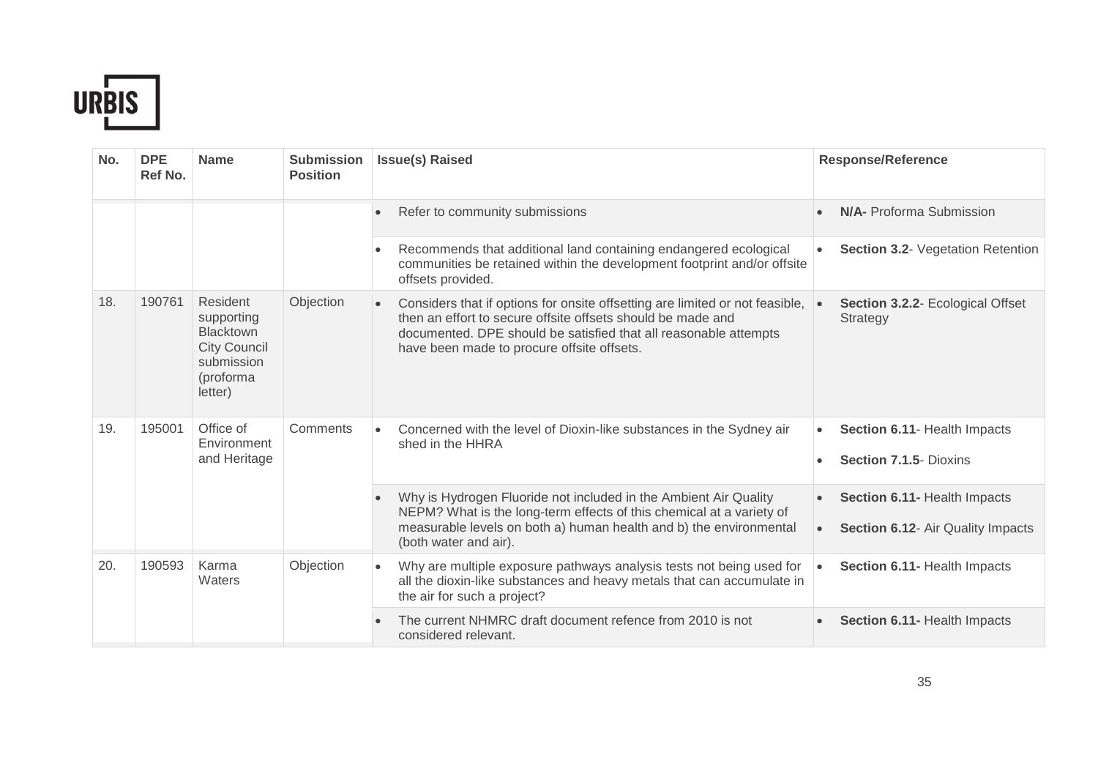

| No. | <b>DPE</b><br>Ref No. | <b>Name</b>                                                                                             | <b>Submission</b><br><b>Position</b> | <b>Issue(s) Raised</b>                                                                                                                                                                                                                                                     | <b>Response/Reference</b>                                                      |
|-----|-----------------------|---------------------------------------------------------------------------------------------------------|--------------------------------------|----------------------------------------------------------------------------------------------------------------------------------------------------------------------------------------------------------------------------------------------------------------------------|--------------------------------------------------------------------------------|
|     |                       |                                                                                                         |                                      | Refer to community submissions                                                                                                                                                                                                                                             | <b>N/A-</b> Proforma Submission                                                |
|     |                       |                                                                                                         |                                      | Recommends that additional land containing endangered ecological<br>$\bullet$<br>communities be retained within the development footprint and/or offsite<br>offsets provided.                                                                                              | <b>Section 3.2- Vegetation Retention</b>                                       |
| 18. | 190761                | Resident<br>supporting<br><b>Blacktown</b><br><b>City Council</b><br>submission<br>(proforma<br>letter) | Objection                            | Considers that if options for onsite offsetting are limited or not feasible,<br>$\bullet$<br>then an effort to secure offsite offsets should be made and<br>documented. DPE should be satisfied that all reasonable attempts<br>have been made to procure offsite offsets. | Section 3.2.2- Ecological Offset<br>Strategy                                   |
| 19. | 195001                | Office of<br>Environment<br>and Heritage                                                                | Comments                             | Concerned with the level of Dioxin-like substances in the Sydney air<br>shed in the HHRA                                                                                                                                                                                   | Section 6.11- Health Impacts<br>Section 7.1.5- Dioxins                         |
|     |                       |                                                                                                         |                                      | Why is Hydrogen Fluoride not included in the Ambient Air Quality<br>NEPM? What is the long-term effects of this chemical at a variety of<br>measurable levels on both a) human health and b) the environmental<br>(both water and air).                                    | Section 6.11- Health Impacts<br>Section 6.12- Air Quality Impacts<br>$\bullet$ |
| 20. | 190593                | Karma<br>Waters                                                                                         | Objection                            | Why are multiple exposure pathways analysis tests not being used for<br>$\bullet$<br>all the dioxin-like substances and heavy metals that can accumulate in<br>the air for such a project?                                                                                 | Section 6.11- Health Impacts                                                   |
|     |                       |                                                                                                         |                                      | The current NHMRC draft document refence from 2010 is not<br>considered relevant.                                                                                                                                                                                          | Section 6.11- Health Impacts                                                   |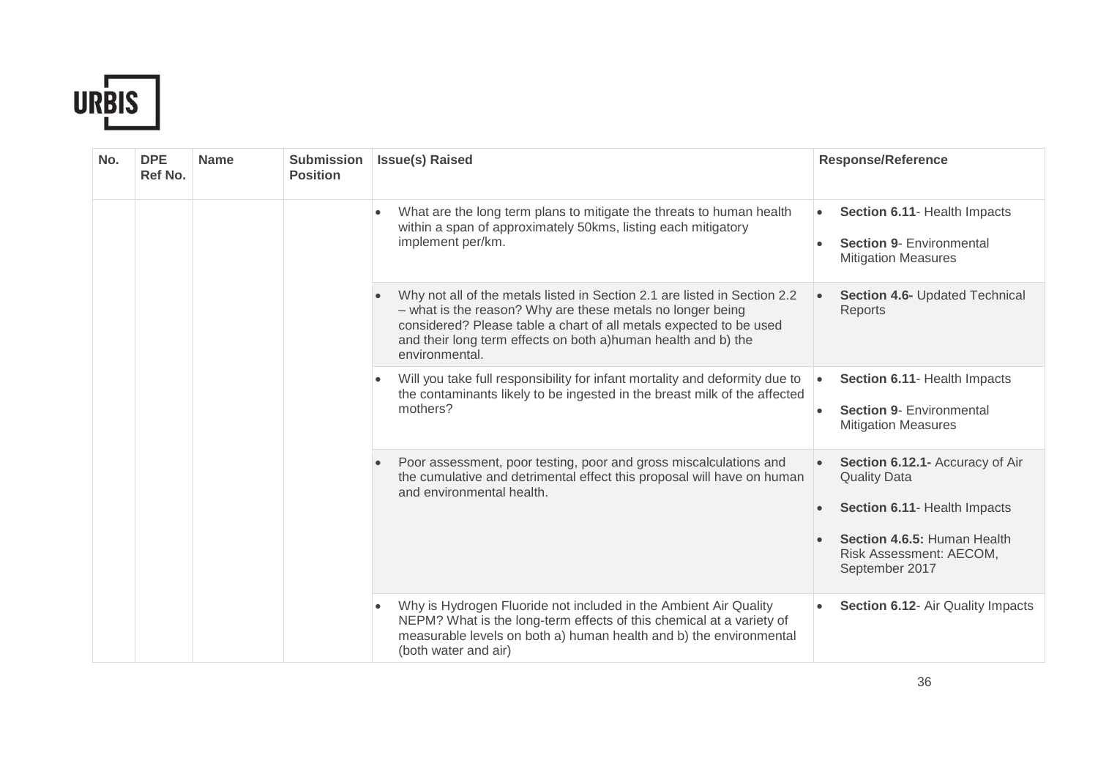

| No. | <b>DPE</b><br>Ref No. | <b>Name</b> | <b>Submission</b><br><b>Position</b> | <b>Issue(s) Raised</b>                                                                                                                                                                                                                                                                           | <b>Response/Reference</b>                                                                                                                                          |
|-----|-----------------------|-------------|--------------------------------------|--------------------------------------------------------------------------------------------------------------------------------------------------------------------------------------------------------------------------------------------------------------------------------------------------|--------------------------------------------------------------------------------------------------------------------------------------------------------------------|
|     |                       |             |                                      | What are the long term plans to mitigate the threats to human health<br>$\bullet$<br>within a span of approximately 50kms, listing each mitigatory<br>implement per/km.                                                                                                                          | Section 6.11- Health Impacts<br>$\bullet$<br><b>Section 9- Environmental</b><br><b>Mitigation Measures</b>                                                         |
|     |                       |             |                                      | Why not all of the metals listed in Section 2.1 are listed in Section 2.2<br>- what is the reason? Why are these metals no longer being<br>considered? Please table a chart of all metals expected to be used<br>and their long term effects on both a)human health and b) the<br>environmental. | Section 4.6- Updated Technical<br>Reports                                                                                                                          |
|     |                       |             |                                      | Will you take full responsibility for infant mortality and deformity due to<br>$\bullet$<br>the contaminants likely to be ingested in the breast milk of the affected<br>mothers?                                                                                                                | Section 6.11- Health Impacts<br><b>Section 9- Environmental</b><br><b>Mitigation Measures</b>                                                                      |
|     |                       |             |                                      | Poor assessment, poor testing, poor and gross miscalculations and<br>the cumulative and detrimental effect this proposal will have on human<br>and environmental health.                                                                                                                         | Section 6.12.1- Accuracy of Air<br><b>Quality Data</b><br>Section 6.11- Health Impacts<br>Section 4.6.5: Human Health<br>Risk Assessment: AECOM,<br>September 2017 |
|     |                       |             |                                      | Why is Hydrogen Fluoride not included in the Ambient Air Quality<br>$\bullet$<br>NEPM? What is the long-term effects of this chemical at a variety of<br>measurable levels on both a) human health and b) the environmental<br>(both water and air)                                              | Section 6.12- Air Quality Impacts                                                                                                                                  |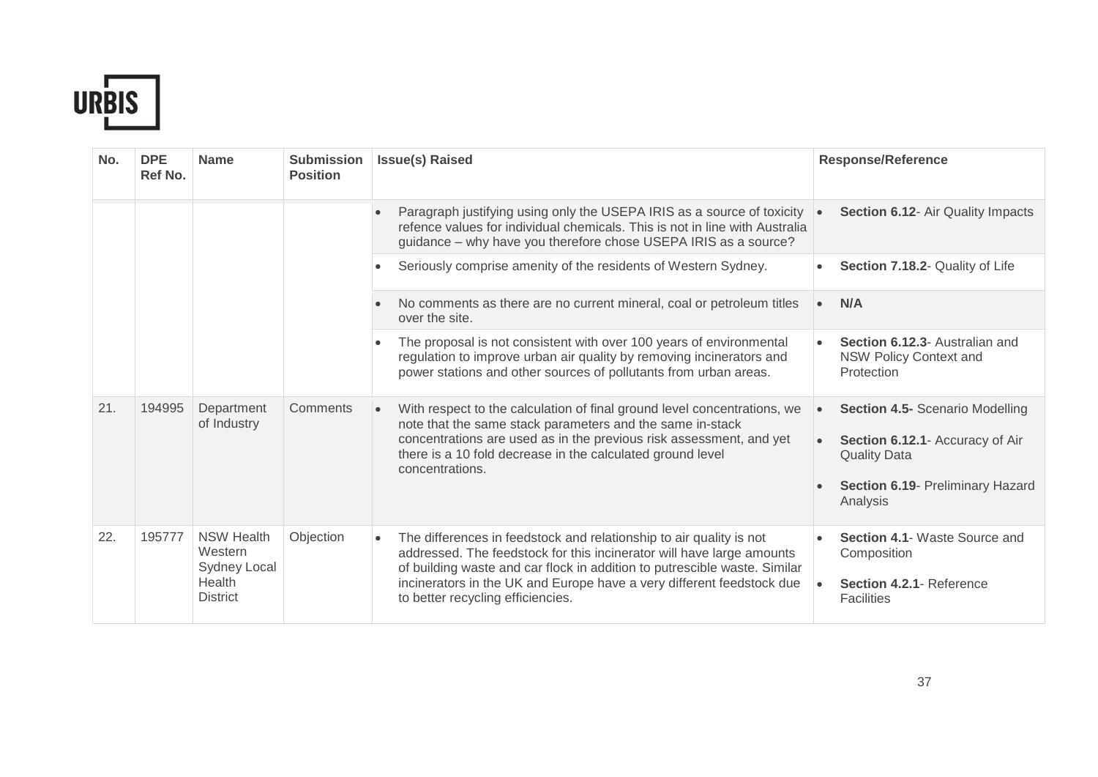

| No. | <b>DPE</b><br>Ref No. | <b>Name</b>                                                                      | <b>Submission</b><br><b>Position</b> | <b>Issue(s) Raised</b>                                                                                                                                                                                                                                                                                                                  | <b>Response/Reference</b>                                                                                                                        |                                                                                                                                                                                                                 |                                                                               |
|-----|-----------------------|----------------------------------------------------------------------------------|--------------------------------------|-----------------------------------------------------------------------------------------------------------------------------------------------------------------------------------------------------------------------------------------------------------------------------------------------------------------------------------------|--------------------------------------------------------------------------------------------------------------------------------------------------|-----------------------------------------------------------------------------------------------------------------------------------------------------------------------------------------------------------------|-------------------------------------------------------------------------------|
|     |                       |                                                                                  |                                      | Paragraph justifying using only the USEPA IRIS as a source of toxicity<br>refence values for individual chemicals. This is not in line with Australia<br>guidance - why have you therefore chose USEPA IRIS as a source?                                                                                                                | Section 6.12- Air Quality Impacts                                                                                                                |                                                                                                                                                                                                                 |                                                                               |
|     |                       |                                                                                  |                                      | Seriously comprise amenity of the residents of Western Sydney.                                                                                                                                                                                                                                                                          | Section 7.18.2- Quality of Life<br>$\bullet$                                                                                                     |                                                                                                                                                                                                                 |                                                                               |
|     |                       |                                                                                  |                                      | No comments as there are no current mineral, coal or petroleum titles<br>over the site.                                                                                                                                                                                                                                                 | N/A<br>$\bullet$                                                                                                                                 |                                                                                                                                                                                                                 |                                                                               |
|     |                       |                                                                                  |                                      |                                                                                                                                                                                                                                                                                                                                         |                                                                                                                                                  | The proposal is not consistent with over 100 years of environmental<br>regulation to improve urban air quality by removing incinerators and<br>power stations and other sources of pollutants from urban areas. | Section 6.12.3- Australian and<br><b>NSW Policy Context and</b><br>Protection |
| 21. | 194995                | Department<br>of Industry                                                        | Comments                             | With respect to the calculation of final ground level concentrations, we<br>note that the same stack parameters and the same in-stack<br>concentrations are used as in the previous risk assessment, and yet<br>there is a 10 fold decrease in the calculated ground level<br>concentrations.                                           | <b>Section 4.5- Scenario Modelling</b><br>Section 6.12.1- Accuracy of Air<br><b>Quality Data</b><br>Section 6.19- Preliminary Hazard<br>Analysis |                                                                                                                                                                                                                 |                                                                               |
| 22. | 195777                | <b>NSW Health</b><br>Western<br><b>Sydney Local</b><br>Health<br><b>District</b> | Objection                            | The differences in feedstock and relationship to air quality is not<br>addressed. The feedstock for this incinerator will have large amounts<br>of building waste and car flock in addition to putrescible waste. Similar<br>incinerators in the UK and Europe have a very different feedstock due<br>to better recycling efficiencies. | Section 4.1- Waste Source and<br>Composition<br>Section 4.2.1- Reference<br>$\bullet$<br><b>Facilities</b>                                       |                                                                                                                                                                                                                 |                                                                               |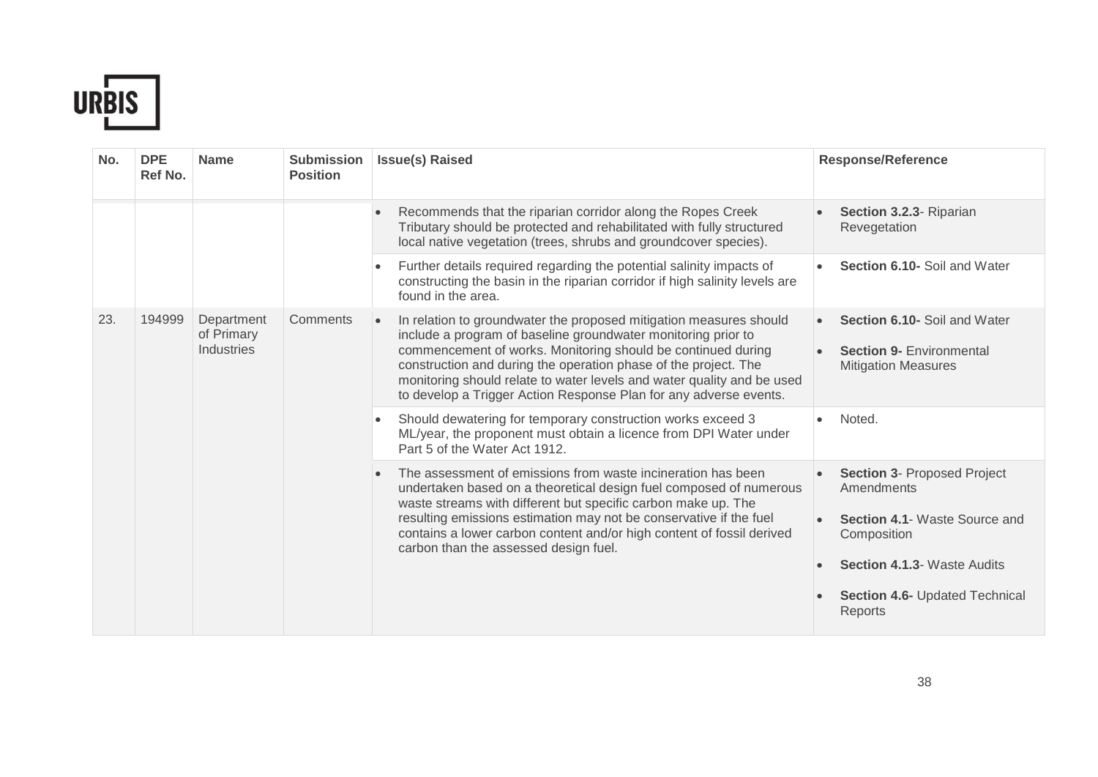

| No. | <b>DPE</b><br>Ref No. | <b>Name</b>                            | <b>Submission</b><br><b>Position</b> | <b>Issue(s) Raised</b>                                                                                                                                                                                                                                                                                                                                                                                                | <b>Response/Reference</b>                                                                                                                                                                         |           |
|-----|-----------------------|----------------------------------------|--------------------------------------|-----------------------------------------------------------------------------------------------------------------------------------------------------------------------------------------------------------------------------------------------------------------------------------------------------------------------------------------------------------------------------------------------------------------------|---------------------------------------------------------------------------------------------------------------------------------------------------------------------------------------------------|-----------|
|     |                       |                                        |                                      | Recommends that the riparian corridor along the Ropes Creek<br>Tributary should be protected and rehabilitated with fully structured<br>local native vegetation (trees, shrubs and groundcover species).                                                                                                                                                                                                              | Section 3.2.3- Riparian<br>Revegetation                                                                                                                                                           |           |
|     |                       |                                        |                                      | Further details required regarding the potential salinity impacts of<br>$\bullet$<br>constructing the basin in the riparian corridor if high salinity levels are<br>found in the area.                                                                                                                                                                                                                                | Section 6.10- Soil and Water                                                                                                                                                                      |           |
| 23. | 194999                | Department<br>of Primary<br>Industries | Comments                             | In relation to groundwater the proposed mitigation measures should<br>include a program of baseline groundwater monitoring prior to<br>commencement of works. Monitoring should be continued during<br>construction and during the operation phase of the project. The<br>monitoring should relate to water levels and water quality and be used<br>to develop a Trigger Action Response Plan for any adverse events. | Section 6.10- Soil and Water<br>$\bullet$<br><b>Section 9- Environmental</b><br><b>Mitigation Measures</b>                                                                                        |           |
|     |                       |                                        |                                      |                                                                                                                                                                                                                                                                                                                                                                                                                       |                                                                                                                                                                                                   | $\bullet$ |
|     |                       |                                        |                                      | The assessment of emissions from waste incineration has been<br>$\bullet$<br>undertaken based on a theoretical design fuel composed of numerous<br>waste streams with different but specific carbon make up. The<br>resulting emissions estimation may not be conservative if the fuel<br>contains a lower carbon content and/or high content of fossil derived<br>carbon than the assessed design fuel.              | <b>Section 3- Proposed Project</b><br>Amendments<br><b>Section 4.1- Waste Source and</b><br>Composition<br><b>Section 4.1.3- Waste Audits</b><br><b>Section 4.6- Updated Technical</b><br>Reports |           |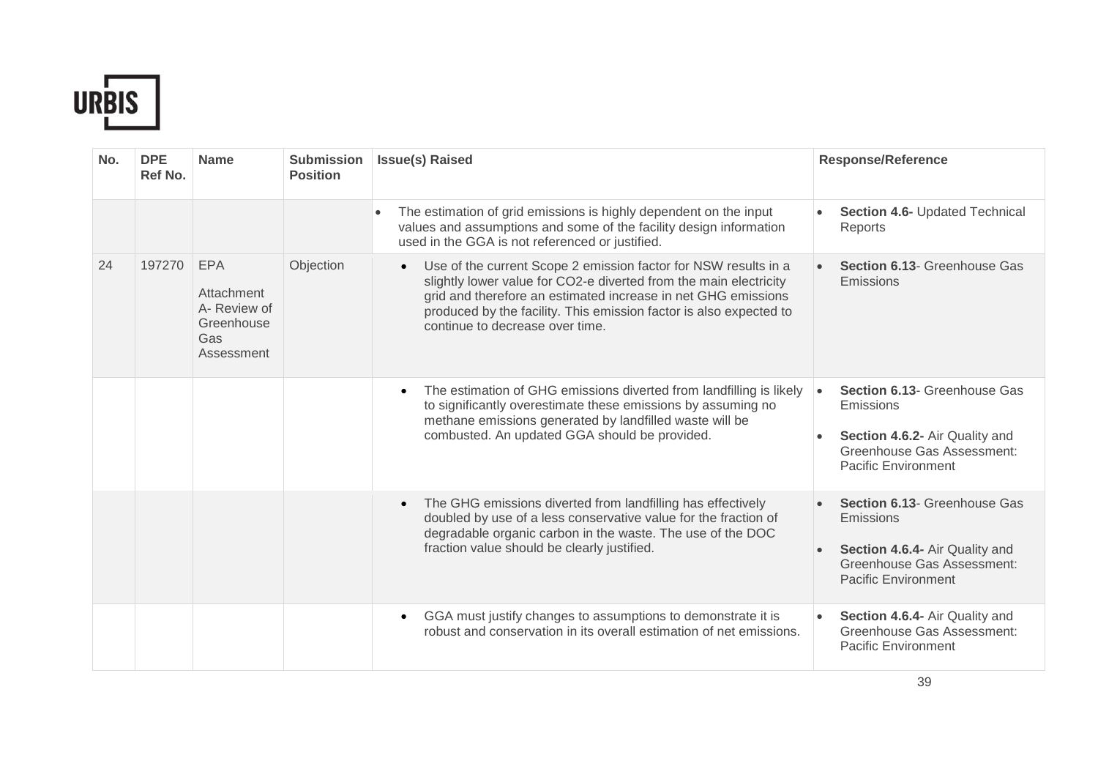

| No. | <b>DPE</b><br>Ref No. | <b>Name</b>                                                                 | <b>Submission</b><br><b>Position</b> | <b>Issue(s) Raised</b>                                                                                                                                                                                                                                                                                                      | <b>Response/Reference</b>                                                                                                                            |
|-----|-----------------------|-----------------------------------------------------------------------------|--------------------------------------|-----------------------------------------------------------------------------------------------------------------------------------------------------------------------------------------------------------------------------------------------------------------------------------------------------------------------------|------------------------------------------------------------------------------------------------------------------------------------------------------|
|     |                       |                                                                             |                                      | The estimation of grid emissions is highly dependent on the input<br>values and assumptions and some of the facility design information<br>used in the GGA is not referenced or justified.                                                                                                                                  | Section 4.6- Updated Technical<br>Reports                                                                                                            |
| 24  | 197270                | <b>EPA</b><br>Attachment<br>A- Review of<br>Greenhouse<br>Gas<br>Assessment | Objection                            | Use of the current Scope 2 emission factor for NSW results in a<br>$\bullet$<br>slightly lower value for CO2-e diverted from the main electricity<br>grid and therefore an estimated increase in net GHG emissions<br>produced by the facility. This emission factor is also expected to<br>continue to decrease over time. | <b>Section 6.13- Greenhouse Gas</b><br>Emissions                                                                                                     |
|     |                       |                                                                             |                                      | The estimation of GHG emissions diverted from landfilling is likely<br>$\bullet$<br>to significantly overestimate these emissions by assuming no<br>methane emissions generated by landfilled waste will be<br>combusted. An updated GGA should be provided.                                                                | Section 6.13- Greenhouse Gas<br>$\bullet$<br>Emissions<br>Section 4.6.2- Air Quality and<br>Greenhouse Gas Assessment:<br><b>Pacific Environment</b> |
|     |                       |                                                                             |                                      | The GHG emissions diverted from landfilling has effectively<br>$\bullet$<br>doubled by use of a less conservative value for the fraction of<br>degradable organic carbon in the waste. The use of the DOC<br>fraction value should be clearly justified.                                                                    | <b>Section 6.13- Greenhouse Gas</b><br>Emissions<br>Section 4.6.4- Air Quality and<br>Greenhouse Gas Assessment:<br><b>Pacific Environment</b>       |
|     |                       |                                                                             |                                      | GGA must justify changes to assumptions to demonstrate it is<br>$\bullet$<br>robust and conservation in its overall estimation of net emissions.                                                                                                                                                                            | Section 4.6.4- Air Quality and<br><b>Greenhouse Gas Assessment:</b><br><b>Pacific Environment</b>                                                    |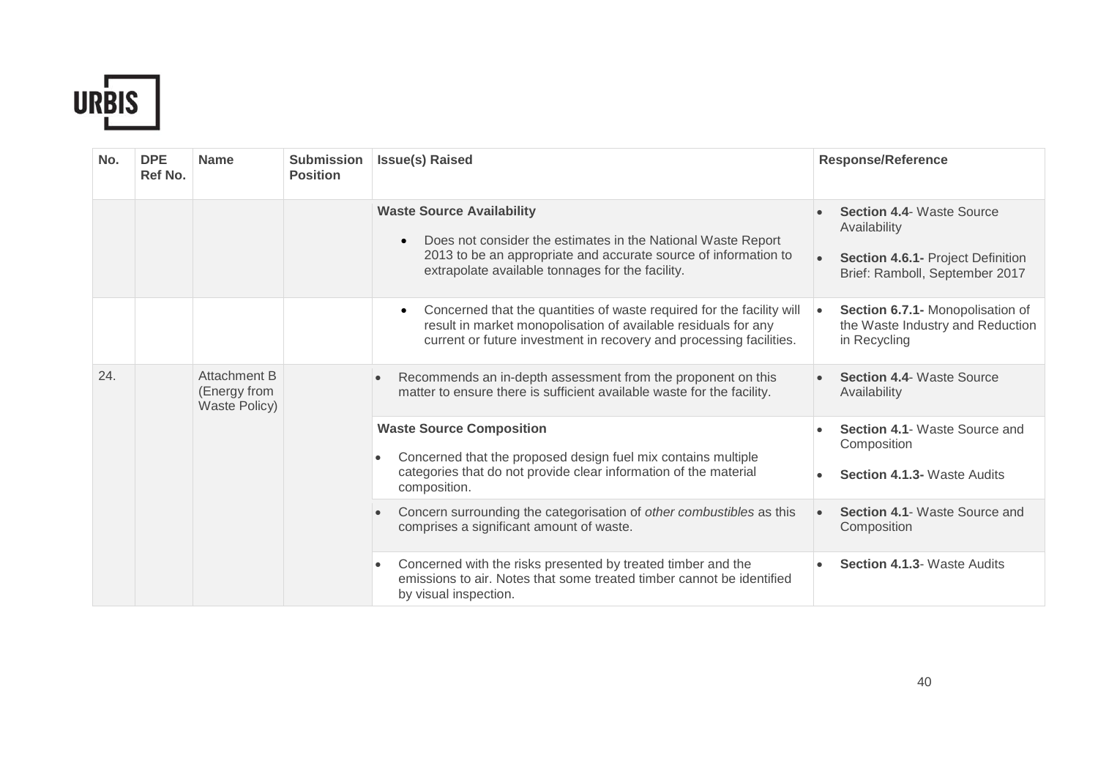

| No. | <b>DPE</b><br>Ref No. | <b>Name</b>                                   | <b>Submission</b><br><b>Position</b> | <b>Issue(s) Raised</b>                                                                                                                                                                                                               | <b>Response/Reference</b>                                                                                                                                            |                                                                                    |
|-----|-----------------------|-----------------------------------------------|--------------------------------------|--------------------------------------------------------------------------------------------------------------------------------------------------------------------------------------------------------------------------------------|----------------------------------------------------------------------------------------------------------------------------------------------------------------------|------------------------------------------------------------------------------------|
|     |                       |                                               |                                      | <b>Waste Source Availability</b><br>Does not consider the estimates in the National Waste Report<br>$\bullet$<br>2013 to be an appropriate and accurate source of information to<br>extrapolate available tonnages for the facility. | <b>Section 4.4- Waste Source</b><br>Availability<br>Section 4.6.1- Project Definition<br>Brief: Ramboll, September 2017                                              |                                                                                    |
|     |                       |                                               |                                      | Concerned that the quantities of waste required for the facility will<br>$\bullet$<br>result in market monopolisation of available residuals for any<br>current or future investment in recovery and processing facilities.          | Section 6.7.1- Monopolisation of<br>$\bullet$<br>the Waste Industry and Reduction<br>in Recycling                                                                    |                                                                                    |
| 24. |                       | Attachment B<br>(Energy from<br>Waste Policy) |                                      | Recommends an in-depth assessment from the proponent on this<br>$\bullet$<br>matter to ensure there is sufficient available waste for the facility.                                                                                  | <b>Section 4.4- Waste Source</b><br>Availability                                                                                                                     |                                                                                    |
|     |                       |                                               |                                      | $\bullet$<br>composition.                                                                                                                                                                                                            | <b>Waste Source Composition</b><br>Concerned that the proposed design fuel mix contains multiple<br>categories that do not provide clear information of the material | Section 4.1- Waste Source and<br>Composition<br><b>Section 4.1.3- Waste Audits</b> |
|     |                       |                                               |                                      | Concern surrounding the categorisation of other combustibles as this<br>$\bullet$<br>comprises a significant amount of waste.                                                                                                        | <b>Section 4.1- Waste Source and</b><br>Composition                                                                                                                  |                                                                                    |
|     |                       |                                               |                                      | Concerned with the risks presented by treated timber and the<br>٠<br>emissions to air. Notes that some treated timber cannot be identified<br>by visual inspection.                                                                  | <b>Section 4.1.3- Waste Audits</b>                                                                                                                                   |                                                                                    |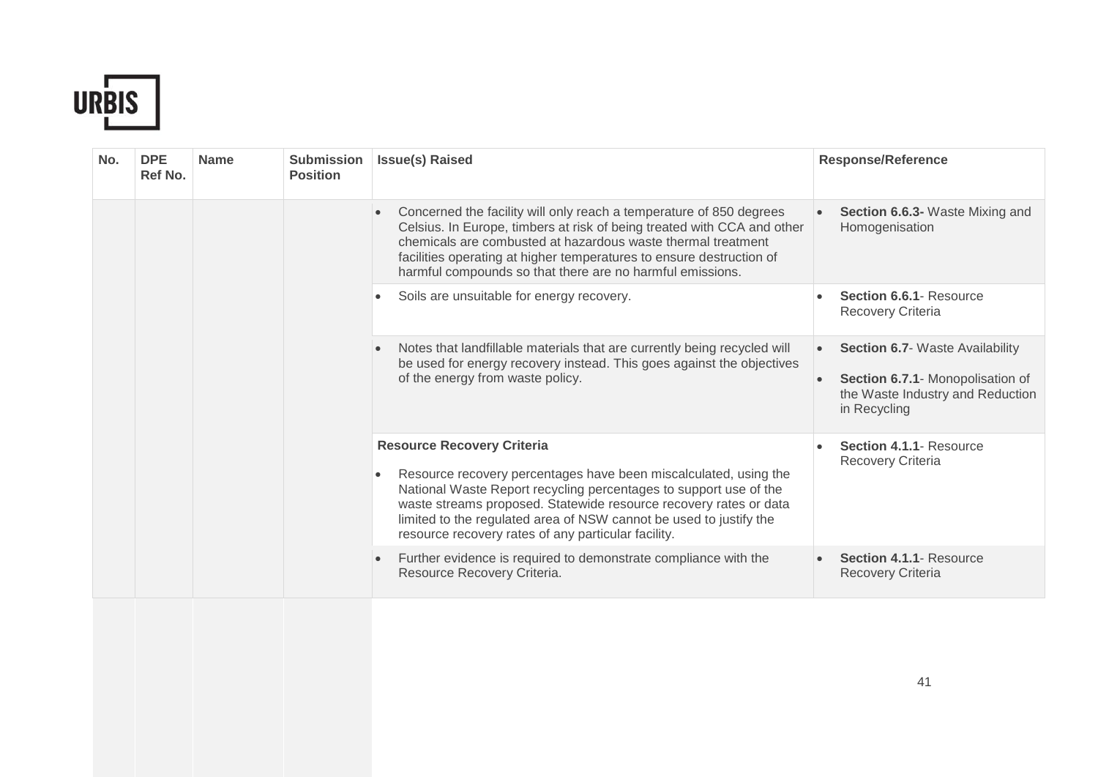

| No. | <b>DPE</b><br>Ref No. | <b>Name</b> | <b>Submission</b><br><b>Position</b> | <b>Issue(s) Raised</b>                                                                                                                                                                                                                                                                                                                                                       | <b>Response/Reference</b>                                                                                                      |
|-----|-----------------------|-------------|--------------------------------------|------------------------------------------------------------------------------------------------------------------------------------------------------------------------------------------------------------------------------------------------------------------------------------------------------------------------------------------------------------------------------|--------------------------------------------------------------------------------------------------------------------------------|
|     |                       |             |                                      | Concerned the facility will only reach a temperature of 850 degrees<br>$\bullet$<br>Celsius. In Europe, timbers at risk of being treated with CCA and other<br>chemicals are combusted at hazardous waste thermal treatment<br>facilities operating at higher temperatures to ensure destruction of<br>harmful compounds so that there are no harmful emissions.             | <b>Section 6.6.3-</b> Waste Mixing and<br>Homogenisation                                                                       |
|     |                       |             |                                      | Soils are unsuitable for energy recovery.<br>$\bullet$                                                                                                                                                                                                                                                                                                                       | Section 6.6.1- Resource<br>Recovery Criteria                                                                                   |
|     |                       |             | of the energy from waste policy.     | Notes that landfillable materials that are currently being recycled will<br>be used for energy recovery instead. This goes against the objectives                                                                                                                                                                                                                            | <b>Section 6.7- Waste Availability</b><br>Section 6.7.1- Monopolisation of<br>the Waste Industry and Reduction<br>in Recycling |
|     |                       |             |                                      | <b>Resource Recovery Criteria</b><br>Resource recovery percentages have been miscalculated, using the<br>National Waste Report recycling percentages to support use of the<br>waste streams proposed. Statewide resource recovery rates or data<br>limited to the regulated area of NSW cannot be used to justify the<br>resource recovery rates of any particular facility. | Section 4.1.1- Resource<br>Recovery Criteria                                                                                   |
|     |                       |             |                                      | Further evidence is required to demonstrate compliance with the<br>Resource Recovery Criteria.                                                                                                                                                                                                                                                                               | Section 4.1.1- Resource<br><b>Recovery Criteria</b>                                                                            |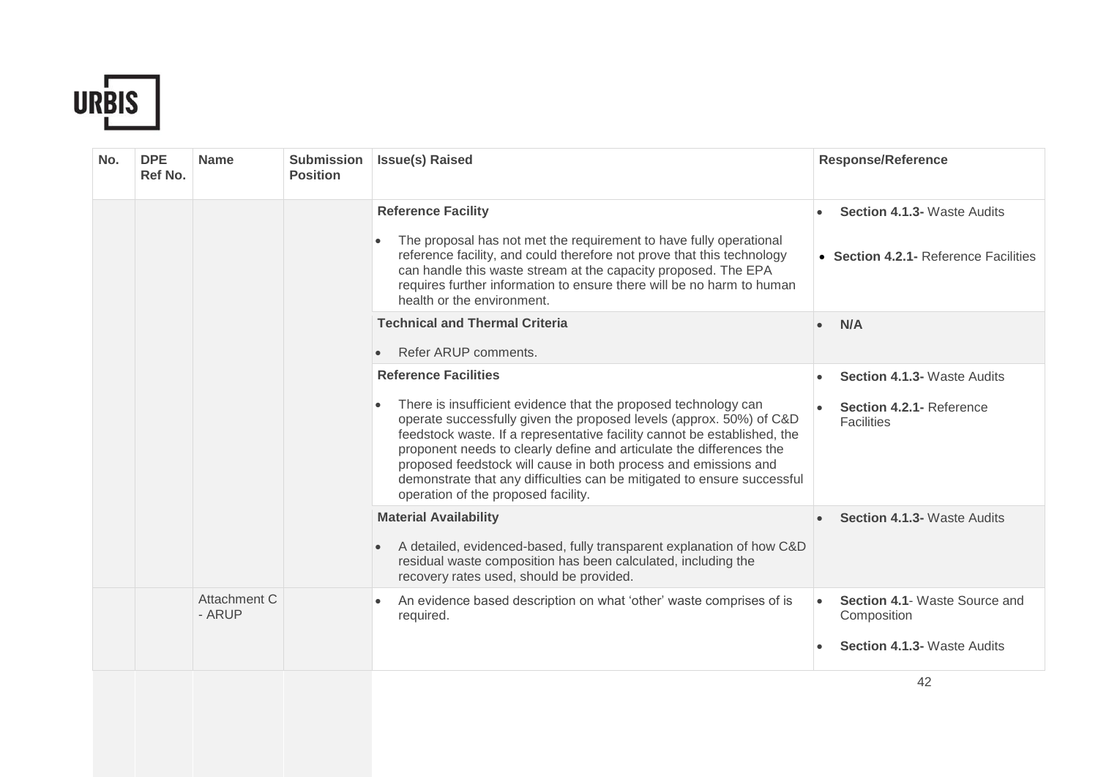

| No. | <b>DPE</b><br>Ref No. | <b>Name</b>            | <b>Submission</b><br><b>Position</b> | <b>Issue(s) Raised</b>                                                                                                                                                                                                                                                                                                                                                                                                                                                                                                      | <b>Response/Reference</b>                                                           |
|-----|-----------------------|------------------------|--------------------------------------|-----------------------------------------------------------------------------------------------------------------------------------------------------------------------------------------------------------------------------------------------------------------------------------------------------------------------------------------------------------------------------------------------------------------------------------------------------------------------------------------------------------------------------|-------------------------------------------------------------------------------------|
|     |                       |                        |                                      | <b>Reference Facility</b><br>The proposal has not met the requirement to have fully operational<br>reference facility, and could therefore not prove that this technology<br>can handle this waste stream at the capacity proposed. The EPA<br>requires further information to ensure there will be no harm to human<br>health or the environment.                                                                                                                                                                          | <b>Section 4.1.3- Waste Audits</b><br>• Section 4.2.1 - Reference Facilities        |
|     |                       |                        |                                      | <b>Technical and Thermal Criteria</b><br>Refer ARUP comments.                                                                                                                                                                                                                                                                                                                                                                                                                                                               | N/A                                                                                 |
|     |                       |                        |                                      | <b>Reference Facilities</b><br>There is insufficient evidence that the proposed technology can<br>$\bullet$<br>operate successfully given the proposed levels (approx. 50%) of C&D<br>feedstock waste. If a representative facility cannot be established, the<br>proponent needs to clearly define and articulate the differences the<br>proposed feedstock will cause in both process and emissions and<br>demonstrate that any difficulties can be mitigated to ensure successful<br>operation of the proposed facility. | <b>Section 4.1.3- Waste Audits</b><br>Section 4.2.1- Reference<br><b>Facilities</b> |
|     |                       |                        |                                      | <b>Material Availability</b><br>A detailed, evidenced-based, fully transparent explanation of how C&D<br>residual waste composition has been calculated, including the<br>recovery rates used, should be provided.                                                                                                                                                                                                                                                                                                          | <b>Section 4.1.3- Waste Audits</b>                                                  |
|     |                       | Attachment C<br>- ARUP |                                      | An evidence based description on what 'other' waste comprises of is<br>required.                                                                                                                                                                                                                                                                                                                                                                                                                                            | Section 4.1- Waste Source and<br>Composition<br><b>Section 4.1.3- Waste Audits</b>  |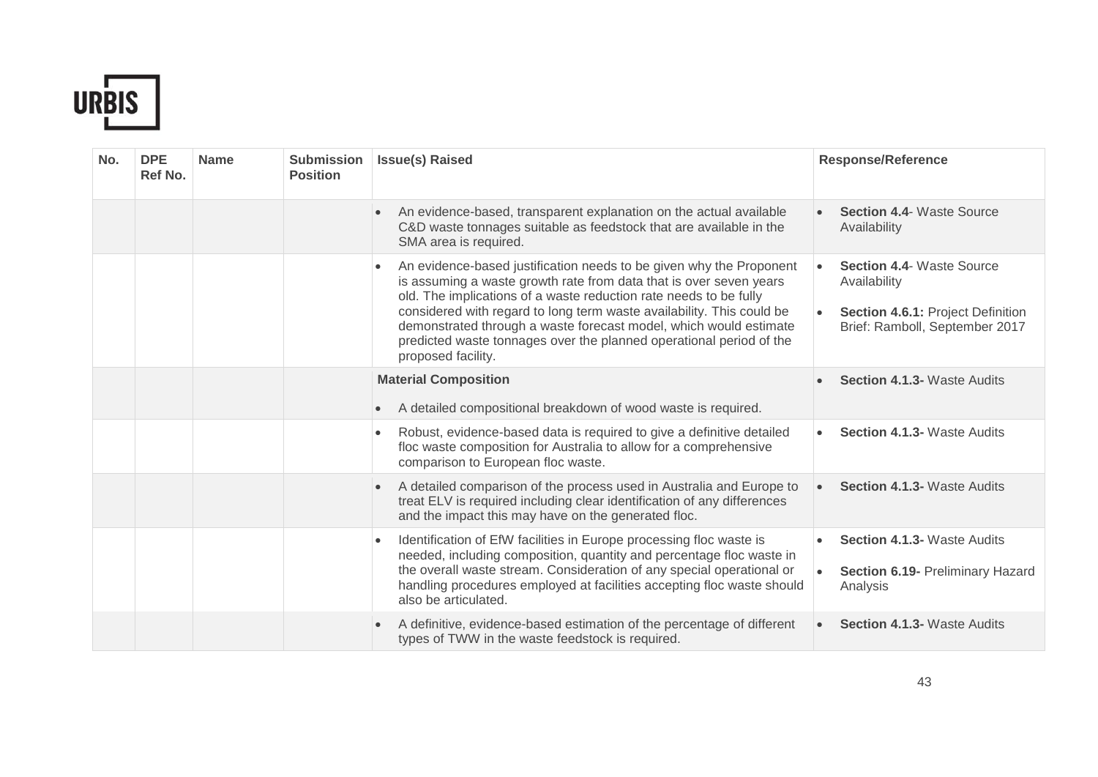

| No. | <b>DPE</b><br>Ref No. | <b>Name</b> | <b>Submission</b><br><b>Position</b> | <b>Issue(s) Raised</b>                                                                                                                                                                                                                                                                                                                                                                                                                                                 | <b>Response/Reference</b>                                                                                               |
|-----|-----------------------|-------------|--------------------------------------|------------------------------------------------------------------------------------------------------------------------------------------------------------------------------------------------------------------------------------------------------------------------------------------------------------------------------------------------------------------------------------------------------------------------------------------------------------------------|-------------------------------------------------------------------------------------------------------------------------|
|     |                       |             |                                      | An evidence-based, transparent explanation on the actual available<br>C&D waste tonnages suitable as feedstock that are available in the<br>SMA area is required.                                                                                                                                                                                                                                                                                                      | <b>Section 4.4- Waste Source</b><br>Availability                                                                        |
|     |                       |             |                                      | An evidence-based justification needs to be given why the Proponent<br>$\bullet$<br>is assuming a waste growth rate from data that is over seven years<br>old. The implications of a waste reduction rate needs to be fully<br>considered with regard to long term waste availability. This could be<br>demonstrated through a waste forecast model, which would estimate<br>predicted waste tonnages over the planned operational period of the<br>proposed facility. | <b>Section 4.4- Waste Source</b><br>Availability<br>Section 4.6.1: Project Definition<br>Brief: Ramboll, September 2017 |
|     |                       |             |                                      | <b>Material Composition</b><br>A detailed compositional breakdown of wood waste is required.<br>$\bullet$                                                                                                                                                                                                                                                                                                                                                              | <b>Section 4.1.3- Waste Audits</b>                                                                                      |
|     |                       |             |                                      | Robust, evidence-based data is required to give a definitive detailed<br>$\bullet$<br>floc waste composition for Australia to allow for a comprehensive<br>comparison to European floc waste.                                                                                                                                                                                                                                                                          | <b>Section 4.1.3- Waste Audits</b><br>$\bullet$                                                                         |
|     |                       |             |                                      | A detailed comparison of the process used in Australia and Europe to<br>$\bullet$<br>treat ELV is required including clear identification of any differences<br>and the impact this may have on the generated floc.                                                                                                                                                                                                                                                    | <b>Section 4.1.3- Waste Audits</b><br>$\bullet$                                                                         |
|     |                       |             |                                      | Identification of EfW facilities in Europe processing floc waste is<br>$\bullet$<br>needed, including composition, quantity and percentage floc waste in<br>the overall waste stream. Consideration of any special operational or<br>handling procedures employed at facilities accepting floc waste should<br>also be articulated.                                                                                                                                    | <b>Section 4.1.3- Waste Audits</b><br>Section 6.19- Preliminary Hazard<br>Analysis                                      |
|     |                       |             |                                      | A definitive, evidence-based estimation of the percentage of different<br>$\bullet$<br>types of TWW in the waste feedstock is required.                                                                                                                                                                                                                                                                                                                                | <b>Section 4.1.3- Waste Audits</b>                                                                                      |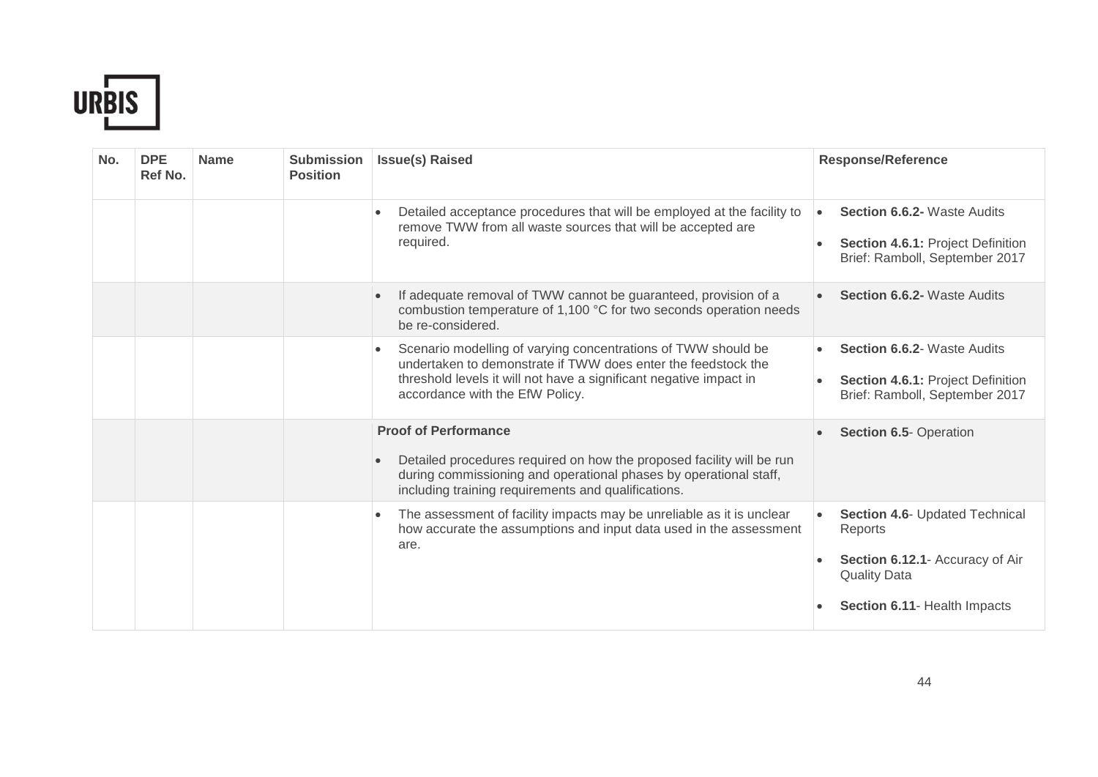

| No. | <b>DPE</b><br>Ref No. | <b>Name</b> | <b>Submission</b><br><b>Position</b> | <b>Issue(s) Raised</b>                                                                                                                                                                                                                               | <b>Response/Reference</b>                                                                                                           |
|-----|-----------------------|-------------|--------------------------------------|------------------------------------------------------------------------------------------------------------------------------------------------------------------------------------------------------------------------------------------------------|-------------------------------------------------------------------------------------------------------------------------------------|
|     |                       |             |                                      | Detailed acceptance procedures that will be employed at the facility to<br>remove TWW from all waste sources that will be accepted are<br>required.                                                                                                  | <b>Section 6.6.2- Waste Audits</b><br>$\bullet$<br>Section 4.6.1: Project Definition<br>Brief: Ramboll, September 2017              |
|     |                       |             |                                      | If adequate removal of TWW cannot be guaranteed, provision of a<br>combustion temperature of 1,100 °C for two seconds operation needs<br>be re-considered.                                                                                           | <b>Section 6.6.2- Waste Audits</b>                                                                                                  |
|     |                       |             |                                      | Scenario modelling of varying concentrations of TWW should be<br>$\bullet$<br>undertaken to demonstrate if TWW does enter the feedstock the<br>threshold levels it will not have a significant negative impact in<br>accordance with the EfW Policy. | <b>Section 6.6.2- Waste Audits</b><br>Section 4.6.1: Project Definition<br>Brief: Ramboll, September 2017                           |
|     |                       |             |                                      | <b>Proof of Performance</b><br>Detailed procedures required on how the proposed facility will be run<br>during commissioning and operational phases by operational staff,<br>including training requirements and qualifications.                     | Section 6.5- Operation                                                                                                              |
|     |                       |             |                                      | The assessment of facility impacts may be unreliable as it is unclear<br>$\bullet$<br>how accurate the assumptions and input data used in the assessment<br>are.                                                                                     | Section 4.6- Updated Technical<br>Reports<br>Section 6.12.1- Accuracy of Air<br><b>Quality Data</b><br>Section 6.11- Health Impacts |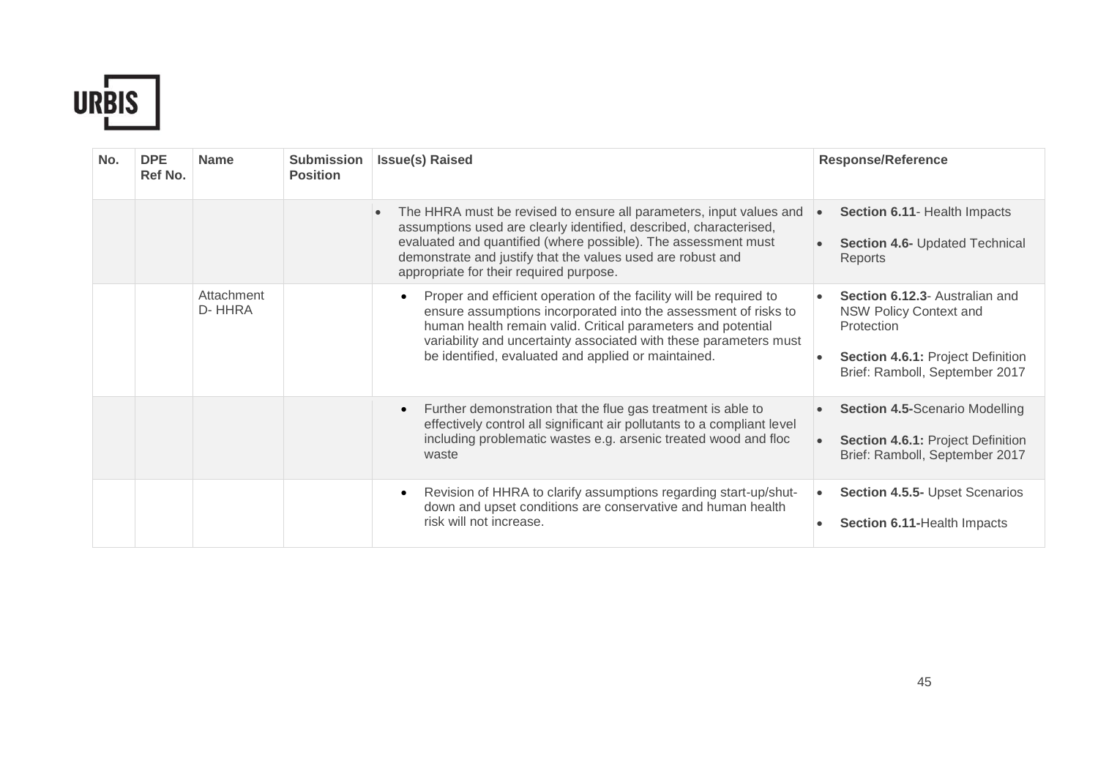

| No. | <b>DPE</b><br>Ref No. | <b>Name</b>          | <b>Submission</b><br><b>Position</b> | <b>Issue(s) Raised</b>                                                                                                                                                                                                                                                                                                                         | <b>Response/Reference</b>                                                                                                                            |
|-----|-----------------------|----------------------|--------------------------------------|------------------------------------------------------------------------------------------------------------------------------------------------------------------------------------------------------------------------------------------------------------------------------------------------------------------------------------------------|------------------------------------------------------------------------------------------------------------------------------------------------------|
|     |                       |                      |                                      | The HHRA must be revised to ensure all parameters, input values and<br>$\bullet$<br>assumptions used are clearly identified, described, characterised,<br>evaluated and quantified (where possible). The assessment must<br>demonstrate and justify that the values used are robust and<br>appropriate for their required purpose.             | Section 6.11- Health Impacts<br>$\bullet$<br><b>Section 4.6- Updated Technical</b><br>Reports                                                        |
|     |                       | Attachment<br>D-HHRA |                                      | Proper and efficient operation of the facility will be required to<br>$\bullet$<br>ensure assumptions incorporated into the assessment of risks to<br>human health remain valid. Critical parameters and potential<br>variability and uncertainty associated with these parameters must<br>be identified, evaluated and applied or maintained. | Section 6.12.3- Australian and<br><b>NSW Policy Context and</b><br>Protection<br>Section 4.6.1: Project Definition<br>Brief: Ramboll, September 2017 |
|     |                       |                      |                                      | Further demonstration that the flue gas treatment is able to<br>$\bullet$<br>effectively control all significant air pollutants to a compliant level<br>including problematic wastes e.g. arsenic treated wood and floc<br>waste                                                                                                               | <b>Section 4.5-Scenario Modelling</b><br><b>Section 4.6.1: Project Definition</b><br>Brief: Ramboll, September 2017                                  |
|     |                       |                      |                                      | Revision of HHRA to clarify assumptions regarding start-up/shut-<br>$\bullet$<br>down and upset conditions are conservative and human health<br>risk will not increase.                                                                                                                                                                        | <b>Section 4.5.5- Upset Scenarios</b><br>$\bullet$<br>Section 6.11-Health Impacts                                                                    |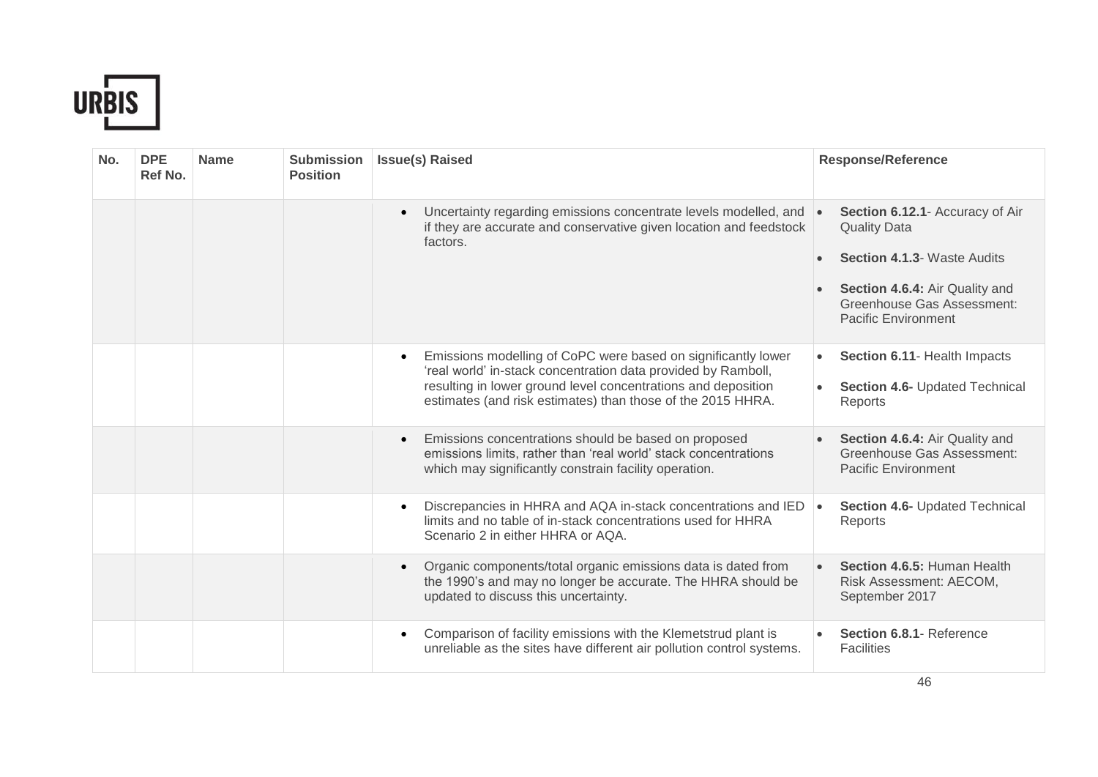

| No. | <b>DPE</b><br>Ref No. | <b>Name</b> | <b>Submission</b><br><b>Position</b> | <b>Issue(s) Raised</b>                                                                                                                                                                                                                                                      | <b>Response/Reference</b>                                                                                                                                                                               |
|-----|-----------------------|-------------|--------------------------------------|-----------------------------------------------------------------------------------------------------------------------------------------------------------------------------------------------------------------------------------------------------------------------------|---------------------------------------------------------------------------------------------------------------------------------------------------------------------------------------------------------|
|     |                       |             |                                      | Uncertainty regarding emissions concentrate levels modelled, and<br>$\bullet$<br>if they are accurate and conservative given location and feedstock<br>factors.                                                                                                             | Section 6.12.1- Accuracy of Air<br><b>Quality Data</b><br><b>Section 4.1.3- Waste Audits</b><br>$\bullet$<br>Section 4.6.4: Air Quality and<br>Greenhouse Gas Assessment:<br><b>Pacific Environment</b> |
|     |                       |             |                                      | Emissions modelling of CoPC were based on significantly lower<br>$\bullet$<br>'real world' in-stack concentration data provided by Ramboll,<br>resulting in lower ground level concentrations and deposition<br>estimates (and risk estimates) than those of the 2015 HHRA. | Section 6.11- Health Impacts<br>$\bullet$<br>Section 4.6- Updated Technical<br>$\bullet$<br>Reports                                                                                                     |
|     |                       |             |                                      | Emissions concentrations should be based on proposed<br>$\bullet$<br>emissions limits, rather than 'real world' stack concentrations<br>which may significantly constrain facility operation.                                                                               | Section 4.6.4: Air Quality and<br><b>Greenhouse Gas Assessment:</b><br><b>Pacific Environment</b>                                                                                                       |
|     |                       |             |                                      | Discrepancies in HHRA and AQA in-stack concentrations and IED<br>$\bullet$<br>limits and no table of in-stack concentrations used for HHRA<br>Scenario 2 in either HHRA or AQA.                                                                                             | Section 4.6- Updated Technical<br>Reports                                                                                                                                                               |
|     |                       |             |                                      | Organic components/total organic emissions data is dated from<br>$\bullet$<br>the 1990's and may no longer be accurate. The HHRA should be<br>updated to discuss this uncertainty.                                                                                          | Section 4.6.5: Human Health<br>Risk Assessment: AECOM,<br>September 2017                                                                                                                                |
|     |                       |             |                                      | Comparison of facility emissions with the Klemetstrud plant is<br>$\bullet$<br>unreliable as the sites have different air pollution control systems.                                                                                                                        | Section 6.8.1- Reference<br><b>Facilities</b>                                                                                                                                                           |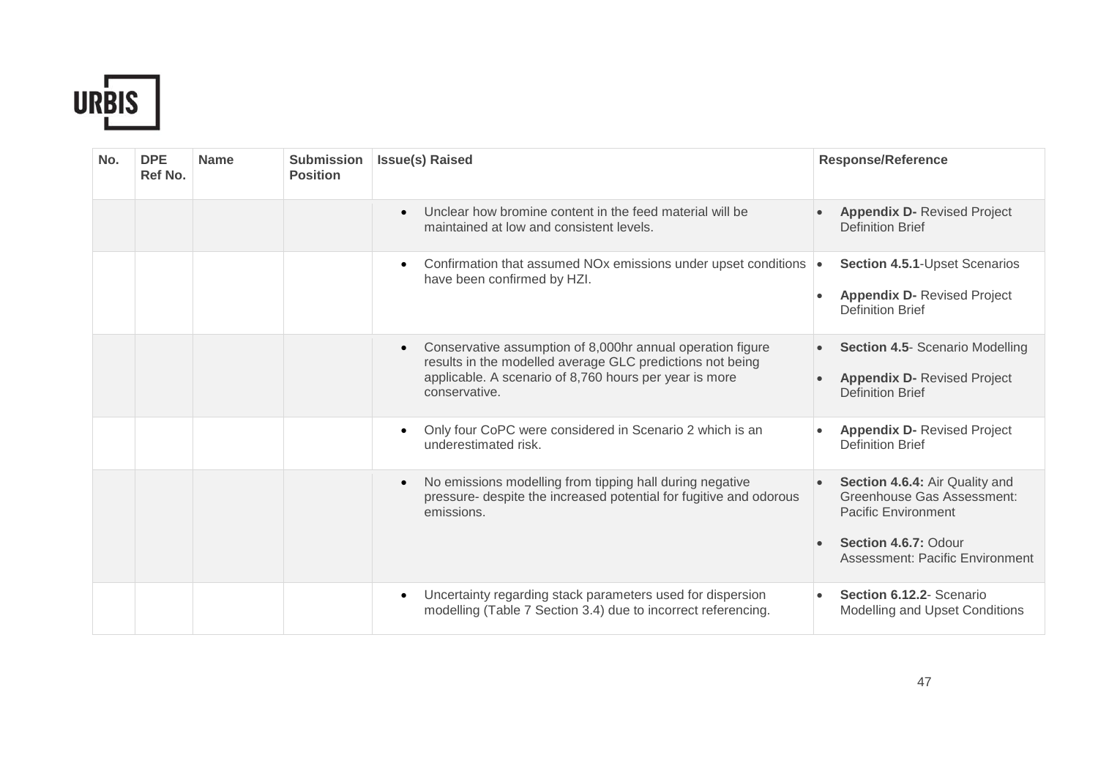

| No. | <b>DPE</b><br>Ref No. | <b>Name</b> | <b>Submission</b><br><b>Position</b> | <b>Issue(s) Raised</b>                                                                                                                                                                                          | <b>Response/Reference</b>                                                                                                                             |
|-----|-----------------------|-------------|--------------------------------------|-----------------------------------------------------------------------------------------------------------------------------------------------------------------------------------------------------------------|-------------------------------------------------------------------------------------------------------------------------------------------------------|
|     |                       |             |                                      | Unclear how bromine content in the feed material will be<br>$\bullet$<br>maintained at low and consistent levels.                                                                                               | <b>Appendix D- Revised Project</b><br><b>Definition Brief</b>                                                                                         |
|     |                       |             |                                      | Confirmation that assumed NOx emissions under upset conditions $\cdot$<br>$\bullet$<br>have been confirmed by HZI.                                                                                              | Section 4.5.1-Upset Scenarios<br><b>Appendix D- Revised Project</b><br><b>Definition Brief</b>                                                        |
|     |                       |             |                                      | Conservative assumption of 8,000hr annual operation figure<br>$\bullet$<br>results in the modelled average GLC predictions not being<br>applicable. A scenario of 8,760 hours per year is more<br>conservative. | <b>Section 4.5- Scenario Modelling</b><br><b>Appendix D- Revised Project</b><br><b>Definition Brief</b>                                               |
|     |                       |             |                                      | Only four CoPC were considered in Scenario 2 which is an<br>$\bullet$<br>underestimated risk.                                                                                                                   | <b>Appendix D- Revised Project</b><br><b>Definition Brief</b>                                                                                         |
|     |                       |             |                                      | No emissions modelling from tipping hall during negative<br>$\bullet$<br>pressure- despite the increased potential for fugitive and odorous<br>emissions.                                                       | Section 4.6.4: Air Quality and<br>Greenhouse Gas Assessment:<br><b>Pacific Environment</b><br>Section 4.6.7: Odour<br>Assessment: Pacific Environment |
|     |                       |             |                                      | Uncertainty regarding stack parameters used for dispersion<br>$\bullet$<br>modelling (Table 7 Section 3.4) due to incorrect referencing.                                                                        | Section 6.12.2- Scenario<br>Modelling and Upset Conditions                                                                                            |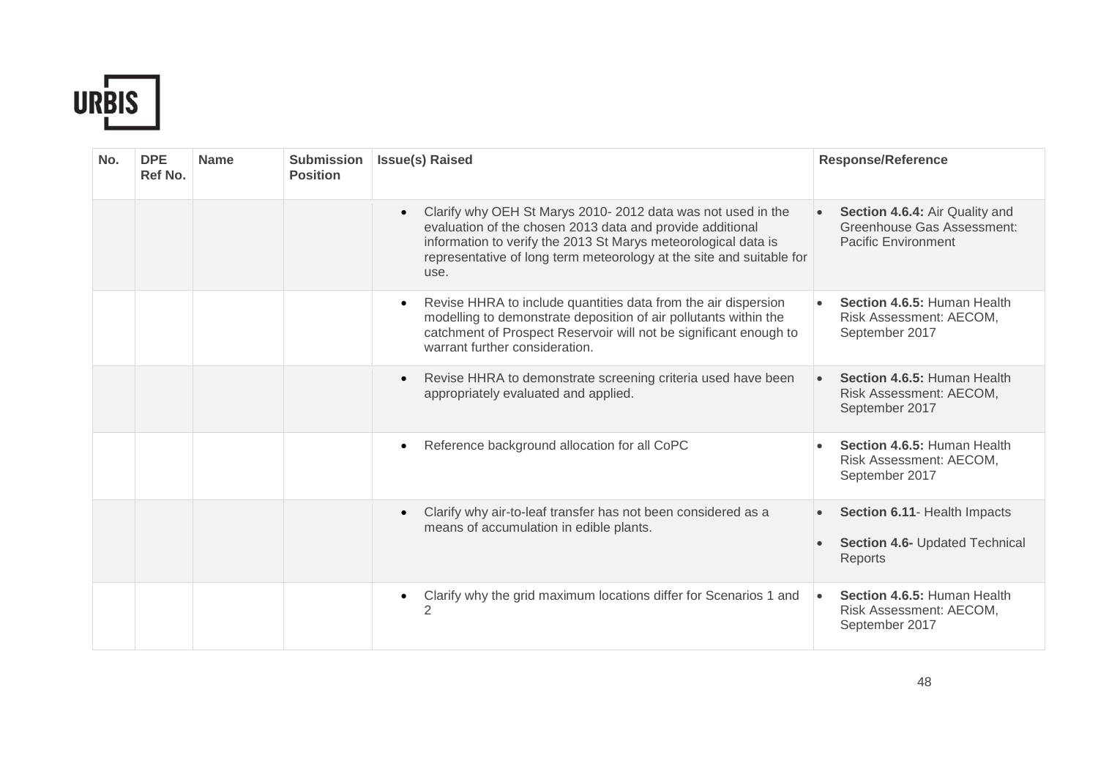

| No. | <b>DPE</b><br>Ref No. | <b>Name</b> | <b>Submission</b><br><b>Position</b> | <b>Issue(s) Raised</b>                                                                                                                                                                                                                                                                  | <b>Response/Reference</b>                                                                  |
|-----|-----------------------|-------------|--------------------------------------|-----------------------------------------------------------------------------------------------------------------------------------------------------------------------------------------------------------------------------------------------------------------------------------------|--------------------------------------------------------------------------------------------|
|     |                       |             |                                      | Clarify why OEH St Marys 2010-2012 data was not used in the<br>$\bullet$<br>evaluation of the chosen 2013 data and provide additional<br>information to verify the 2013 St Marys meteorological data is<br>representative of long term meteorology at the site and suitable for<br>use. | Section 4.6.4: Air Quality and<br>Greenhouse Gas Assessment:<br><b>Pacific Environment</b> |
|     |                       |             |                                      | Revise HHRA to include quantities data from the air dispersion<br>$\bullet$<br>modelling to demonstrate deposition of air pollutants within the<br>catchment of Prospect Reservoir will not be significant enough to<br>warrant further consideration.                                  | Section 4.6.5: Human Health<br>Risk Assessment: AECOM,<br>September 2017                   |
|     |                       |             |                                      | Revise HHRA to demonstrate screening criteria used have been<br>$\bullet$<br>appropriately evaluated and applied.                                                                                                                                                                       | Section 4.6.5: Human Health<br>$\bullet$<br>Risk Assessment: AECOM,<br>September 2017      |
|     |                       |             |                                      | Reference background allocation for all CoPC<br>$\bullet$                                                                                                                                                                                                                               | Section 4.6.5: Human Health<br>Risk Assessment: AECOM,<br>September 2017                   |
|     |                       |             |                                      | Clarify why air-to-leaf transfer has not been considered as a<br>$\bullet$<br>means of accumulation in edible plants.                                                                                                                                                                   | Section 6.11- Health Impacts<br>Section 4.6- Updated Technical<br>Reports                  |
|     |                       |             |                                      | Clarify why the grid maximum locations differ for Scenarios 1 and<br>$\bullet$<br>2                                                                                                                                                                                                     | Section 4.6.5: Human Health<br>$\bullet$<br>Risk Assessment: AECOM,<br>September 2017      |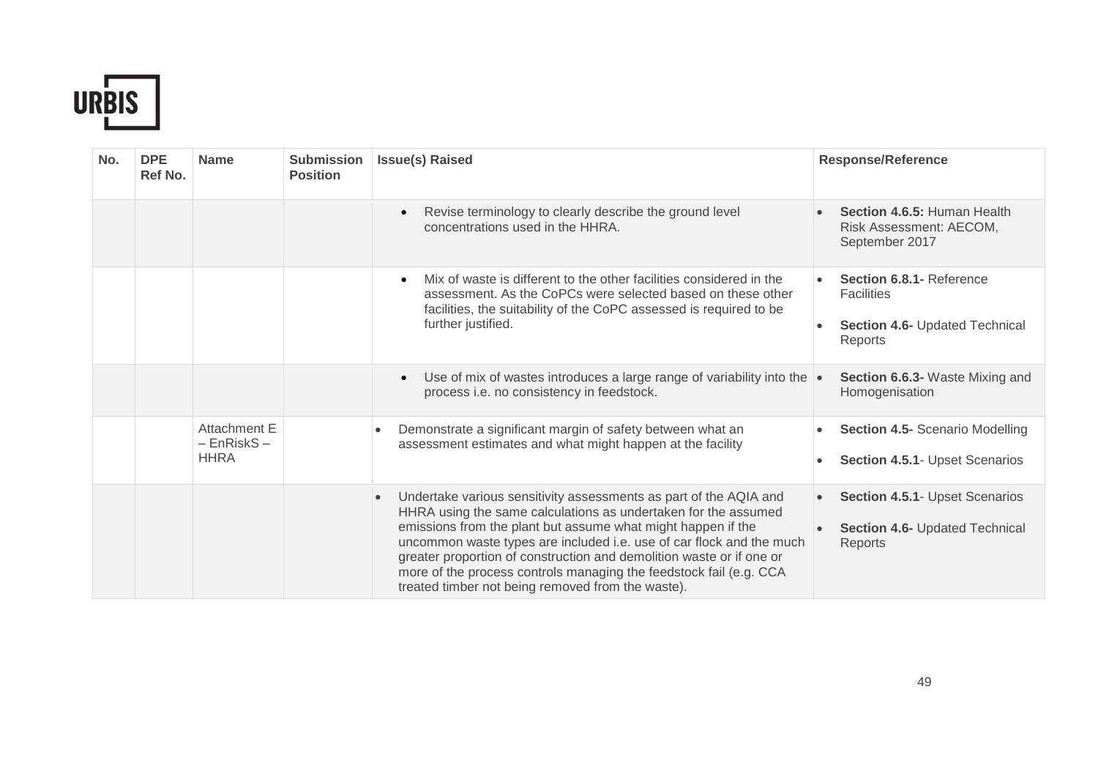

| No. | <b>DPE</b><br>Ref No. | <b>Name</b>                                           | <b>Submission</b><br><b>Position</b> | <b>Issue(s) Raised</b>                                                                                                                                                                                                                                                                                                                                                                                                                                                                      | <b>Response/Reference</b>                                                                    |
|-----|-----------------------|-------------------------------------------------------|--------------------------------------|---------------------------------------------------------------------------------------------------------------------------------------------------------------------------------------------------------------------------------------------------------------------------------------------------------------------------------------------------------------------------------------------------------------------------------------------------------------------------------------------|----------------------------------------------------------------------------------------------|
|     |                       |                                                       |                                      | Revise terminology to clearly describe the ground level<br>$\bullet$<br>concentrations used in the HHRA.                                                                                                                                                                                                                                                                                                                                                                                    | Section 4.6.5: Human Health<br>Risk Assessment: AECOM,<br>September 2017                     |
|     |                       |                                                       |                                      | Mix of waste is different to the other facilities considered in the<br>$\bullet$<br>assessment. As the CoPCs were selected based on these other<br>facilities, the suitability of the CoPC assessed is required to be<br>further justified.                                                                                                                                                                                                                                                 | Section 6.8.1 - Reference<br><b>Facilities</b><br>Section 4.6- Updated Technical<br>Reports  |
|     |                       |                                                       |                                      | Use of mix of wastes introduces a large range of variability into the $\cdot$<br>$\bullet$<br>process i.e. no consistency in feedstock.                                                                                                                                                                                                                                                                                                                                                     | Section 6.6.3- Waste Mixing and<br>Homogenisation                                            |
|     |                       | <b>Attachment E</b><br>$-$ EnRiskS $-$<br><b>HHRA</b> |                                      | Demonstrate a significant margin of safety between what an<br>$\bullet$<br>assessment estimates and what might happen at the facility                                                                                                                                                                                                                                                                                                                                                       | <b>Section 4.5- Scenario Modelling</b><br><b>Section 4.5.1- Upset Scenarios</b><br>$\bullet$ |
|     |                       |                                                       |                                      | Undertake various sensitivity assessments as part of the AQIA and<br>$\bullet$<br>HHRA using the same calculations as undertaken for the assumed<br>emissions from the plant but assume what might happen if the<br>uncommon waste types are included i.e. use of car flock and the much<br>greater proportion of construction and demolition waste or if one or<br>more of the process controls managing the feedstock fail (e.g. CCA<br>treated timber not being removed from the waste). | Section 4.5.1- Upset Scenarios<br>$\bullet$<br>Section 4.6- Updated Technical<br>Reports     |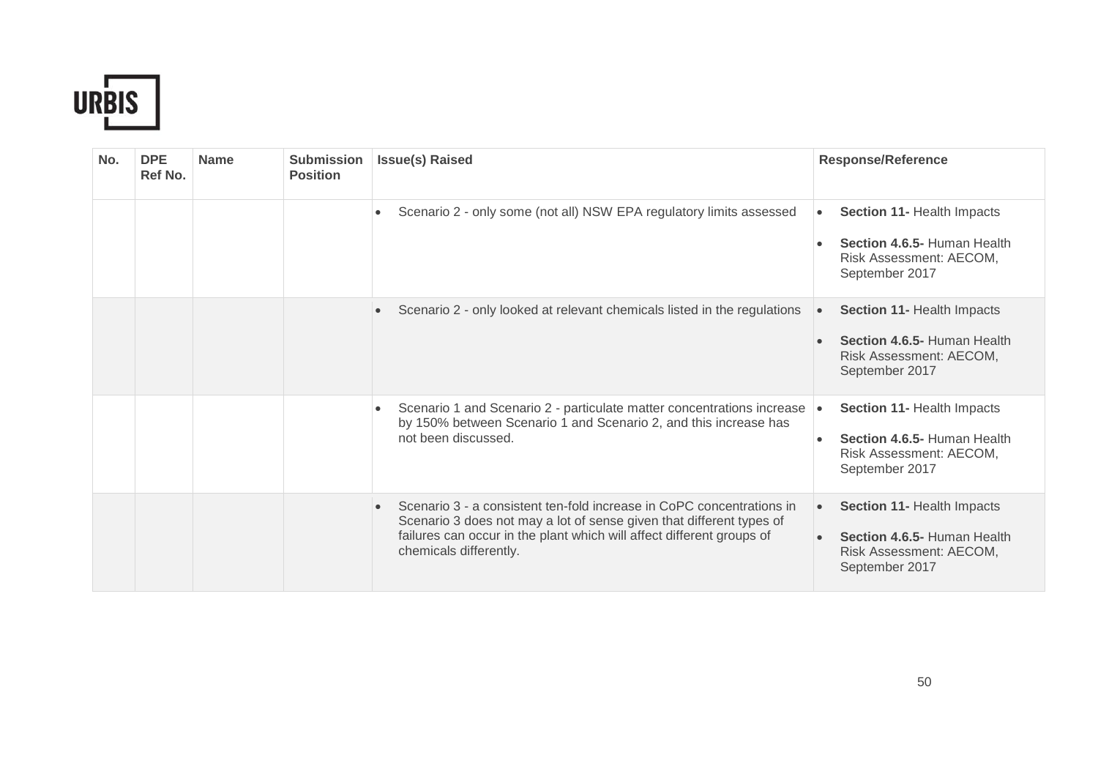

| No. | <b>DPE</b><br>Ref No. | <b>Name</b> | <b>Submission</b><br><b>Position</b> | <b>Issue(s) Raised</b>                                                                                                                                                                                                                           | <b>Response/Reference</b>                                                                                           |
|-----|-----------------------|-------------|--------------------------------------|--------------------------------------------------------------------------------------------------------------------------------------------------------------------------------------------------------------------------------------------------|---------------------------------------------------------------------------------------------------------------------|
|     |                       |             |                                      | Scenario 2 - only some (not all) NSW EPA regulatory limits assessed<br>$\bullet$                                                                                                                                                                 | Section 11- Health Impacts<br>$\bullet$<br>Section 4.6.5- Human Health<br>Risk Assessment: AECOM,<br>September 2017 |
|     |                       |             |                                      | Scenario 2 - only looked at relevant chemicals listed in the regulations                                                                                                                                                                         | <b>Section 11- Health Impacts</b><br>Section 4.6.5- Human Health<br>Risk Assessment: AECOM,<br>September 2017       |
|     |                       |             |                                      | Scenario 1 and Scenario 2 - particulate matter concentrations increase<br>$\bullet$<br>by 150% between Scenario 1 and Scenario 2, and this increase has<br>not been discussed.                                                                   | Section 11- Health Impacts<br>$\bullet$<br>Section 4.6.5- Human Health<br>Risk Assessment: AECOM,<br>September 2017 |
|     |                       |             |                                      | Scenario 3 - a consistent ten-fold increase in CoPC concentrations in<br>Scenario 3 does not may a lot of sense given that different types of<br>failures can occur in the plant which will affect different groups of<br>chemicals differently. | Section 11- Health Impacts<br>Section 4.6.5- Human Health<br>Risk Assessment: AECOM,<br>September 2017              |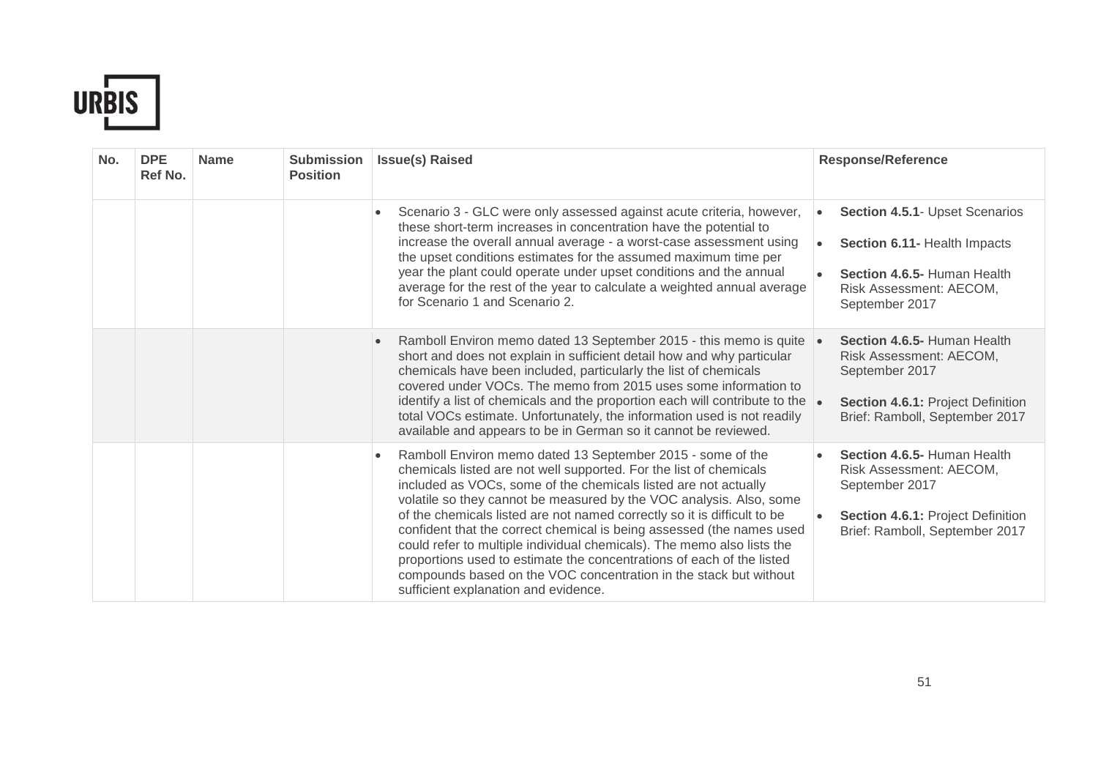

| No. | <b>DPE</b><br>Ref No. | <b>Name</b> | <b>Submission</b><br><b>Position</b> | <b>Issue(s) Raised</b>                                                                                                                                                                                                                                                                                                                                                                                                                                                                                                                                                                                                                                                                          | <b>Response/Reference</b>                                                                                                                               |
|-----|-----------------------|-------------|--------------------------------------|-------------------------------------------------------------------------------------------------------------------------------------------------------------------------------------------------------------------------------------------------------------------------------------------------------------------------------------------------------------------------------------------------------------------------------------------------------------------------------------------------------------------------------------------------------------------------------------------------------------------------------------------------------------------------------------------------|---------------------------------------------------------------------------------------------------------------------------------------------------------|
|     |                       |             |                                      | Scenario 3 - GLC were only assessed against acute criteria, however,<br>$\bullet$<br>these short-term increases in concentration have the potential to<br>increase the overall annual average - a worst-case assessment using<br>the upset conditions estimates for the assumed maximum time per<br>year the plant could operate under upset conditions and the annual<br>average for the rest of the year to calculate a weighted annual average<br>for Scenario 1 and Scenario 2.                                                                                                                                                                                                             | Section 4.5.1- Upset Scenarios<br>$\bullet$<br>Section 6.11- Health Impacts<br>Section 4.6.5- Human Health<br>Risk Assessment: AECOM,<br>September 2017 |
|     |                       |             |                                      | Ramboll Environ memo dated 13 September 2015 - this memo is quite<br>$\bullet$<br>short and does not explain in sufficient detail how and why particular<br>chemicals have been included, particularly the list of chemicals<br>covered under VOCs. The memo from 2015 uses some information to<br>identify a list of chemicals and the proportion each will contribute to the<br>total VOCs estimate. Unfortunately, the information used is not readily<br>available and appears to be in German so it cannot be reviewed.                                                                                                                                                                    | Section 4.6.5- Human Health<br>Risk Assessment: AECOM,<br>September 2017<br>Section 4.6.1: Project Definition<br>Brief: Ramboll, September 2017         |
|     |                       |             |                                      | Ramboll Environ memo dated 13 September 2015 - some of the<br>chemicals listed are not well supported. For the list of chemicals<br>included as VOCs, some of the chemicals listed are not actually<br>volatile so they cannot be measured by the VOC analysis. Also, some<br>of the chemicals listed are not named correctly so it is difficult to be<br>confident that the correct chemical is being assessed (the names used<br>could refer to multiple individual chemicals). The memo also lists the<br>proportions used to estimate the concentrations of each of the listed<br>compounds based on the VOC concentration in the stack but without<br>sufficient explanation and evidence. | Section 4.6.5- Human Health<br>Risk Assessment: AECOM,<br>September 2017<br>Section 4.6.1: Project Definition<br>Brief: Ramboll, September 2017         |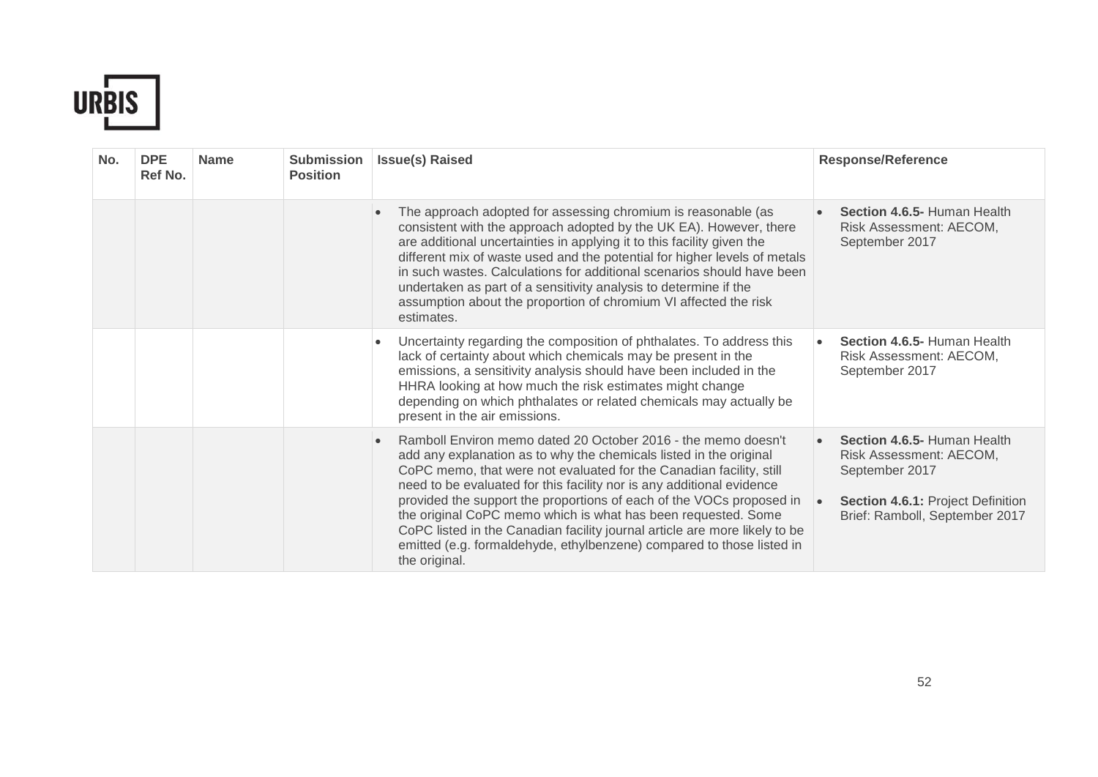

| No. | <b>DPE</b><br>Ref No. | <b>Name</b> | <b>Submission</b><br><b>Position</b> | <b>Issue(s) Raised</b>                                                                                                                                                                                                                                                                                                                                                                                                                                                                                                                                                                               |           | <b>Response/Reference</b>                                                                                                                       |
|-----|-----------------------|-------------|--------------------------------------|------------------------------------------------------------------------------------------------------------------------------------------------------------------------------------------------------------------------------------------------------------------------------------------------------------------------------------------------------------------------------------------------------------------------------------------------------------------------------------------------------------------------------------------------------------------------------------------------------|-----------|-------------------------------------------------------------------------------------------------------------------------------------------------|
|     |                       |             |                                      | The approach adopted for assessing chromium is reasonable (as<br>consistent with the approach adopted by the UK EA). However, there<br>are additional uncertainties in applying it to this facility given the<br>different mix of waste used and the potential for higher levels of metals<br>in such wastes. Calculations for additional scenarios should have been<br>undertaken as part of a sensitivity analysis to determine if the<br>assumption about the proportion of chromium VI affected the risk<br>estimates.                                                                           |           | Section 4.6.5- Human Health<br>Risk Assessment: AECOM,<br>September 2017                                                                        |
|     |                       |             |                                      | Uncertainty regarding the composition of phthalates. To address this<br>lack of certainty about which chemicals may be present in the<br>emissions, a sensitivity analysis should have been included in the<br>HHRA looking at how much the risk estimates might change<br>depending on which phthalates or related chemicals may actually be<br>present in the air emissions.                                                                                                                                                                                                                       | $\bullet$ | Section 4.6.5- Human Health<br>Risk Assessment: AECOM,<br>September 2017                                                                        |
|     |                       |             |                                      | Ramboll Environ memo dated 20 October 2016 - the memo doesn't<br>add any explanation as to why the chemicals listed in the original<br>CoPC memo, that were not evaluated for the Canadian facility, still<br>need to be evaluated for this facility nor is any additional evidence<br>provided the support the proportions of each of the VOCs proposed in<br>the original CoPC memo which is what has been requested. Some<br>CoPC listed in the Canadian facility journal article are more likely to be<br>emitted (e.g. formaldehyde, ethylbenzene) compared to those listed in<br>the original. |           | Section 4.6.5- Human Health<br>Risk Assessment: AECOM,<br>September 2017<br>Section 4.6.1: Project Definition<br>Brief: Ramboll, September 2017 |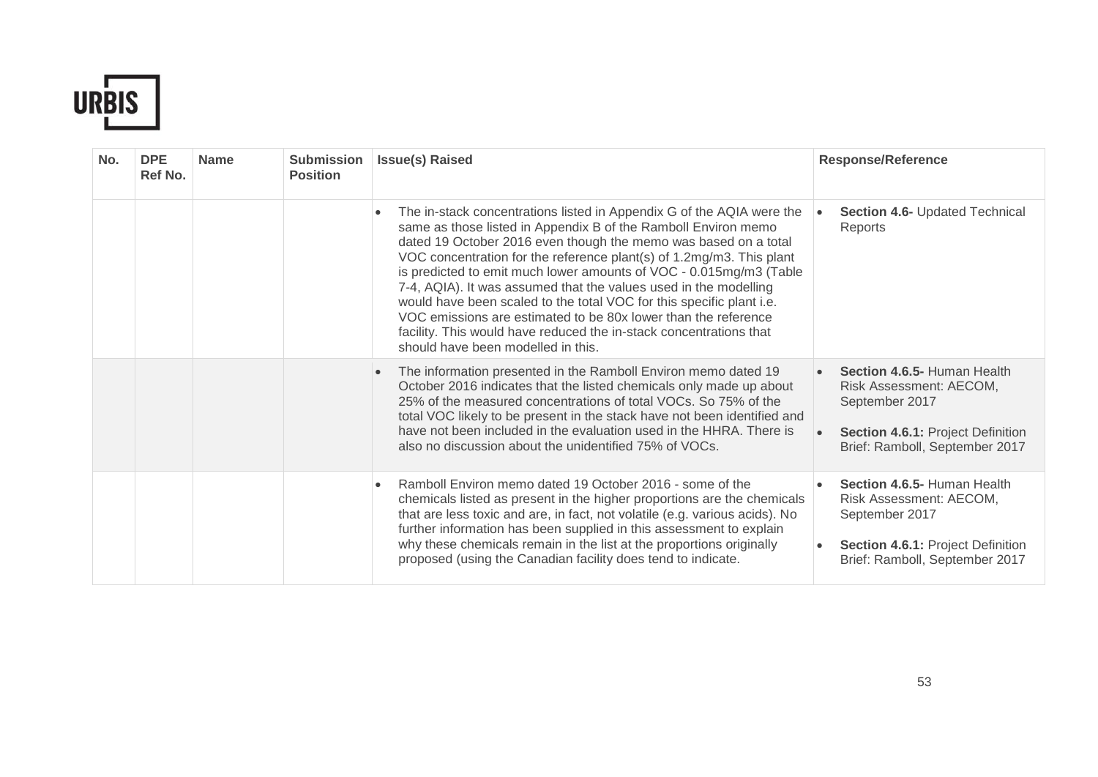

| No. | <b>DPE</b><br>Ref No. | <b>Name</b> | <b>Submission</b><br><b>Position</b> | <b>Issue(s) Raised</b>                                                                                                                                                                                                                                                                                                                                                                                                                                                                                                                                                                                                                                                                          | <b>Response/Reference</b>                                                                                                                       |
|-----|-----------------------|-------------|--------------------------------------|-------------------------------------------------------------------------------------------------------------------------------------------------------------------------------------------------------------------------------------------------------------------------------------------------------------------------------------------------------------------------------------------------------------------------------------------------------------------------------------------------------------------------------------------------------------------------------------------------------------------------------------------------------------------------------------------------|-------------------------------------------------------------------------------------------------------------------------------------------------|
|     |                       |             |                                      | The in-stack concentrations listed in Appendix G of the AQIA were the<br>$\bullet$<br>same as those listed in Appendix B of the Ramboll Environ memo<br>dated 19 October 2016 even though the memo was based on a total<br>VOC concentration for the reference plant(s) of 1.2mg/m3. This plant<br>is predicted to emit much lower amounts of VOC - 0.015mg/m3 (Table<br>7-4, AQIA). It was assumed that the values used in the modelling<br>would have been scaled to the total VOC for this specific plant i.e.<br>VOC emissions are estimated to be 80x lower than the reference<br>facility. This would have reduced the in-stack concentrations that<br>should have been modelled in this. | Section 4.6- Updated Technical<br>Reports                                                                                                       |
|     |                       |             |                                      | The information presented in the Ramboll Environ memo dated 19<br>$\bullet$<br>October 2016 indicates that the listed chemicals only made up about<br>25% of the measured concentrations of total VOCs. So 75% of the<br>total VOC likely to be present in the stack have not been identified and<br>have not been included in the evaluation used in the HHRA. There is<br>also no discussion about the unidentified 75% of VOCs.                                                                                                                                                                                                                                                              | Section 4.6.5- Human Health<br>Risk Assessment: AECOM,<br>September 2017<br>Section 4.6.1: Project Definition<br>Brief: Ramboll, September 2017 |
|     |                       |             |                                      | Ramboll Environ memo dated 19 October 2016 - some of the<br>$\bullet$<br>chemicals listed as present in the higher proportions are the chemicals<br>that are less toxic and are, in fact, not volatile (e.g. various acids). No<br>further information has been supplied in this assessment to explain<br>why these chemicals remain in the list at the proportions originally<br>proposed (using the Canadian facility does tend to indicate.                                                                                                                                                                                                                                                  | Section 4.6.5- Human Health<br>Risk Assessment: AECOM,<br>September 2017<br>Section 4.6.1: Project Definition<br>Brief: Ramboll, September 2017 |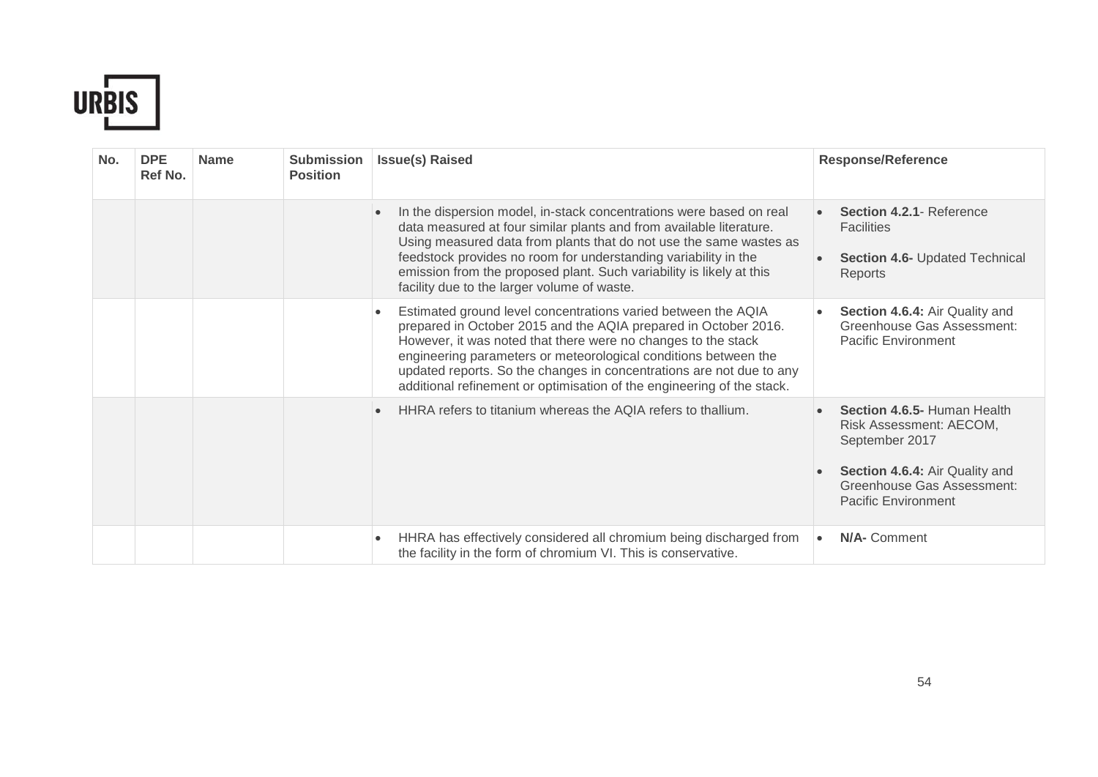

| No. | <b>DPE</b><br>Ref No. | <b>Name</b> | <b>Submission</b><br><b>Position</b> | <b>Issue(s) Raised</b>                                                                                                                                                                                                                                                                                                                                                                                                              | <b>Response/Reference</b>                                                                                                                                                     |
|-----|-----------------------|-------------|--------------------------------------|-------------------------------------------------------------------------------------------------------------------------------------------------------------------------------------------------------------------------------------------------------------------------------------------------------------------------------------------------------------------------------------------------------------------------------------|-------------------------------------------------------------------------------------------------------------------------------------------------------------------------------|
|     |                       |             |                                      | In the dispersion model, in-stack concentrations were based on real<br>data measured at four similar plants and from available literature.<br>Using measured data from plants that do not use the same wastes as<br>feedstock provides no room for understanding variability in the<br>emission from the proposed plant. Such variability is likely at this<br>facility due to the larger volume of waste.                          | Section 4.2.1- Reference<br><b>Facilities</b><br><b>Section 4.6- Updated Technical</b><br>Reports                                                                             |
|     |                       |             |                                      | Estimated ground level concentrations varied between the AQIA<br>$\bullet$<br>prepared in October 2015 and the AQIA prepared in October 2016.<br>However, it was noted that there were no changes to the stack<br>engineering parameters or meteorological conditions between the<br>updated reports. So the changes in concentrations are not due to any<br>additional refinement or optimisation of the engineering of the stack. | Section 4.6.4: Air Quality and<br>Greenhouse Gas Assessment:<br><b>Pacific Environment</b>                                                                                    |
|     |                       |             |                                      | HHRA refers to titanium whereas the AQIA refers to thallium.                                                                                                                                                                                                                                                                                                                                                                        | Section 4.6.5- Human Health<br>Risk Assessment: AECOM,<br>September 2017<br>Section 4.6.4: Air Quality and<br><b>Greenhouse Gas Assessment:</b><br><b>Pacific Environment</b> |
|     |                       |             |                                      | HHRA has effectively considered all chromium being discharged from<br>$\bullet$<br>the facility in the form of chromium VI. This is conservative.                                                                                                                                                                                                                                                                                   | N/A- Comment<br>$\bullet$                                                                                                                                                     |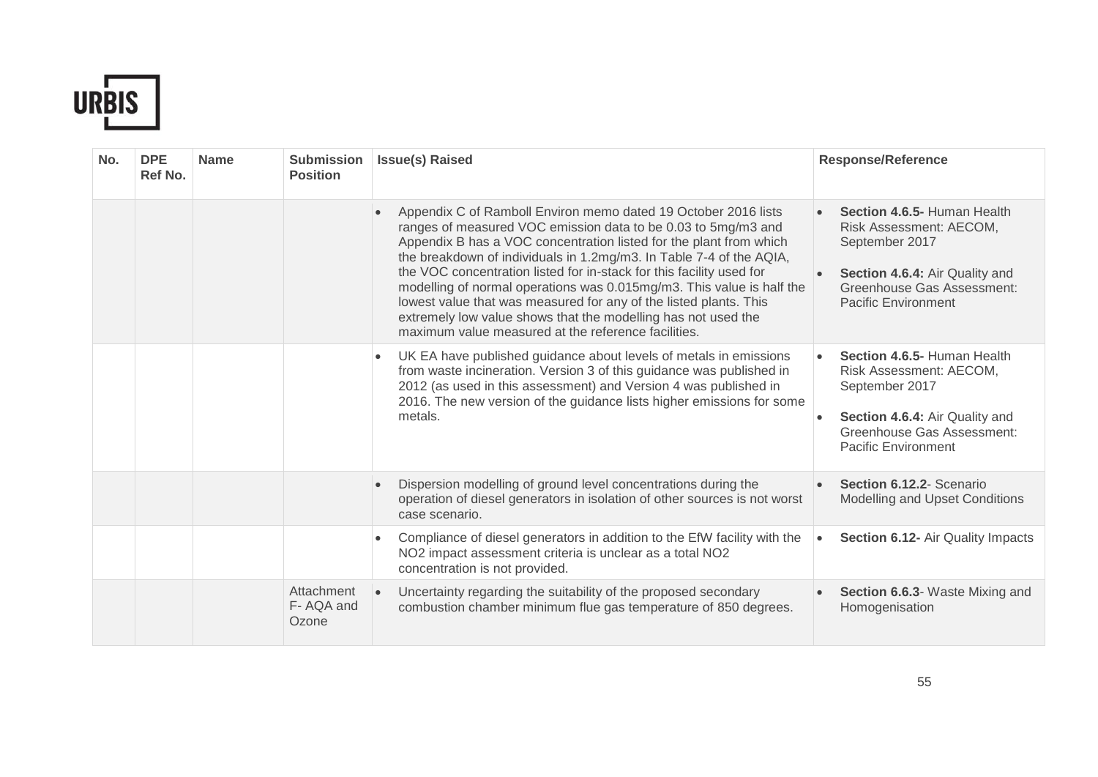

| No. | <b>DPE</b><br>Ref No. | <b>Name</b> | <b>Submission</b><br><b>Position</b> | <b>Issue(s) Raised</b>                                                                                                                                                                                                                                                                                                                                                                                                                                                                                                                                                                                                     | <b>Response/Reference</b>                                                                                                                                                     |
|-----|-----------------------|-------------|--------------------------------------|----------------------------------------------------------------------------------------------------------------------------------------------------------------------------------------------------------------------------------------------------------------------------------------------------------------------------------------------------------------------------------------------------------------------------------------------------------------------------------------------------------------------------------------------------------------------------------------------------------------------------|-------------------------------------------------------------------------------------------------------------------------------------------------------------------------------|
|     |                       |             |                                      | Appendix C of Ramboll Environ memo dated 19 October 2016 lists<br>ranges of measured VOC emission data to be 0.03 to 5mg/m3 and<br>Appendix B has a VOC concentration listed for the plant from which<br>the breakdown of individuals in 1.2mg/m3. In Table 7-4 of the AQIA,<br>the VOC concentration listed for in-stack for this facility used for<br>modelling of normal operations was 0.015mg/m3. This value is half the<br>lowest value that was measured for any of the listed plants. This<br>extremely low value shows that the modelling has not used the<br>maximum value measured at the reference facilities. | Section 4.6.5- Human Health<br>Risk Assessment: AECOM,<br>September 2017<br>Section 4.6.4: Air Quality and<br><b>Greenhouse Gas Assessment:</b><br><b>Pacific Environment</b> |
|     |                       |             |                                      | UK EA have published guidance about levels of metals in emissions<br>$\bullet$<br>from waste incineration. Version 3 of this guidance was published in<br>2012 (as used in this assessment) and Version 4 was published in<br>2016. The new version of the guidance lists higher emissions for some<br>metals.                                                                                                                                                                                                                                                                                                             | Section 4.6.5- Human Health<br>Risk Assessment: AECOM,<br>September 2017<br>Section 4.6.4: Air Quality and<br>Greenhouse Gas Assessment:<br><b>Pacific Environment</b>        |
|     |                       |             |                                      | Dispersion modelling of ground level concentrations during the<br>operation of diesel generators in isolation of other sources is not worst<br>case scenario.                                                                                                                                                                                                                                                                                                                                                                                                                                                              | Section 6.12.2- Scenario<br>Modelling and Upset Conditions                                                                                                                    |
|     |                       |             |                                      | Compliance of diesel generators in addition to the EfW facility with the<br>NO2 impact assessment criteria is unclear as a total NO2<br>concentration is not provided.                                                                                                                                                                                                                                                                                                                                                                                                                                                     | Section 6.12- Air Quality Impacts<br>$\bullet$                                                                                                                                |
|     |                       |             | Attachment<br>F-AQA and<br>Ozone     | Uncertainty regarding the suitability of the proposed secondary<br>combustion chamber minimum flue gas temperature of 850 degrees.                                                                                                                                                                                                                                                                                                                                                                                                                                                                                         | Section 6.6.3- Waste Mixing and<br>Homogenisation                                                                                                                             |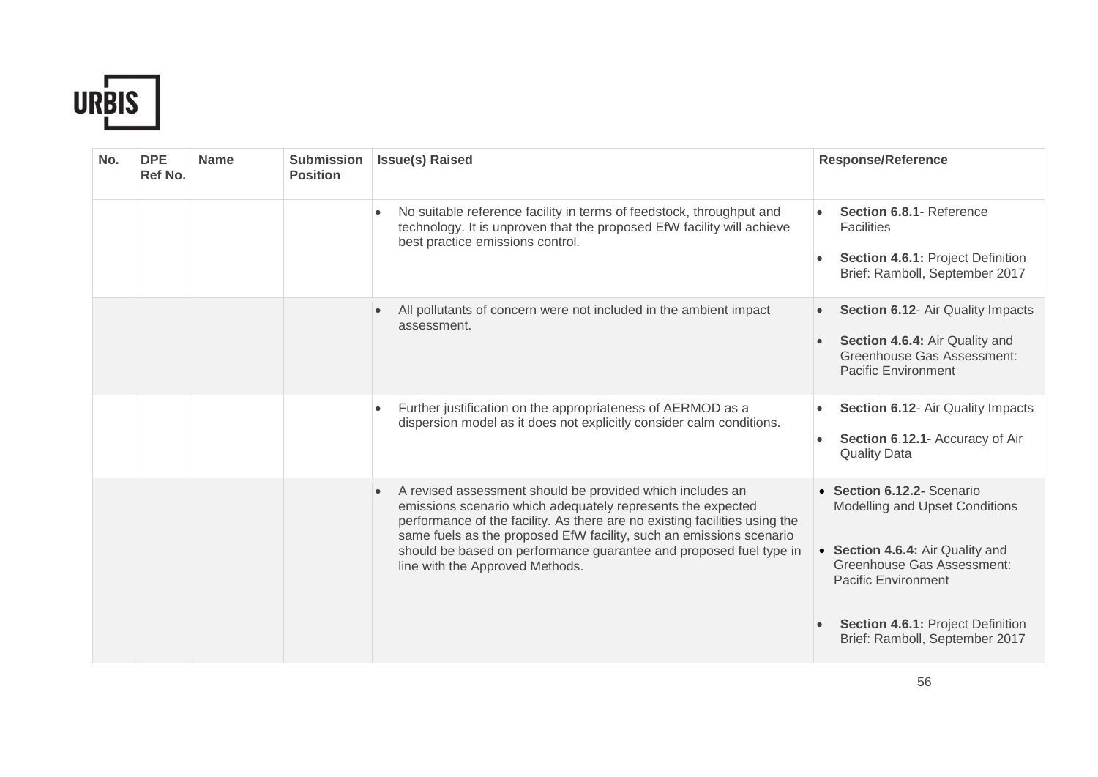

| No. | <b>DPE</b><br>Ref No. | <b>Name</b> | <b>Submission</b><br><b>Position</b> | <b>Issue(s) Raised</b>                                                                                                                                                                                                                                                                                                                                                                              | <b>Response/Reference</b>                                                                                                                                    |
|-----|-----------------------|-------------|--------------------------------------|-----------------------------------------------------------------------------------------------------------------------------------------------------------------------------------------------------------------------------------------------------------------------------------------------------------------------------------------------------------------------------------------------------|--------------------------------------------------------------------------------------------------------------------------------------------------------------|
|     |                       |             |                                      | No suitable reference facility in terms of feedstock, throughput and<br>$\bullet$<br>technology. It is unproven that the proposed EfW facility will achieve<br>best practice emissions control.                                                                                                                                                                                                     | Section 6.8.1- Reference<br><b>Facilities</b><br>Section 4.6.1: Project Definition<br>Brief: Ramboll, September 2017                                         |
|     |                       |             |                                      | All pollutants of concern were not included in the ambient impact<br>assessment.                                                                                                                                                                                                                                                                                                                    | Section 6.12- Air Quality Impacts<br>Section 4.6.4: Air Quality and<br>Greenhouse Gas Assessment:<br><b>Pacific Environment</b>                              |
|     |                       |             |                                      | Further justification on the appropriateness of AERMOD as a<br>$\bullet$<br>dispersion model as it does not explicitly consider calm conditions.                                                                                                                                                                                                                                                    | Section 6.12- Air Quality Impacts<br>Section 6.12.1- Accuracy of Air<br><b>Quality Data</b>                                                                  |
|     |                       |             |                                      | A revised assessment should be provided which includes an<br>$\bullet$<br>emissions scenario which adequately represents the expected<br>performance of the facility. As there are no existing facilities using the<br>same fuels as the proposed EfW facility, such an emissions scenario<br>should be based on performance guarantee and proposed fuel type in<br>line with the Approved Methods. | • Section 6.12.2- Scenario<br>Modelling and Upset Conditions<br>• Section 4.6.4: Air Quality and<br>Greenhouse Gas Assessment:<br><b>Pacific Environment</b> |
|     |                       |             |                                      |                                                                                                                                                                                                                                                                                                                                                                                                     | <b>Section 4.6.1: Project Definition</b><br>Brief: Ramboll, September 2017                                                                                   |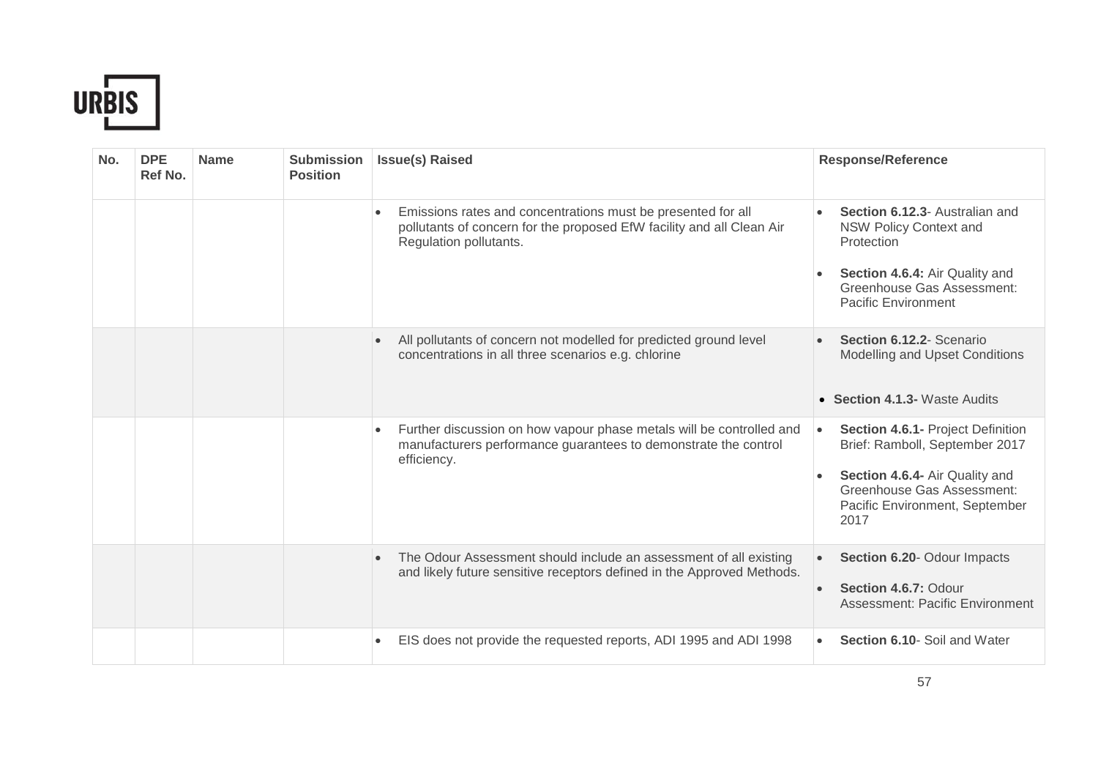

| No. | <b>DPE</b><br>Ref No. | <b>Name</b> | <b>Submission</b><br><b>Position</b> | <b>Issue(s) Raised</b>                                                                                                                                              | <b>Response/Reference</b>                                                                                                                                                                         |
|-----|-----------------------|-------------|--------------------------------------|---------------------------------------------------------------------------------------------------------------------------------------------------------------------|---------------------------------------------------------------------------------------------------------------------------------------------------------------------------------------------------|
|     |                       |             |                                      | Emissions rates and concentrations must be presented for all<br>pollutants of concern for the proposed EfW facility and all Clean Air<br>Regulation pollutants.     | Section 6.12.3- Australian and<br><b>NSW Policy Context and</b><br>Protection<br>Section 4.6.4: Air Quality and<br><b>Greenhouse Gas Assessment:</b><br><b>Pacific Environment</b>                |
|     |                       |             |                                      | All pollutants of concern not modelled for predicted ground level<br>concentrations in all three scenarios e.g. chlorine                                            | Section 6.12.2- Scenario<br>Modelling and Upset Conditions<br>• Section 4.1.3- Waste Audits                                                                                                       |
|     |                       |             |                                      | Further discussion on how vapour phase metals will be controlled and<br>$\bullet$<br>manufacturers performance guarantees to demonstrate the control<br>efficiency. | Section 4.6.1- Project Definition<br>$\bullet$<br>Brief: Ramboll, September 2017<br>Section 4.6.4- Air Quality and<br><b>Greenhouse Gas Assessment:</b><br>Pacific Environment, September<br>2017 |
|     |                       |             |                                      | The Odour Assessment should include an assessment of all existing<br>and likely future sensitive receptors defined in the Approved Methods.                         | Section 6.20- Odour Impacts<br>Section 4.6.7: Odour<br><b>Assessment: Pacific Environment</b>                                                                                                     |
|     |                       |             |                                      | EIS does not provide the requested reports, ADI 1995 and ADI 1998<br>$\bullet$                                                                                      | Section 6.10- Soil and Water<br>$\bullet$                                                                                                                                                         |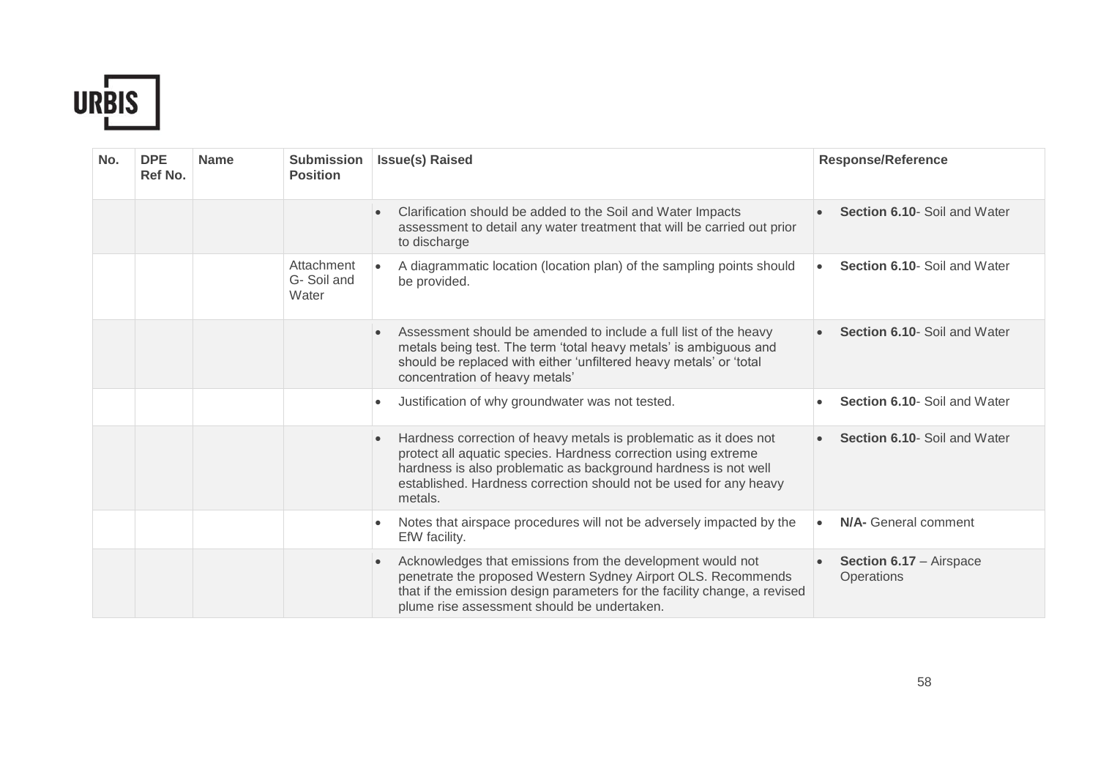

| No. | <b>DPE</b><br>Ref No. | <b>Name</b> | <b>Submission</b><br><b>Position</b> | <b>Issue(s) Raised</b>                                                                                                                                                                                                                                                                              | <b>Response/Reference</b>                           |
|-----|-----------------------|-------------|--------------------------------------|-----------------------------------------------------------------------------------------------------------------------------------------------------------------------------------------------------------------------------------------------------------------------------------------------------|-----------------------------------------------------|
|     |                       |             |                                      | Clarification should be added to the Soil and Water Impacts<br>assessment to detail any water treatment that will be carried out prior<br>to discharge                                                                                                                                              | Section 6.10- Soil and Water                        |
|     |                       |             | Attachment<br>G-Soil and<br>Water    | A diagrammatic location (location plan) of the sampling points should<br>be provided.                                                                                                                                                                                                               | <b>Section 6.10- Soil and Water</b><br>$\bullet$    |
|     |                       |             |                                      | Assessment should be amended to include a full list of the heavy<br>$\bullet$<br>metals being test. The term 'total heavy metals' is ambiguous and<br>should be replaced with either 'unfiltered heavy metals' or 'total<br>concentration of heavy metals'                                          | <b>Section 6.10- Soil and Water</b>                 |
|     |                       |             |                                      | Justification of why groundwater was not tested.<br>$\bullet$                                                                                                                                                                                                                                       | Section 6.10- Soil and Water                        |
|     |                       |             |                                      | Hardness correction of heavy metals is problematic as it does not<br>$\bullet$<br>protect all aquatic species. Hardness correction using extreme<br>hardness is also problematic as background hardness is not well<br>established. Hardness correction should not be used for any heavy<br>metals. | <b>Section 6.10- Soil and Water</b>                 |
|     |                       |             |                                      | Notes that airspace procedures will not be adversely impacted by the<br>$\bullet$<br>EfW facility.                                                                                                                                                                                                  | N/A- General comment                                |
|     |                       |             |                                      | Acknowledges that emissions from the development would not<br>$\bullet$<br>penetrate the proposed Western Sydney Airport OLS. Recommends<br>that if the emission design parameters for the facility change, a revised<br>plume rise assessment should be undertaken.                                | <b>Section 6.17 - Airspace</b><br><b>Operations</b> |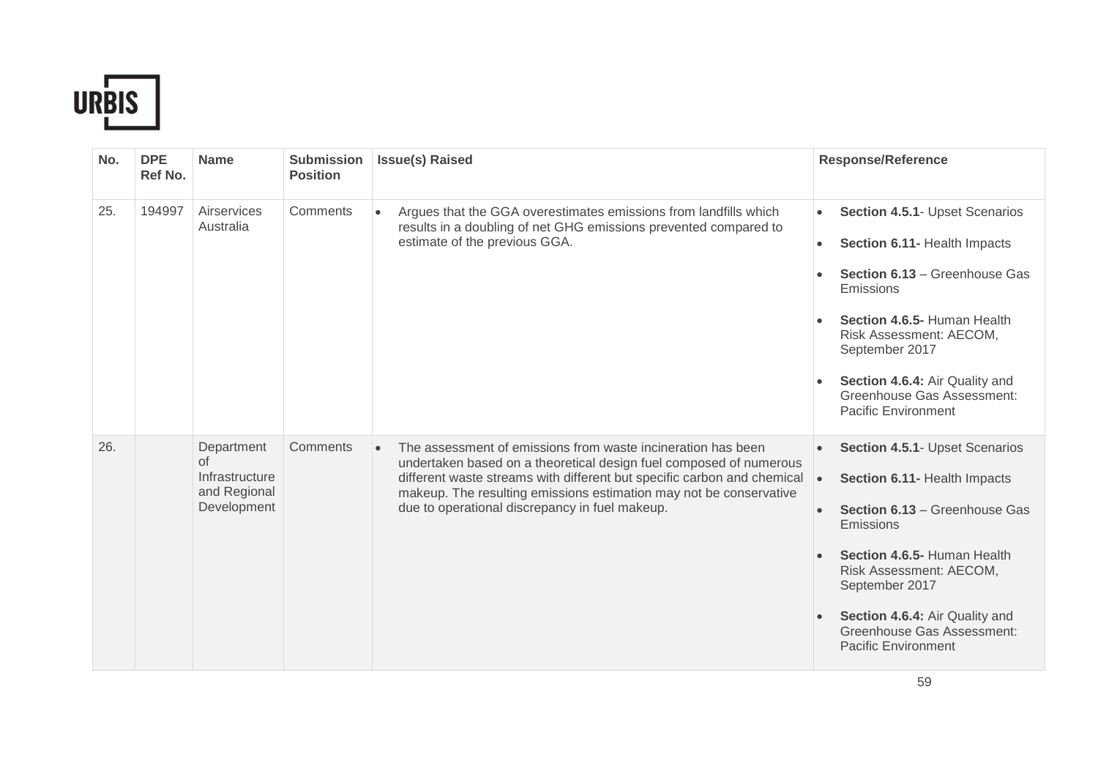

| No. | <b>DPE</b><br>Ref No. | <b>Name</b>                                                       | <b>Submission</b><br><b>Position</b> | <b>Issue(s) Raised</b>                                                                                                                                                                                                                                                                                                                | <b>Response/Reference</b>                                                                                                                                                                                                                                                                                        |
|-----|-----------------------|-------------------------------------------------------------------|--------------------------------------|---------------------------------------------------------------------------------------------------------------------------------------------------------------------------------------------------------------------------------------------------------------------------------------------------------------------------------------|------------------------------------------------------------------------------------------------------------------------------------------------------------------------------------------------------------------------------------------------------------------------------------------------------------------|
| 25. | 194997                | Airservices<br>Australia                                          | Comments                             | Argues that the GGA overestimates emissions from landfills which<br>results in a doubling of net GHG emissions prevented compared to<br>estimate of the previous GGA.                                                                                                                                                                 | Section 4.5.1- Upset Scenarios<br>$\bullet$<br>Section 6.11- Health Impacts<br>$\bullet$<br>Section 6.13 - Greenhouse Gas<br>Emissions<br>Section 4.6.5- Human Health<br>Risk Assessment: AECOM,<br>September 2017<br>Section 4.6.4: Air Quality and<br>Greenhouse Gas Assessment:<br><b>Pacific Environment</b> |
| 26. |                       | Department<br>of<br>Infrastructure<br>and Regional<br>Development | Comments                             | The assessment of emissions from waste incineration has been<br>undertaken based on a theoretical design fuel composed of numerous<br>different waste streams with different but specific carbon and chemical<br>makeup. The resulting emissions estimation may not be conservative<br>due to operational discrepancy in fuel makeup. | Section 4.5.1- Upset Scenarios<br>Section 6.11- Health Impacts<br>Section 6.13 - Greenhouse Gas<br>Emissions<br>Section 4.6.5- Human Health<br>Risk Assessment: AECOM,<br>September 2017<br>Section 4.6.4: Air Quality and<br>Greenhouse Gas Assessment:<br><b>Pacific Environment</b>                           |